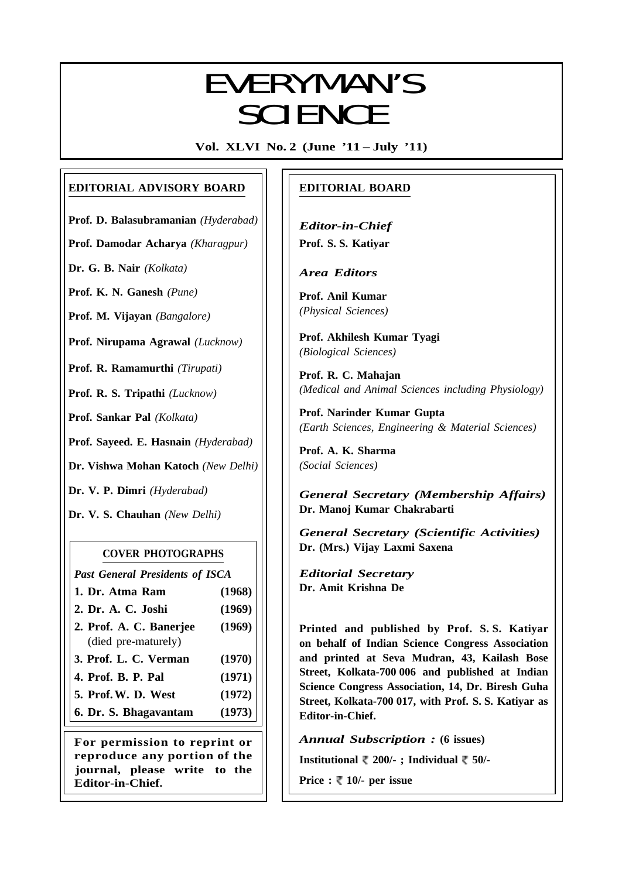# EVERYMANI/C EVERYMAN'S **SCIENCE**

**Vol. XLVI No. 2 (June '11 – July '11)**

# **EDITORIAL ADVISORY BOARD**

**Prof. D. Balasubramanian** *(Hyderabad)*

**Prof. Damodar Acharya** *(Kharagpur)*

**Dr. G. B. Nair** *(Kolkata)*

**Prof. K. N. Ganesh** *(Pune)*

**Prof. M. Vijayan** *(Bangalore)*

**Prof. Nirupama Agrawal** *(Lucknow)*

**Prof. R. Ramamurthi** *(Tirupati)*

**Prof. R. S. Tripathi** *(Lucknow)*

**Prof. Sankar Pal** *(Kolkata)*

**Prof. Sayeed. E. Hasnain** *(Hyderabad)*

**Dr. Vishwa Mohan Katoch** *(New Delhi)*

**Dr. V. P. Dimri** *(Hyderabad)*

**Dr. V. S. Chauhan** *(New Delhi)*

# **COVER PHOTOGRAPHS**

*Past General Presidents of ISCA*

- **1. Dr. Atma Ram (1968)**
- **2. Dr. A. C. Joshi (1969)**
- **2. Prof. A. C. Banerjee (1969)** (died pre-maturely)
- **3. Prof. L. C. Verman (1970)**
- **4. Prof. B. P. Pal (1971)**
- **5. Prof.W. D. West (1972)**
- **6. Dr. S. Bhagavantam (1973)**

**For permission to reprint or reproduce any portion of the journal, please write to the Editor-in-Chief.**

# **EDITORIAL BOARD**

*Editor-in-Chief* **Prof. S. S. Katiyar**

*Area Editors*

**Prof. Anil Kumar** *(Physical Sciences)*

**Prof. Akhilesh Kumar Tyagi** *(Biological Sciences)*

**Prof. R. C. Mahajan** *(Medical and Animal Sciences including Physiology)*

**Prof. Narinder Kumar Gupta** *(Earth Sciences, Engineering & Material Sciences)*

**Prof. A. K. Sharma** *(Social Sciences)*

*General Secretary (Membership Affairs)* **Dr. Manoj Kumar Chakrabarti**

*General Secretary (Scientific Activities)* **Dr. (Mrs.) Vijay Laxmi Saxena**

*Editorial Secretary* **Dr. Amit Krishna De**

**Printed and published by Prof. S. S. Katiyar on behalf of Indian Science Congress Association and printed at Seva Mudran, 43, Kailash Bose Street, Kolkata-700 006 and published at Indian Science Congress Association, 14, Dr. Biresh Guha Street, Kolkata-700 017, with Prof. S. S. Katiyar as Editor-in-Chief.**

*Annual Subscription :* **(6 issues)**

**Institutional 200/- ; Individual 50/-**

**Price :**  $\sqrt[m]{ }$  **10/- per issue** 

69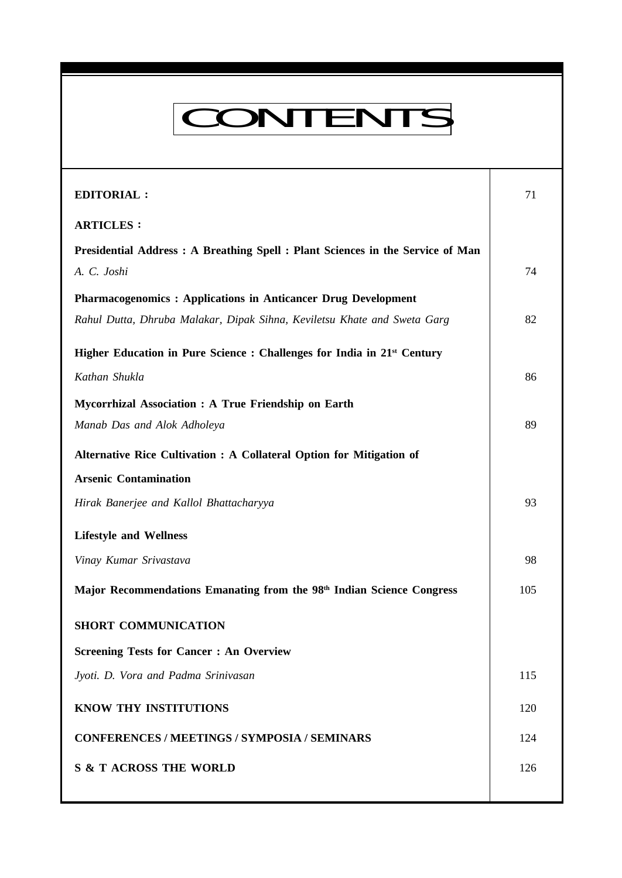# CONTENTS

**Everyman's Science VOL. XLVI NO. 2, June '11 — July '11**

| <b>EDITORIAL:</b>                                                                   | 71  |
|-------------------------------------------------------------------------------------|-----|
| <b>ARTICLES:</b>                                                                    |     |
| Presidential Address: A Breathing Spell: Plant Sciences in the Service of Man       |     |
| A. C. Joshi                                                                         | 74  |
| <b>Pharmacogenomics: Applications in Anticancer Drug Development</b>                |     |
| Rahul Dutta, Dhruba Malakar, Dipak Sihna, Keviletsu Khate and Sweta Garg            | 82  |
| Higher Education in Pure Science : Challenges for India in 21 <sup>st</sup> Century |     |
| Kathan Shukla                                                                       | 86  |
| Mycorrhizal Association : A True Friendship on Earth                                |     |
| Manab Das and Alok Adholeya                                                         | 89  |
| Alternative Rice Cultivation : A Collateral Option for Mitigation of                |     |
| <b>Arsenic Contamination</b>                                                        |     |
| Hirak Banerjee and Kallol Bhattacharyya                                             | 93  |
| <b>Lifestyle and Wellness</b>                                                       |     |
| Vinay Kumar Srivastava                                                              | 98  |
| Major Recommendations Emanating from the 98 <sup>th</sup> Indian Science Congress   | 105 |
| <b>SHORT COMMUNICATION</b>                                                          |     |
| <b>Screening Tests for Cancer : An Overview</b>                                     |     |
| Jyoti. D. Vora and Padma Srinivasan                                                 | 115 |
| KNOW THY INSTITUTIONS                                                               | 120 |
| <b>CONFERENCES / MEETINGS / SYMPOSIA / SEMINARS</b>                                 | 124 |
|                                                                                     |     |
| <b>S &amp; T ACROSS THE WORLD</b>                                                   | 126 |
|                                                                                     |     |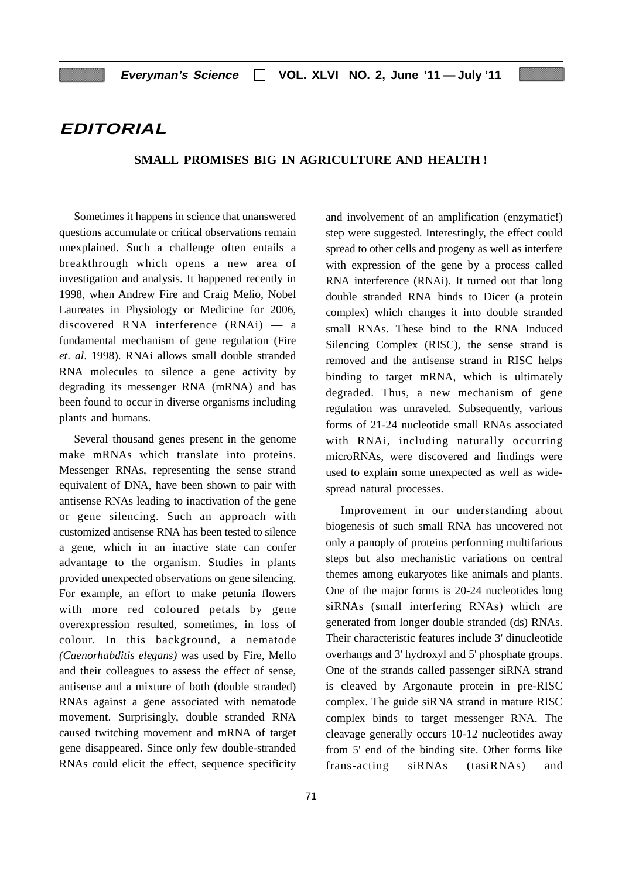# **EDITORIAL**

#### **SMALL PROMISES BIG IN AGRICULTURE AND HEALTH !**

Sometimes it happens in science that unanswered questions accumulate or critical observations remain unexplained. Such a challenge often entails a breakthrough which opens a new area of investigation and analysis. It happened recently in 1998, when Andrew Fire and Craig Melio, Nobel Laureates in Physiology or Medicine for 2006, discovered RNA interference (RNAi) — a fundamental mechanism of gene regulation (Fire *et*. *al*. 1998). RNAi allows small double stranded RNA molecules to silence a gene activity by degrading its messenger RNA (mRNA) and has been found to occur in diverse organisms including plants and humans.

Several thousand genes present in the genome make mRNAs which translate into proteins. Messenger RNAs, representing the sense strand equivalent of DNA, have been shown to pair with antisense RNAs leading to inactivation of the gene or gene silencing. Such an approach with customized antisense RNA has been tested to silence a gene, which in an inactive state can confer advantage to the organism. Studies in plants provided unexpected observations on gene silencing. For example, an effort to make petunia flowers with more red coloured petals by gene overexpression resulted, sometimes, in loss of colour. In this background, a nematode *(Caenorhabditis elegans)* was used by Fire, Mello and their colleagues to assess the effect of sense, antisense and a mixture of both (double stranded) RNAs against a gene associated with nematode movement. Surprisingly, double stranded RNA caused twitching movement and mRNA of target gene disappeared. Since only few double-stranded RNAs could elicit the effect, sequence specificity

and involvement of an amplification (enzymatic!) step were suggested. Interestingly, the effect could spread to other cells and progeny as well as interfere with expression of the gene by a process called RNA interference (RNAi). It turned out that long double stranded RNA binds to Dicer (a protein complex) which changes it into double stranded small RNAs. These bind to the RNA Induced Silencing Complex (RISC), the sense strand is removed and the antisense strand in RISC helps binding to target mRNA, which is ultimately degraded. Thus, a new mechanism of gene regulation was unraveled. Subsequently, various forms of 21-24 nucleotide small RNAs associated with RNAi, including naturally occurring microRNAs, were discovered and findings were used to explain some unexpected as well as widespread natural processes.

Improvement in our understanding about biogenesis of such small RNA has uncovered not only a panoply of proteins performing multifarious steps but also mechanistic variations on central themes among eukaryotes like animals and plants. One of the major forms is 20-24 nucleotides long siRNAs (small interfering RNAs) which are generated from longer double stranded (ds) RNAs. Their characteristic features include 3' dinucleotide overhangs and 3' hydroxyl and 5' phosphate groups. One of the strands called passenger siRNA strand is cleaved by Argonaute protein in pre-RISC complex. The guide siRNA strand in mature RISC complex binds to target messenger RNA. The cleavage generally occurs 10-12 nucleotides away from 5' end of the binding site. Other forms like frans-acting siRNAs (tasiRNAs) and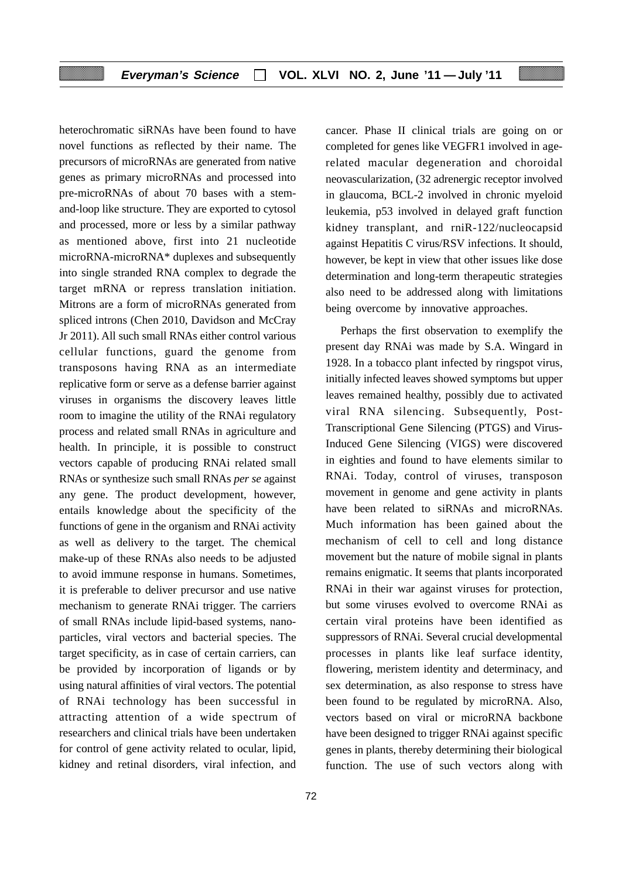heterochromatic siRNAs have been found to have novel functions as reflected by their name. The precursors of microRNAs are generated from native genes as primary microRNAs and processed into pre-microRNAs of about 70 bases with a stemand-loop like structure. They are exported to cytosol and processed, more or less by a similar pathway as mentioned above, first into 21 nucleotide microRNA-microRNA\* duplexes and subsequently into single stranded RNA complex to degrade the target mRNA or repress translation initiation. Mitrons are a form of microRNAs generated from spliced introns (Chen 2010, Davidson and McCray Jr 2011). All such small RNAs either control various cellular functions, guard the genome from transposons having RNA as an intermediate replicative form or serve as a defense barrier against viruses in organisms the discovery leaves little room to imagine the utility of the RNAi regulatory process and related small RNAs in agriculture and health. In principle, it is possible to construct vectors capable of producing RNAi related small RNAs or synthesize such small RNAs *per se* against any gene. The product development, however, entails knowledge about the specificity of the functions of gene in the organism and RNAi activity as well as delivery to the target. The chemical make-up of these RNAs also needs to be adjusted to avoid immune response in humans. Sometimes, it is preferable to deliver precursor and use native mechanism to generate RNAi trigger. The carriers of small RNAs include lipid-based systems, nanoparticles, viral vectors and bacterial species. The target specificity, as in case of certain carriers, can be provided by incorporation of ligands or by using natural affinities of viral vectors. The potential of RNAi technology has been successful in attracting attention of a wide spectrum of researchers and clinical trials have been undertaken for control of gene activity related to ocular, lipid, kidney and retinal disorders, viral infection, and cancer. Phase II clinical trials are going on or completed for genes like VEGFR1 involved in agerelated macular degeneration and choroidal neovascularization, (32 adrenergic receptor involved in glaucoma, BCL-2 involved in chronic myeloid leukemia, p53 involved in delayed graft function kidney transplant, and rniR-122/nucleocapsid against Hepatitis C virus/RSV infections. It should, however, be kept in view that other issues like dose determination and long-term therapeutic strategies also need to be addressed along with limitations being overcome by innovative approaches.

Perhaps the first observation to exemplify the present day RNAi was made by S.A. Wingard in 1928. In a tobacco plant infected by ringspot virus, initially infected leaves showed symptoms but upper leaves remained healthy, possibly due to activated viral RNA silencing. Subsequently, Post-Transcriptional Gene Silencing (PTGS) and Virus-Induced Gene Silencing (VIGS) were discovered in eighties and found to have elements similar to RNAi. Today, control of viruses, transposon movement in genome and gene activity in plants have been related to siRNAs and microRNAs. Much information has been gained about the mechanism of cell to cell and long distance movement but the nature of mobile signal in plants remains enigmatic. It seems that plants incorporated RNAi in their war against viruses for protection, but some viruses evolved to overcome RNAi as certain viral proteins have been identified as suppressors of RNAi. Several crucial developmental processes in plants like leaf surface identity, flowering, meristem identity and determinacy, and sex determination, as also response to stress have been found to be regulated by microRNA. Also, vectors based on viral or microRNA backbone have been designed to trigger RNAi against specific genes in plants, thereby determining their biological function. The use of such vectors along with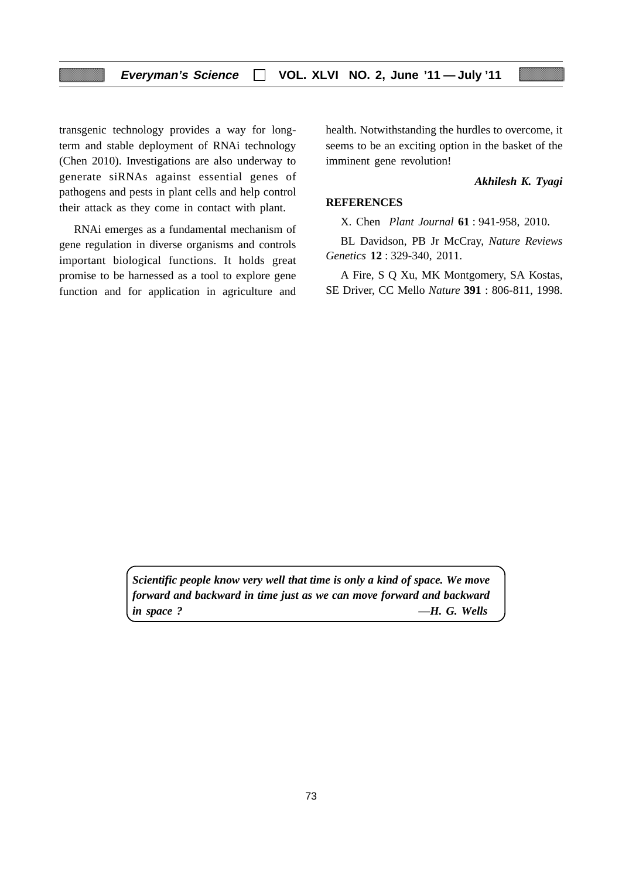transgenic technology provides a way for longterm and stable deployment of RNAi technology (Chen 2010). Investigations are also underway to generate siRNAs against essential genes of pathogens and pests in plant cells and help control their attack as they come in contact with plant.

RNAi emerges as a fundamental mechanism of gene regulation in diverse organisms and controls important biological functions. It holds great promise to be harnessed as a tool to explore gene function and for application in agriculture and

health. Notwithstanding the hurdles to overcome, it seems to be an exciting option in the basket of the imminent gene revolution!

#### *Akhilesh K. Tyagi*

#### **REFERENCES**

X. Chen *Plant Journal* **61** : 941-958, 2010.

BL Davidson, PB Jr McCray, *Nature Reviews Genetics* **12** : 329-340, 2011.

A Fire, S Q Xu, MK Montgomery, SA Kostas, SE Driver, CC Mello *Nature* **391** : 806-811, 1998.

*Scientific people know very well that time is only a kind of space. We move forward and backward in time just as we can move forward and backward in space ? —H. G. Wells*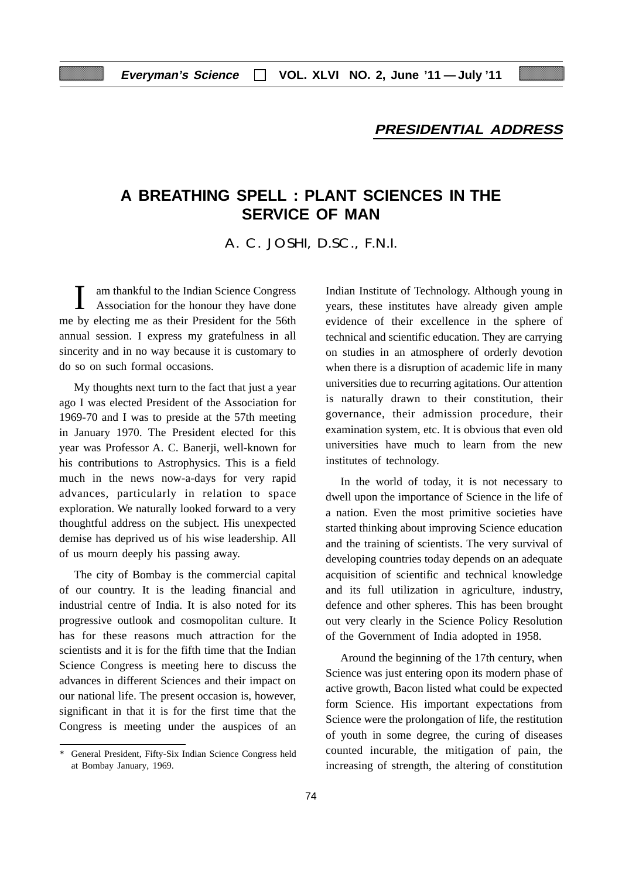# **PRESIDENTIAL ADDRESS**

# **A BREATHING SPELL : PLANT SCIENCES IN THE SERVICE OF MAN**

A. C. JOSHI, D.SC., F.N.I.

am thankful to the Indian Science Congress Association for the honour they have done me by electing me as their President for the 56th annual session. I express my gratefulness in all sincerity and in no way because it is customary to do so on such formal occasions.

My thoughts next turn to the fact that just a year ago I was elected President of the Association for 1969-70 and I was to preside at the 57th meeting in January 1970. The President elected for this year was Professor A. C. Banerji, well-known for his contributions to Astrophysics. This is a field much in the news now-a-days for very rapid advances, particularly in relation to space exploration. We naturally looked forward to a very thoughtful address on the subject. His unexpected demise has deprived us of his wise leadership. All of us mourn deeply his passing away.

The city of Bombay is the commercial capital of our country. It is the leading financial and industrial centre of India. It is also noted for its progressive outlook and cosmopolitan culture. It has for these reasons much attraction for the scientists and it is for the fifth time that the Indian Science Congress is meeting here to discuss the advances in different Sciences and their impact on our national life. The present occasion is, however, significant in that it is for the first time that the Congress is meeting under the auspices of an

Indian Institute of Technology. Although young in years, these institutes have already given ample evidence of their excellence in the sphere of technical and scientific education. They are carrying on studies in an atmosphere of orderly devotion when there is a disruption of academic life in many universities due to recurring agitations. Our attention is naturally drawn to their constitution, their governance, their admission procedure, their examination system, etc. It is obvious that even old universities have much to learn from the new institutes of technology.

In the world of today, it is not necessary to dwell upon the importance of Science in the life of a nation. Even the most primitive societies have started thinking about improving Science education and the training of scientists. The very survival of developing countries today depends on an adequate acquisition of scientific and technical knowledge and its full utilization in agriculture, industry, defence and other spheres. This has been brought out very clearly in the Science Policy Resolution of the Government of India adopted in 1958.

Around the beginning of the 17th century, when Science was just entering opon its modern phase of active growth, Bacon listed what could be expected form Science. His important expectations from Science were the prolongation of life, the restitution of youth in some degree, the curing of diseases counted incurable, the mitigation of pain, the increasing of strength, the altering of constitution

General President, Fifty-Six Indian Science Congress held at Bombay January, 1969.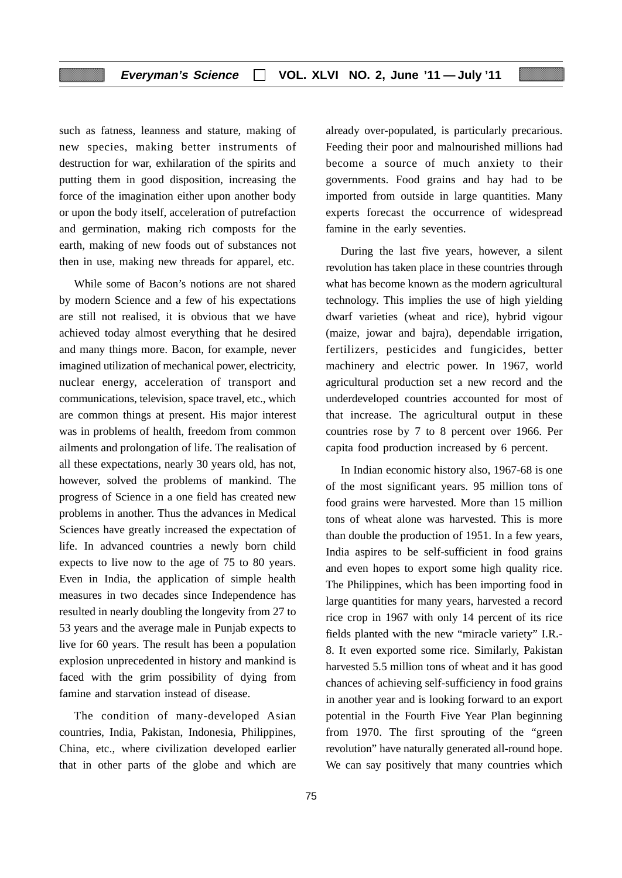such as fatness, leanness and stature, making of new species, making better instruments of destruction for war, exhilaration of the spirits and putting them in good disposition, increasing the force of the imagination either upon another body or upon the body itself, acceleration of putrefaction and germination, making rich composts for the earth, making of new foods out of substances not then in use, making new threads for apparel, etc.

While some of Bacon's notions are not shared by modern Science and a few of his expectations are still not realised, it is obvious that we have achieved today almost everything that he desired and many things more. Bacon, for example, never imagined utilization of mechanical power, electricity, nuclear energy, acceleration of transport and communications, television, space travel, etc., which are common things at present. His major interest was in problems of health, freedom from common ailments and prolongation of life. The realisation of all these expectations, nearly 30 years old, has not, however, solved the problems of mankind. The progress of Science in a one field has created new problems in another. Thus the advances in Medical Sciences have greatly increased the expectation of life. In advanced countries a newly born child expects to live now to the age of 75 to 80 years. Even in India, the application of simple health measures in two decades since Independence has resulted in nearly doubling the longevity from 27 to 53 years and the average male in Punjab expects to live for 60 years. The result has been a population explosion unprecedented in history and mankind is faced with the grim possibility of dying from famine and starvation instead of disease.

The condition of many-developed Asian countries, India, Pakistan, Indonesia, Philippines, China, etc., where civilization developed earlier that in other parts of the globe and which are already over-populated, is particularly precarious. Feeding their poor and malnourished millions had become a source of much anxiety to their governments. Food grains and hay had to be imported from outside in large quantities. Many experts forecast the occurrence of widespread famine in the early seventies.

During the last five years, however, a silent revolution has taken place in these countries through what has become known as the modern agricultural technology. This implies the use of high yielding dwarf varieties (wheat and rice), hybrid vigour (maize, jowar and bajra), dependable irrigation, fertilizers, pesticides and fungicides, better machinery and electric power. In 1967, world agricultural production set a new record and the underdeveloped countries accounted for most of that increase. The agricultural output in these countries rose by 7 to 8 percent over 1966. Per capita food production increased by 6 percent.

In Indian economic history also, 1967-68 is one of the most significant years. 95 million tons of food grains were harvested. More than 15 million tons of wheat alone was harvested. This is more than double the production of 1951. In a few years, India aspires to be self-sufficient in food grains and even hopes to export some high quality rice. The Philippines, which has been importing food in large quantities for many years, harvested a record rice crop in 1967 with only 14 percent of its rice fields planted with the new "miracle variety" I.R.- 8. It even exported some rice. Similarly, Pakistan harvested 5.5 million tons of wheat and it has good chances of achieving self-sufficiency in food grains in another year and is looking forward to an export potential in the Fourth Five Year Plan beginning from 1970. The first sprouting of the "green revolution" have naturally generated all-round hope. We can say positively that many countries which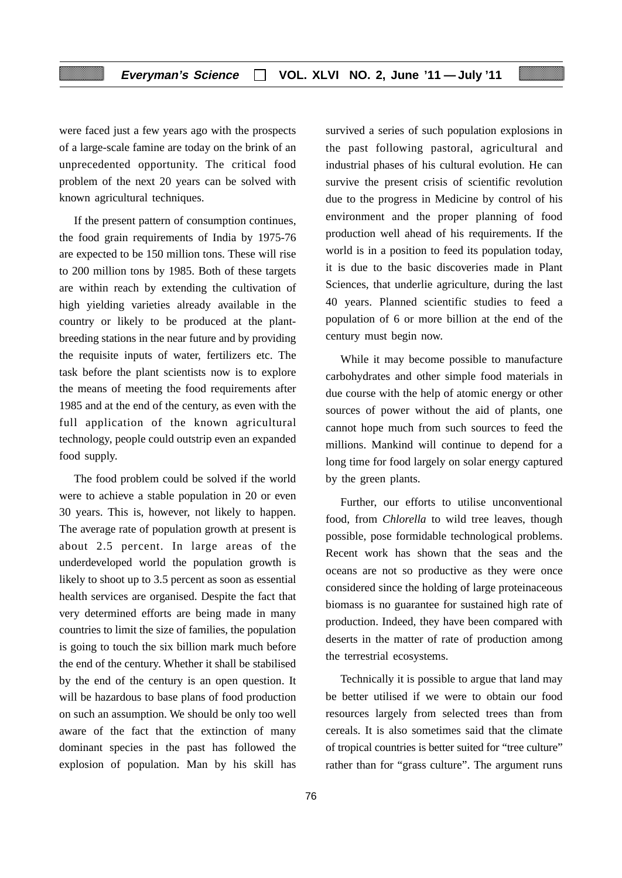were faced just a few years ago with the prospects of a large-scale famine are today on the brink of an unprecedented opportunity. The critical food problem of the next 20 years can be solved with known agricultural techniques.

If the present pattern of consumption continues, the food grain requirements of India by 1975-76 are expected to be 150 million tons. These will rise to 200 million tons by 1985. Both of these targets are within reach by extending the cultivation of high yielding varieties already available in the country or likely to be produced at the plantbreeding stations in the near future and by providing the requisite inputs of water, fertilizers etc. The task before the plant scientists now is to explore the means of meeting the food requirements after 1985 and at the end of the century, as even with the full application of the known agricultural technology, people could outstrip even an expanded food supply.

The food problem could be solved if the world were to achieve a stable population in 20 or even 30 years. This is, however, not likely to happen. The average rate of population growth at present is about 2.5 percent. In large areas of the underdeveloped world the population growth is likely to shoot up to 3.5 percent as soon as essential health services are organised. Despite the fact that very determined efforts are being made in many countries to limit the size of families, the population is going to touch the six billion mark much before the end of the century. Whether it shall be stabilised by the end of the century is an open question. It will be hazardous to base plans of food production on such an assumption. We should be only too well aware of the fact that the extinction of many dominant species in the past has followed the explosion of population. Man by his skill has

survived a series of such population explosions in the past following pastoral, agricultural and industrial phases of his cultural evolution. He can survive the present crisis of scientific revolution due to the progress in Medicine by control of his environment and the proper planning of food production well ahead of his requirements. If the world is in a position to feed its population today, it is due to the basic discoveries made in Plant Sciences, that underlie agriculture, during the last 40 years. Planned scientific studies to feed a population of 6 or more billion at the end of the century must begin now.

While it may become possible to manufacture carbohydrates and other simple food materials in due course with the help of atomic energy or other sources of power without the aid of plants, one cannot hope much from such sources to feed the millions. Mankind will continue to depend for a long time for food largely on solar energy captured by the green plants.

Further, our efforts to utilise unconventional food, from *Chlorella* to wild tree leaves, though possible, pose formidable technological problems. Recent work has shown that the seas and the oceans are not so productive as they were once considered since the holding of large proteinaceous biomass is no guarantee for sustained high rate of production. Indeed, they have been compared with deserts in the matter of rate of production among the terrestrial ecosystems.

Technically it is possible to argue that land may be better utilised if we were to obtain our food resources largely from selected trees than from cereals. It is also sometimes said that the climate of tropical countries is better suited for "tree culture" rather than for "grass culture". The argument runs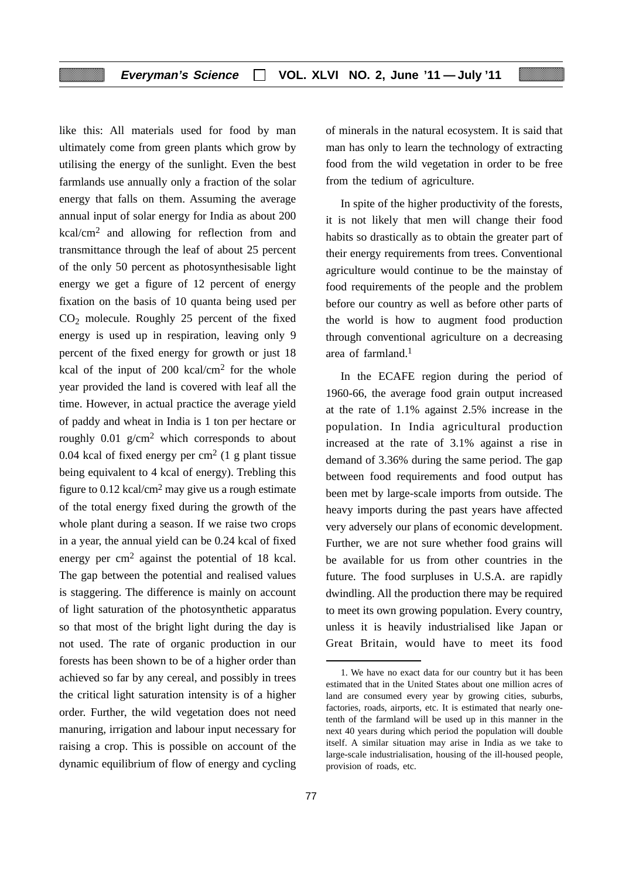like this: All materials used for food by man ultimately come from green plants which grow by utilising the energy of the sunlight. Even the best farmlands use annually only a fraction of the solar energy that falls on them. Assuming the average annual input of solar energy for India as about 200 kcal/cm2 and allowing for reflection from and transmittance through the leaf of about 25 percent of the only 50 percent as photosynthesisable light energy we get a figure of 12 percent of energy fixation on the basis of 10 quanta being used per  $CO<sub>2</sub>$  molecule. Roughly 25 percent of the fixed energy is used up in respiration, leaving only 9 percent of the fixed energy for growth or just 18 kcal of the input of 200 kcal/cm2 for the whole year provided the land is covered with leaf all the time. However, in actual practice the average yield of paddy and wheat in India is 1 ton per hectare or roughly 0.01 g/cm2 which corresponds to about 0.04 kcal of fixed energy per  $\text{cm}^2$  (1 g plant tissue being equivalent to 4 kcal of energy). Trebling this figure to  $0.12$  kcal/cm<sup>2</sup> may give us a rough estimate of the total energy fixed during the growth of the whole plant during a season. If we raise two crops in a year, the annual yield can be 0.24 kcal of fixed energy per  $\text{cm}^2$  against the potential of 18 kcal. The gap between the potential and realised values is staggering. The difference is mainly on account of light saturation of the photosynthetic apparatus so that most of the bright light during the day is not used. The rate of organic production in our forests has been shown to be of a higher order than achieved so far by any cereal, and possibly in trees the critical light saturation intensity is of a higher order. Further, the wild vegetation does not need manuring, irrigation and labour input necessary for raising a crop. This is possible on account of the dynamic equilibrium of flow of energy and cycling of minerals in the natural ecosystem. It is said that man has only to learn the technology of extracting food from the wild vegetation in order to be free from the tedium of agriculture.

In spite of the higher productivity of the forests, it is not likely that men will change their food habits so drastically as to obtain the greater part of their energy requirements from trees. Conventional agriculture would continue to be the mainstay of food requirements of the people and the problem before our country as well as before other parts of the world is how to augment food production through conventional agriculture on a decreasing area of farmland.1

In the ECAFE region during the period of 1960-66, the average food grain output increased at the rate of 1.1% against 2.5% increase in the population. In India agricultural production increased at the rate of 3.1% against a rise in demand of 3.36% during the same period. The gap between food requirements and food output has been met by large-scale imports from outside. The heavy imports during the past years have affected very adversely our plans of economic development. Further, we are not sure whether food grains will be available for us from other countries in the future. The food surpluses in U.S.A. are rapidly dwindling. All the production there may be required to meet its own growing population. Every country, unless it is heavily industrialised like Japan or Great Britain, would have to meet its food

<sup>1.</sup> We have no exact data for our country but it has been estimated that in the United States about one million acres of land are consumed every year by growing cities, suburbs, factories, roads, airports, etc. It is estimated that nearly onetenth of the farmland will be used up in this manner in the next 40 years during which period the population will double itself. A similar situation may arise in India as we take to large-scale industrialisation, housing of the ill-housed people, provision of roads, etc.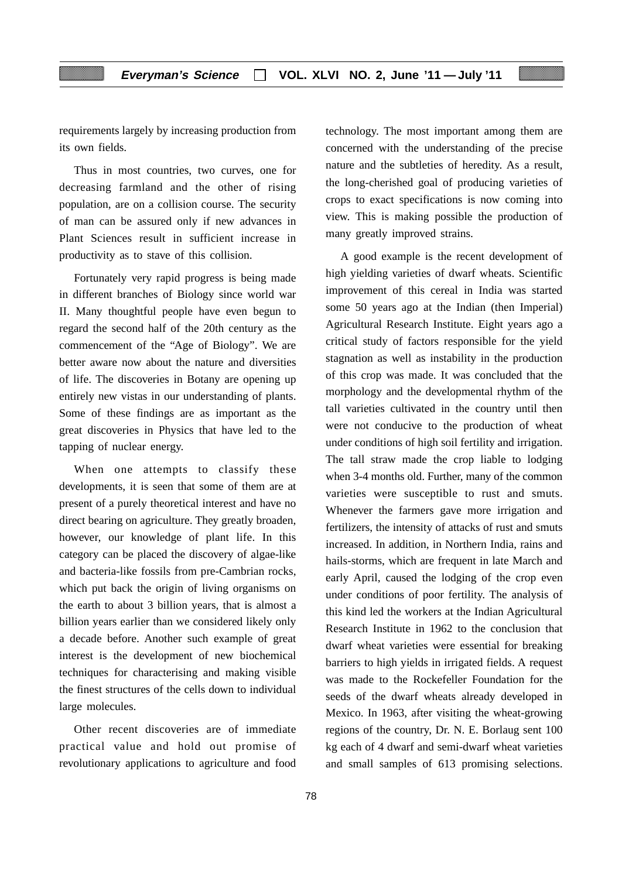requirements largely by increasing production from its own fields.

Thus in most countries, two curves, one for decreasing farmland and the other of rising population, are on a collision course. The security of man can be assured only if new advances in Plant Sciences result in sufficient increase in productivity as to stave of this collision.

Fortunately very rapid progress is being made in different branches of Biology since world war II. Many thoughtful people have even begun to regard the second half of the 20th century as the commencement of the "Age of Biology". We are better aware now about the nature and diversities of life. The discoveries in Botany are opening up entirely new vistas in our understanding of plants. Some of these findings are as important as the great discoveries in Physics that have led to the tapping of nuclear energy.

When one attempts to classify these developments, it is seen that some of them are at present of a purely theoretical interest and have no direct bearing on agriculture. They greatly broaden, however, our knowledge of plant life. In this category can be placed the discovery of algae-like and bacteria-like fossils from pre-Cambrian rocks, which put back the origin of living organisms on the earth to about 3 billion years, that is almost a billion years earlier than we considered likely only a decade before. Another such example of great interest is the development of new biochemical techniques for characterising and making visible the finest structures of the cells down to individual large molecules.

Other recent discoveries are of immediate practical value and hold out promise of revolutionary applications to agriculture and food

technology. The most important among them are concerned with the understanding of the precise nature and the subtleties of heredity. As a result, the long-cherished goal of producing varieties of crops to exact specifications is now coming into view. This is making possible the production of many greatly improved strains.

A good example is the recent development of high yielding varieties of dwarf wheats. Scientific improvement of this cereal in India was started some 50 years ago at the Indian (then Imperial) Agricultural Research Institute. Eight years ago a critical study of factors responsible for the yield stagnation as well as instability in the production of this crop was made. It was concluded that the morphology and the developmental rhythm of the tall varieties cultivated in the country until then were not conducive to the production of wheat under conditions of high soil fertility and irrigation. The tall straw made the crop liable to lodging when 3-4 months old. Further, many of the common varieties were susceptible to rust and smuts. Whenever the farmers gave more irrigation and fertilizers, the intensity of attacks of rust and smuts increased. In addition, in Northern India, rains and hails-storms, which are frequent in late March and early April, caused the lodging of the crop even under conditions of poor fertility. The analysis of this kind led the workers at the Indian Agricultural Research Institute in 1962 to the conclusion that dwarf wheat varieties were essential for breaking barriers to high yields in irrigated fields. A request was made to the Rockefeller Foundation for the seeds of the dwarf wheats already developed in Mexico. In 1963, after visiting the wheat-growing regions of the country, Dr. N. E. Borlaug sent 100 kg each of 4 dwarf and semi-dwarf wheat varieties and small samples of 613 promising selections.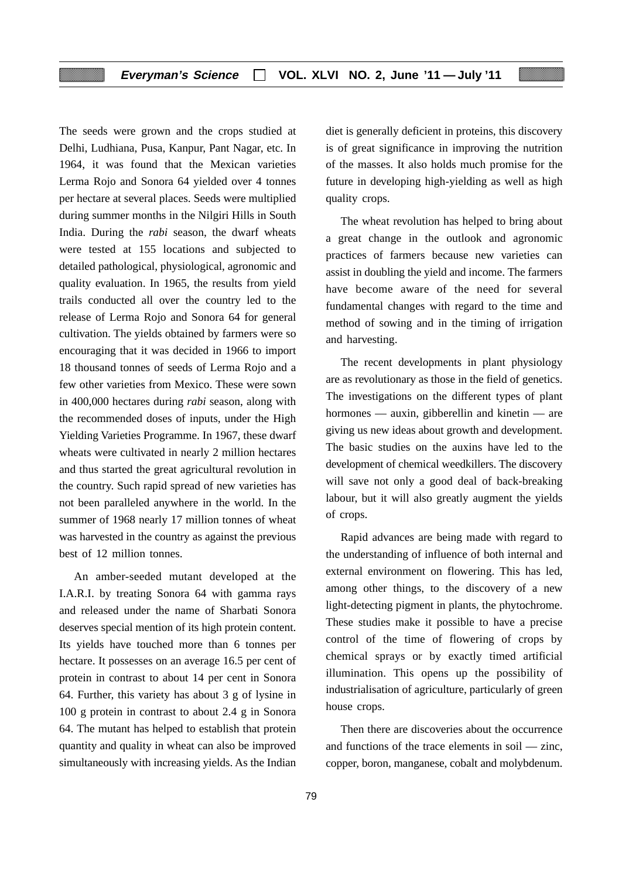The seeds were grown and the crops studied at Delhi, Ludhiana, Pusa, Kanpur, Pant Nagar, etc. In 1964, it was found that the Mexican varieties Lerma Rojo and Sonora 64 yielded over 4 tonnes per hectare at several places. Seeds were multiplied during summer months in the Nilgiri Hills in South India. During the *rabi* season, the dwarf wheats were tested at 155 locations and subjected to detailed pathological, physiological, agronomic and quality evaluation. In 1965, the results from yield trails conducted all over the country led to the release of Lerma Rojo and Sonora 64 for general cultivation. The yields obtained by farmers were so encouraging that it was decided in 1966 to import 18 thousand tonnes of seeds of Lerma Rojo and a few other varieties from Mexico. These were sown in 400,000 hectares during *rabi* season, along with the recommended doses of inputs, under the High Yielding Varieties Programme. In 1967, these dwarf wheats were cultivated in nearly 2 million hectares and thus started the great agricultural revolution in the country. Such rapid spread of new varieties has not been paralleled anywhere in the world. In the summer of 1968 nearly 17 million tonnes of wheat was harvested in the country as against the previous best of 12 million tonnes.

An amber-seeded mutant developed at the I.A.R.I. by treating Sonora 64 with gamma rays and released under the name of Sharbati Sonora deserves special mention of its high protein content. Its yields have touched more than 6 tonnes per hectare. It possesses on an average 16.5 per cent of protein in contrast to about 14 per cent in Sonora 64. Further, this variety has about 3 g of lysine in 100 g protein in contrast to about 2.4 g in Sonora 64. The mutant has helped to establish that protein quantity and quality in wheat can also be improved simultaneously with increasing yields. As the Indian

diet is generally deficient in proteins, this discovery is of great significance in improving the nutrition of the masses. It also holds much promise for the future in developing high-yielding as well as high quality crops.

The wheat revolution has helped to bring about a great change in the outlook and agronomic practices of farmers because new varieties can assist in doubling the yield and income. The farmers have become aware of the need for several fundamental changes with regard to the time and method of sowing and in the timing of irrigation and harvesting.

The recent developments in plant physiology are as revolutionary as those in the field of genetics. The investigations on the different types of plant hormones — auxin, gibberellin and kinetin — are giving us new ideas about growth and development. The basic studies on the auxins have led to the development of chemical weedkillers. The discovery will save not only a good deal of back-breaking labour, but it will also greatly augment the yields of crops.

Rapid advances are being made with regard to the understanding of influence of both internal and external environment on flowering. This has led, among other things, to the discovery of a new light-detecting pigment in plants, the phytochrome. These studies make it possible to have a precise control of the time of flowering of crops by chemical sprays or by exactly timed artificial illumination. This opens up the possibility of industrialisation of agriculture, particularly of green house crops.

Then there are discoveries about the occurrence and functions of the trace elements in soil — zinc, copper, boron, manganese, cobalt and molybdenum.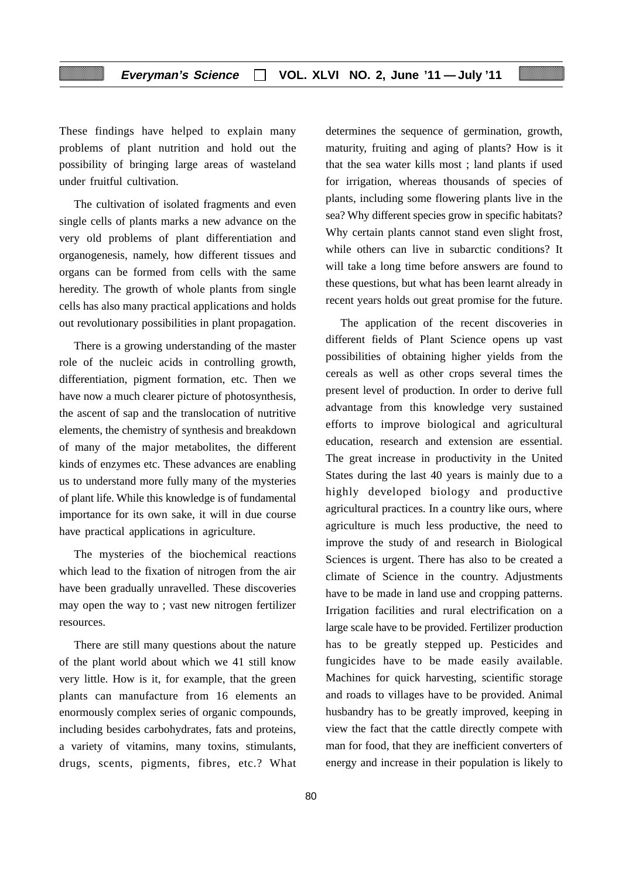These findings have helped to explain many problems of plant nutrition and hold out the possibility of bringing large areas of wasteland under fruitful cultivation.

The cultivation of isolated fragments and even single cells of plants marks a new advance on the very old problems of plant differentiation and organogenesis, namely, how different tissues and organs can be formed from cells with the same heredity. The growth of whole plants from single cells has also many practical applications and holds out revolutionary possibilities in plant propagation.

There is a growing understanding of the master role of the nucleic acids in controlling growth, differentiation, pigment formation, etc. Then we have now a much clearer picture of photosynthesis, the ascent of sap and the translocation of nutritive elements, the chemistry of synthesis and breakdown of many of the major metabolites, the different kinds of enzymes etc. These advances are enabling us to understand more fully many of the mysteries of plant life. While this knowledge is of fundamental importance for its own sake, it will in due course have practical applications in agriculture.

The mysteries of the biochemical reactions which lead to the fixation of nitrogen from the air have been gradually unravelled. These discoveries may open the way to ; vast new nitrogen fertilizer resources.

There are still many questions about the nature of the plant world about which we 41 still know very little. How is it, for example, that the green plants can manufacture from 16 elements an enormously complex series of organic compounds, including besides carbohydrates, fats and proteins, a variety of vitamins, many toxins, stimulants, drugs, scents, pigments, fibres, etc.? What determines the sequence of germination, growth, maturity, fruiting and aging of plants? How is it that the sea water kills most ; land plants if used for irrigation, whereas thousands of species of plants, including some flowering plants live in the sea? Why different species grow in specific habitats? Why certain plants cannot stand even slight frost, while others can live in subarctic conditions? It will take a long time before answers are found to these questions, but what has been learnt already in recent years holds out great promise for the future.

The application of the recent discoveries in different fields of Plant Science opens up vast possibilities of obtaining higher yields from the cereals as well as other crops several times the present level of production. In order to derive full advantage from this knowledge very sustained efforts to improve biological and agricultural education, research and extension are essential. The great increase in productivity in the United States during the last 40 years is mainly due to a highly developed biology and productive agricultural practices. In a country like ours, where agriculture is much less productive, the need to improve the study of and research in Biological Sciences is urgent. There has also to be created a climate of Science in the country. Adjustments have to be made in land use and cropping patterns. Irrigation facilities and rural electrification on a large scale have to be provided. Fertilizer production has to be greatly stepped up. Pesticides and fungicides have to be made easily available. Machines for quick harvesting, scientific storage and roads to villages have to be provided. Animal husbandry has to be greatly improved, keeping in view the fact that the cattle directly compete with man for food, that they are inefficient converters of energy and increase in their population is likely to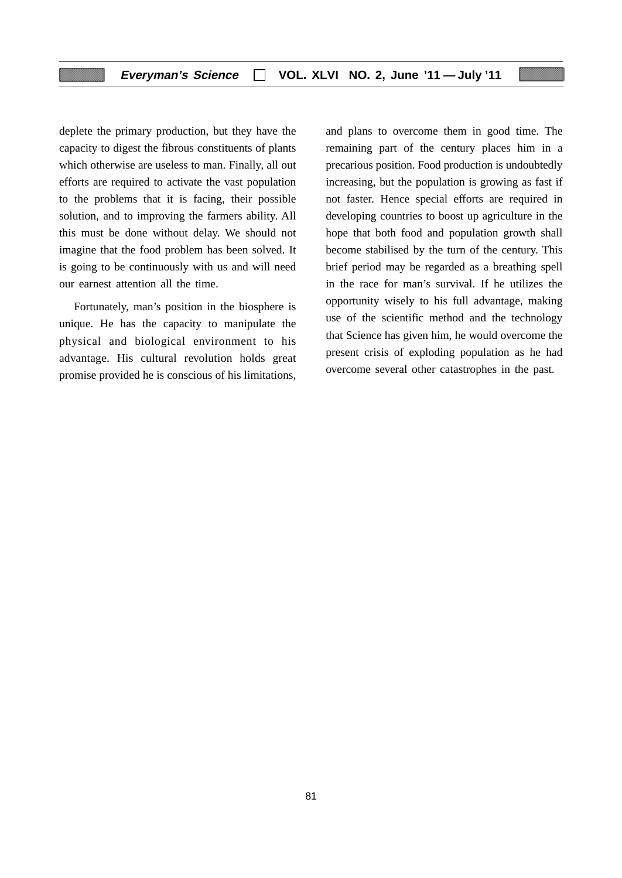deplete the primary production, but they have the capacity to digest the fibrous constituents of plants which otherwise are useless to man. Finally, all out efforts are required to activate the vast population to the problems that it is facing, their possible solution, and to improving the farmers ability. All this must be done without delay. We should not imagine that the food problem has been solved. It is going to be continuously with us and will need our earnest attention all the time.

Fortunately, man's position in the biosphere is unique. He has the capacity to manipulate the physical and biological environment to his advantage. His cultural revolution holds great promise provided he is conscious of his limitations, and plans to overcome them in good time. The remaining part of the century places him in a precarious position. Food production is undoubtedly increasing, but the population is growing as fast if not faster. Hence special efforts are required in developing countries to boost up agriculture in the hope that both food and population growth shall become stabilised by the turn of the century. This brief period may be regarded as a breathing spell in the race for man's survival. If he utilizes the opportunity wisely to his full advantage, making use of the scientific method and the technology that Science has given him, he would overcome the present crisis of exploding population as he had overcome several other catastrophes in the past.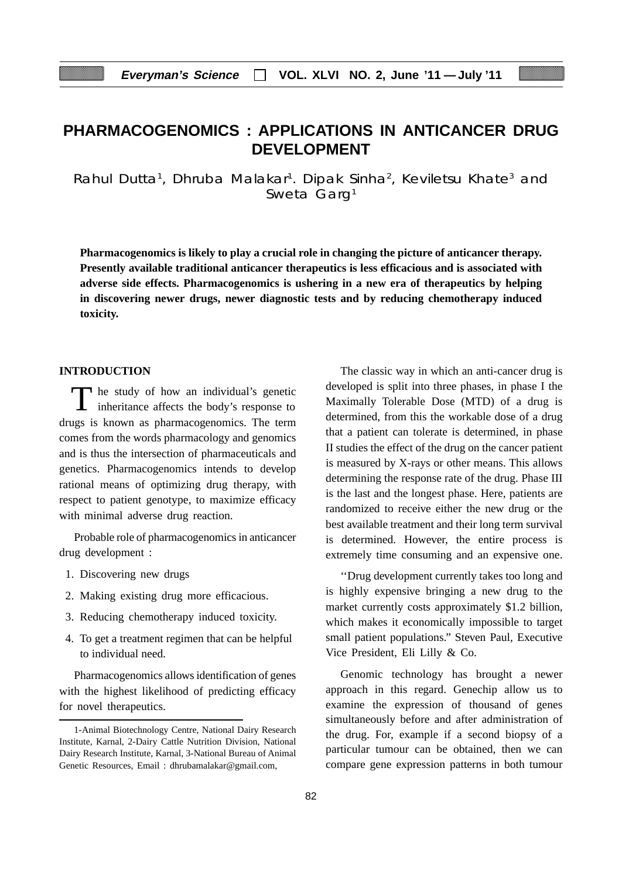# **PHARMACOGENOMICS : APPLICATIONS IN ANTICANCER DRUG DEVELOPMENT**

Rahul Dutta<sup>1</sup>, Dhruba Malakar<sup>1</sup>. Dipak Sinha<sup>2</sup>, Keviletsu Khate<sup>3</sup> and Sweta Garg<sup>1</sup>

**Pharmacogenomics is likely to play a crucial role in changing the picture of anticancer therapy. Presently available traditional anticancer therapeutics is less efficacious and is associated with adverse side effects. Pharmacogenomics is ushering in a new era of therapeutics by helping in discovering newer drugs, newer diagnostic tests and by reducing chemotherapy induced toxicity.**

#### **INTRODUCTION**

The study of how an individual's genetic inheritance affects the body's response to drugs is known as pharmacogenomics. The term comes from the words pharmacology and genomics and is thus the intersection of pharmaceuticals and genetics. Pharmacogenomics intends to develop rational means of optimizing drug therapy, with respect to patient genotype, to maximize efficacy with minimal adverse drug reaction.

Probable role of pharmacogenomics in anticancer drug development :

- 1. Discovering new drugs
- 2. Making existing drug more efficacious.
- 3. Reducing chemotherapy induced toxicity.
- 4. To get a treatment regimen that can be helpful to individual need.

Pharmacogenomics allows identification of genes with the highest likelihood of predicting efficacy for novel therapeutics.

The classic way in which an anti-cancer drug is developed is split into three phases, in phase I the Maximally Tolerable Dose (MTD) of a drug is determined, from this the workable dose of a drug that a patient can tolerate is determined, in phase II studies the effect of the drug on the cancer patient is measured by X-rays or other means. This allows determining the response rate of the drug. Phase III is the last and the longest phase. Here, patients are randomized to receive either the new drug or the best available treatment and their long term survival is determined. However, the entire process is extremely time consuming and an expensive one.

''Drug development currently takes too long and is highly expensive bringing a new drug to the market currently costs approximately \$1.2 billion, which makes it economically impossible to target small patient populations." Steven Paul, Executive Vice President, Eli Lilly & Co.

Genomic technology has brought a newer approach in this regard. Genechip allow us to examine the expression of thousand of genes simultaneously before and after administration of the drug. For, example if a second biopsy of a particular tumour can be obtained, then we can compare gene expression patterns in both tumour

<sup>1-</sup>Animal Biotechnology Centre, National Dairy Research Institute, Karnal, 2-Dairy Cattle Nutrition Division, National Dairy Research Institute, Karnal, 3-National Bureau of Animal Genetic Resources, Email : dhrubamalakar@gmail.com,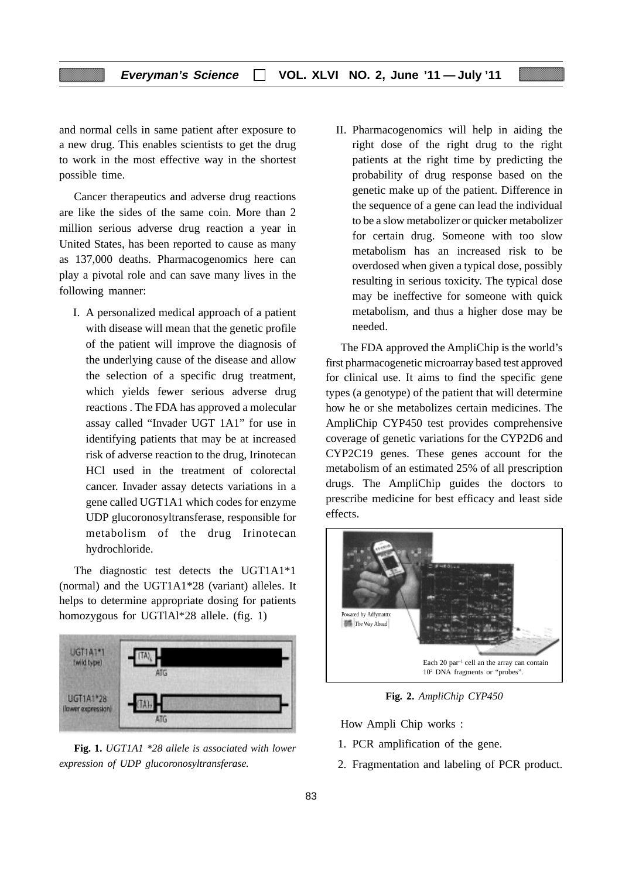# **Everyman's Science VOL. XLVI NO. 2, June '11 — July '11**

and normal cells in same patient after exposure to a new drug. This enables scientists to get the drug to work in the most effective way in the shortest possible time.

Cancer therapeutics and adverse drug reactions are like the sides of the same coin. More than 2 million serious adverse drug reaction a year in United States, has been reported to cause as many as 137,000 deaths. Pharmacogenomics here can play a pivotal role and can save many lives in the following manner:

I. A personalized medical approach of a patient with disease will mean that the genetic profile of the patient will improve the diagnosis of the underlying cause of the disease and allow the selection of a specific drug treatment, which yields fewer serious adverse drug reactions . The FDA has approved a molecular assay called "Invader UGT 1A1" for use in identifying patients that may be at increased risk of adverse reaction to the drug, Irinotecan HCl used in the treatment of colorectal cancer. Invader assay detects variations in a gene called UGT1A1 which codes for enzyme UDP glucoronosyltransferase, responsible for metabolism of the drug Irinotecan hydrochloride.

The diagnostic test detects the UGT1A1\*1 (normal) and the UGT1A1\*28 (variant) alleles. It helps to determine appropriate dosing for patients homozygous for UGTIAl\*28 allele. (fig. 1)



**Fig. 1.** *UGT1A1 \*28 allele is associated with lower expression of UDP glucoronosyltransferase.*

II. Pharmacogenomics will help in aiding the right dose of the right drug to the right patients at the right time by predicting the probability of drug response based on the genetic make up of the patient. Difference in the sequence of a gene can lead the individual to be a slow metabolizer or quicker metabolizer for certain drug. Someone with too slow metabolism has an increased risk to be overdosed when given a typical dose, possibly resulting in serious toxicity. The typical dose may be ineffective for someone with quick metabolism, and thus a higher dose may be needed.

The FDA approved the AmpliChip is the world's first pharmacogenetic microarray based test approved for clinical use. It aims to find the specific gene types (a genotype) of the patient that will determine how he or she metabolizes certain medicines. The AmpliChip CYP450 test provides comprehensive coverage of genetic variations for the CYP2D6 and CYP2C19 genes. These genes account for the metabolism of an estimated 25% of all prescription drugs. The AmpliChip guides the doctors to prescribe medicine for best efficacy and least side effects.



**Fig. 2.** *AmpliChip CYP450*

How Ampli Chip works :

- 1. PCR amplification of the gene.
- 2. Fragmentation and labeling of PCR product.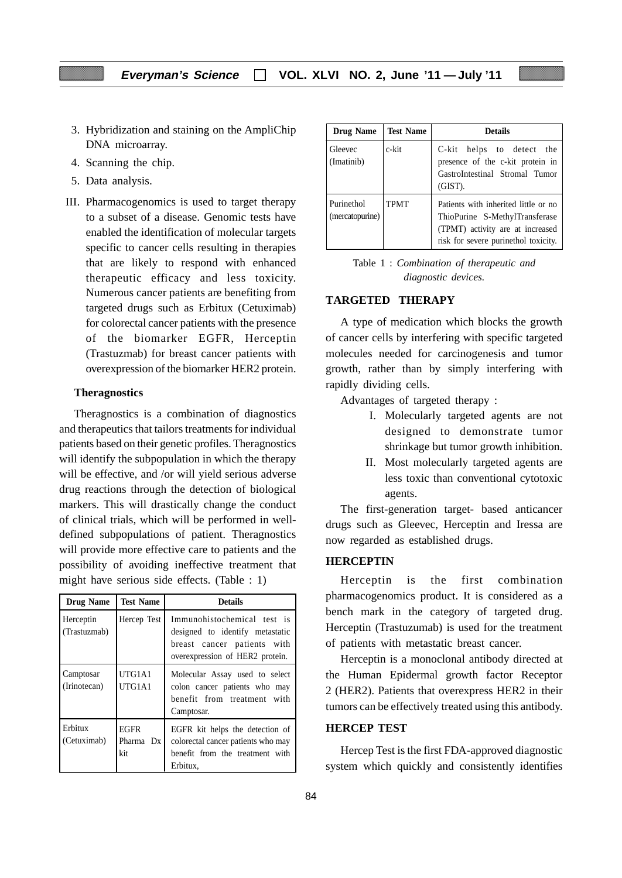- 3. Hybridization and staining on the AmpliChip DNA microarray.
- 4. Scanning the chip.
- 5. Data analysis.
- III. Pharmacogenomics is used to target therapy to a subset of a disease. Genomic tests have enabled the identification of molecular targets specific to cancer cells resulting in therapies that are likely to respond with enhanced therapeutic efficacy and less toxicity. Numerous cancer patients are benefiting from targeted drugs such as Erbitux (Cetuximab) for colorectal cancer patients with the presence of the biomarker EGFR, Herceptin (Trastuzmab) for breast cancer patients with overexpression of the biomarker HER2 protein.

#### **Theragnostics**

Theragnostics is a combination of diagnostics and therapeutics that tailors treatments for individual patients based on their genetic profiles. Theragnostics will identify the subpopulation in which the therapy will be effective, and /or will yield serious adverse drug reactions through the detection of biological markers. This will drastically change the conduct of clinical trials, which will be performed in welldefined subpopulations of patient. Theragnostics will provide more effective care to patients and the possibility of avoiding ineffective treatment that might have serious side effects. (Table : 1)

| <b>Drug Name</b>          | <b>Test Name</b>                | <b>Details</b>                                                                                                                   |
|---------------------------|---------------------------------|----------------------------------------------------------------------------------------------------------------------------------|
| Herceptin<br>(Trastuzmab) | Hercep Test                     | Immunohistochemical test is<br>designed to identify metastatic<br>breast cancer patients with<br>overexpression of HER2 protein. |
| Camptosar<br>(Irinotecan) | UTG1A1<br>UTG1A1                | Molecular Assay used to select<br>colon cancer patients who may<br>benefit from treatment with<br>Camptosar.                     |
| Erbitux<br>(Cetuximab)    | <b>EGFR</b><br>Pharma Dx<br>kit | EGFR kit helps the detection of<br>colorectal cancer patients who may<br>benefit from the treatment with<br>Erbitux,             |

| <b>Drug Name</b>              | <b>Test Name</b> | <b>Details</b>                                                                                                                                     |
|-------------------------------|------------------|----------------------------------------------------------------------------------------------------------------------------------------------------|
| Gleevec<br>(Imatinib)         | c-kit            | C-kit helps to detect the<br>presence of the c-kit protein in<br>GastroIntestinal Stromal Tumor<br>$(GIST)$ .                                      |
| Purinethol<br>(mercatopurine) | <b>TPMT</b>      | Patients with inherited little or no<br>ThioPurine S-MethylTransferase<br>(TPMT) activity are at increased<br>risk for severe purinethol toxicity. |

|  | Table 1: Combination of therapeutic and |  |
|--|-----------------------------------------|--|
|  | diagnostic devices.                     |  |

#### **TARGETED THERAPY**

A type of medication which blocks the growth of cancer cells by interfering with specific targeted molecules needed for carcinogenesis and tumor growth, rather than by simply interfering with rapidly dividing cells.

Advantages of targeted therapy :

- I. Molecularly targeted agents are not designed to demonstrate tumor shrinkage but tumor growth inhibition.
- II. Most molecularly targeted agents are less toxic than conventional cytotoxic agents.

The first-generation target- based anticancer drugs such as Gleevec, Herceptin and Iressa are now regarded as established drugs.

#### **HERCEPTIN**

Herceptin is the first combination pharmacogenomics product. It is considered as a bench mark in the category of targeted drug. Herceptin (Trastuzumab) is used for the treatment of patients with metastatic breast cancer.

Herceptin is a monoclonal antibody directed at the Human Epidermal growth factor Receptor 2 (HER2). Patients that overexpress HER2 in their tumors can be effectively treated using this antibody.

#### **HERCEP TEST**

Hercep Test is the first FDA-approved diagnostic system which quickly and consistently identifies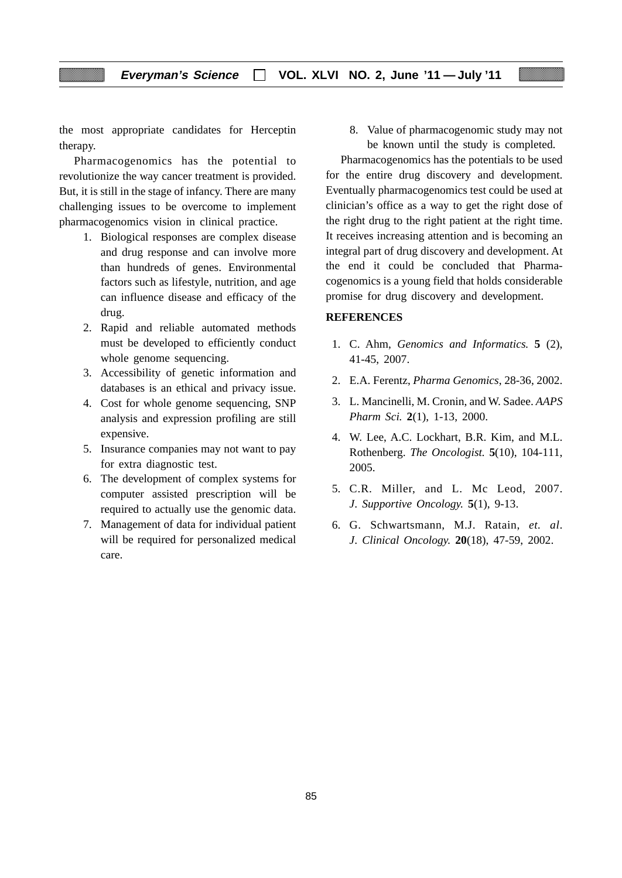the most appropriate candidates for Herceptin therapy.

Pharmacogenomics has the potential to revolutionize the way cancer treatment is provided. But, it is still in the stage of infancy. There are many challenging issues to be overcome to implement pharmacogenomics vision in clinical practice.

- 1. Biological responses are complex disease and drug response and can involve more than hundreds of genes. Environmental factors such as lifestyle, nutrition, and age can influence disease and efficacy of the drug.
- 2. Rapid and reliable automated methods must be developed to efficiently conduct whole genome sequencing.
- 3. Accessibility of genetic information and databases is an ethical and privacy issue.
- 4. Cost for whole genome sequencing, SNP analysis and expression profiling are still expensive.
- 5. Insurance companies may not want to pay for extra diagnostic test.
- 6. The development of complex systems for computer assisted prescription will be required to actually use the genomic data.
- 7. Management of data for individual patient will be required for personalized medical care.

8. Value of pharmacogenomic study may not be known until the study is completed.

Pharmacogenomics has the potentials to be used for the entire drug discovery and development. Eventually pharmacogenomics test could be used at clinician's office as a way to get the right dose of the right drug to the right patient at the right time. It receives increasing attention and is becoming an integral part of drug discovery and development. At the end it could be concluded that Pharmacogenomics is a young field that holds considerable promise for drug discovery and development.

#### **REFERENCES**

- 1. C. Ahm, *Genomics and Informatics.* **5** (2), 41-45, 2007.
- 2. E.A. Ferentz, *Pharma Genomics*, 28-36, 2002.
- 3. L. Mancinelli, M. Cronin, and W. Sadee. *AAPS Pharm Sci.* **2**(1), 1-13, 2000.
- 4. W. Lee, A.C. Lockhart, B.R. Kim, and M.L. Rothenberg. *The Oncologist.* **5**(10), 104-111, 2005.
- 5. C.R. Miller, and L. Mc Leod, 2007. *J*. *Supportive Oncology.* **5**(1), 9-13.
- 6. G. Schwartsmann, M.J. Ratain, *et. al*. *J*. *Clinical Oncology.* **20**(18), 47-59, 2002.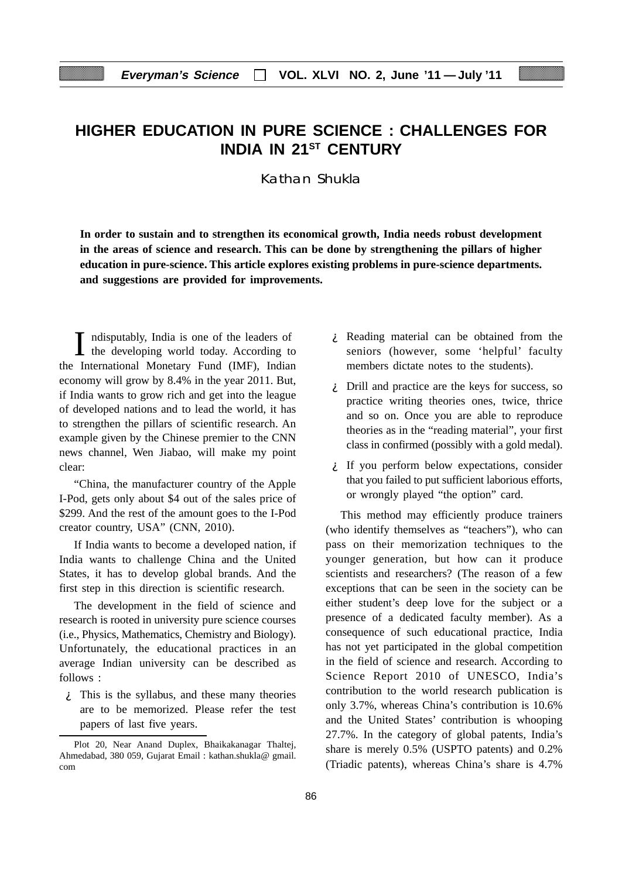# **HIGHER EDUCATION IN PURE SCIENCE : CHALLENGES FOR INDIA IN 21ST CENTURY**

Kathan Shukla

**In order to sustain and to strengthen its economical growth, India needs robust development in the areas of science and research. This can be done by strengthening the pillars of higher education in pure-science. This article explores existing problems in pure-science departments. and suggestions are provided for improvements.**

I ndisputably, India is one of the leaders of<br>the developing world today. According to the International Monetary Fund (IMF), Indian economy will grow by 8.4% in the year 2011. But, if India wants to grow rich and get into the league of developed nations and to lead the world, it has to strengthen the pillars of scientific research. An example given by the Chinese premier to the CNN news channel, Wen Jiabao, will make my point clear:

"China, the manufacturer country of the Apple I-Pod, gets only about \$4 out of the sales price of \$299. And the rest of the amount goes to the I-Pod creator country, USA" (CNN, 2010).

If India wants to become a developed nation, if India wants to challenge China and the United States, it has to develop global brands. And the first step in this direction is scientific research.

The development in the field of science and research is rooted in university pure science courses (i.e., Physics, Mathematics, Chemistry and Biology). Unfortunately, the educational practices in an average Indian university can be described as follows :

¿ This is the syllabus, and these many theories are to be memorized. Please refer the test papers of last five years.

- ¿ Reading material can be obtained from the seniors (however, some 'helpful' faculty members dictate notes to the students).
- ¿ Drill and practice are the keys for success, so practice writing theories ones, twice, thrice and so on. Once you are able to reproduce theories as in the "reading material", your first class in confirmed (possibly with a gold medal).
- ¿ If you perform below expectations, consider that you failed to put sufficient laborious efforts, or wrongly played "the option" card.

This method may efficiently produce trainers (who identify themselves as "teachers"), who can pass on their memorization techniques to the younger generation, but how can it produce scientists and researchers? (The reason of a few exceptions that can be seen in the society can be either student's deep love for the subject or a presence of a dedicated faculty member). As a consequence of such educational practice, India has not yet participated in the global competition in the field of science and research. According to Science Report 2010 of UNESCO, India's contribution to the world research publication is only 3.7%, whereas China's contribution is 10.6% and the United States' contribution is whooping 27.7%. In the category of global patents, India's share is merely 0.5% (USPTO patents) and 0.2% (Triadic patents), whereas China's share is 4.7%

Plot 20, Near Anand Duplex, Bhaikakanagar Thaltej, Ahmedabad, 380 059, Gujarat Email : kathan.shukla@ gmail. com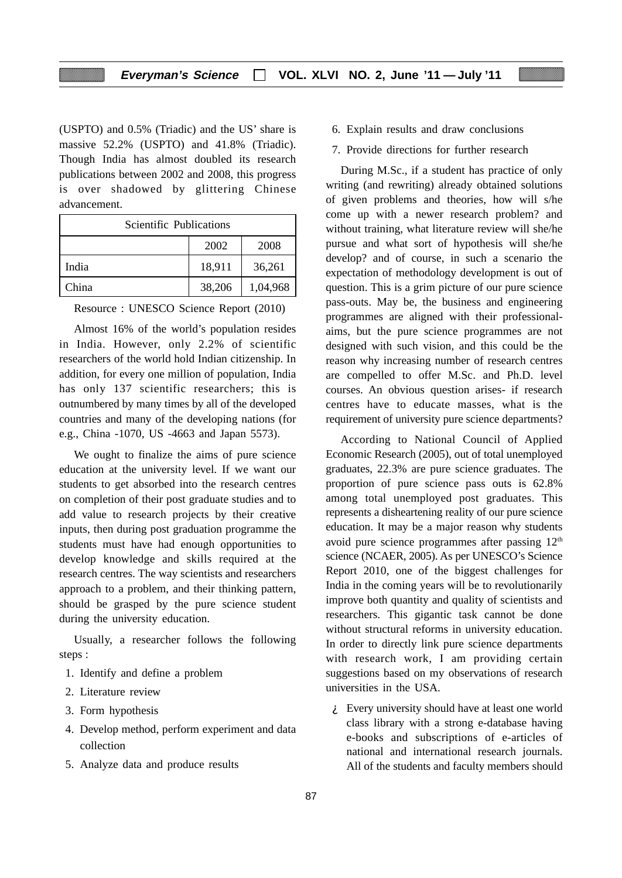(USPTO) and 0.5% (Triadic) and the US' share is massive 52.2% (USPTO) and 41.8% (Triadic). Though India has almost doubled its research publications between 2002 and 2008, this progress is over shadowed by glittering Chinese advancement.

| Scientific Publications |        |          |
|-------------------------|--------|----------|
|                         | 2002   | 2008     |
| India                   | 18,911 | 36,261   |
| China                   | 38,206 | 1,04,968 |

Resource : UNESCO Science Report (2010)

Almost 16% of the world's population resides in India. However, only 2.2% of scientific researchers of the world hold Indian citizenship. In addition, for every one million of population, India has only 137 scientific researchers; this is outnumbered by many times by all of the developed countries and many of the developing nations (for e.g., China -1070, US -4663 and Japan 5573).

We ought to finalize the aims of pure science education at the university level. If we want our students to get absorbed into the research centres on completion of their post graduate studies and to add value to research projects by their creative inputs, then during post graduation programme the students must have had enough opportunities to develop knowledge and skills required at the research centres. The way scientists and researchers approach to a problem, and their thinking pattern, should be grasped by the pure science student during the university education.

Usually, a researcher follows the following steps :

- 1. Identify and define a problem
- 2. Literature review
- 3. Form hypothesis
- 4. Develop method, perform experiment and data collection
- 5. Analyze data and produce results
- 6. Explain results and draw conclusions
- 7. Provide directions for further research

During M.Sc., if a student has practice of only writing (and rewriting) already obtained solutions of given problems and theories, how will s/he come up with a newer research problem? and without training, what literature review will she/he pursue and what sort of hypothesis will she/he develop? and of course, in such a scenario the expectation of methodology development is out of question. This is a grim picture of our pure science pass-outs. May be, the business and engineering programmes are aligned with their professionalaims, but the pure science programmes are not designed with such vision, and this could be the reason why increasing number of research centres are compelled to offer M.Sc. and Ph.D. level courses. An obvious question arises- if research centres have to educate masses, what is the requirement of university pure science departments?

According to National Council of Applied Economic Research (2005), out of total unemployed graduates, 22.3% are pure science graduates. The proportion of pure science pass outs is 62.8% among total unemployed post graduates. This represents a disheartening reality of our pure science education. It may be a major reason why students avoid pure science programmes after passing  $12<sup>th</sup>$ science (NCAER, 2005). As per UNESCO's Science Report 2010, one of the biggest challenges for India in the coming years will be to revolutionarily improve both quantity and quality of scientists and researchers. This gigantic task cannot be done without structural reforms in university education. In order to directly link pure science departments with research work, I am providing certain suggestions based on my observations of research universities in the USA.

¿ Every university should have at least one world class library with a strong e-database having e-books and subscriptions of e-articles of national and international research journals. All of the students and faculty members should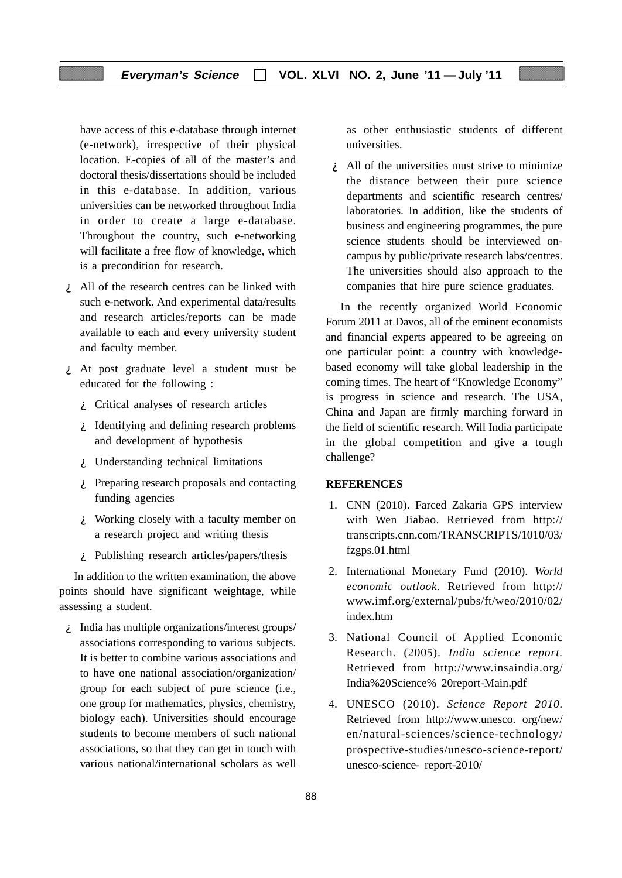have access of this e-database through internet (e-network), irrespective of their physical location. E-copies of all of the master's and doctoral thesis/dissertations should be included in this e-database. In addition, various universities can be networked throughout India in order to create a large e-database. Throughout the country, such e-networking will facilitate a free flow of knowledge, which is a precondition for research.

- ¿ All of the research centres can be linked with such e-network. And experimental data/results and research articles/reports can be made available to each and every university student and faculty member.
- ¿ At post graduate level a student must be educated for the following :
	- ¿ Critical analyses of research articles
	- ¿ Identifying and defining research problems and development of hypothesis
	- ¿ Understanding technical limitations
	- ¿ Preparing research proposals and contacting funding agencies
	- ¿ Working closely with a faculty member on a research project and writing thesis
	- ¿ Publishing research articles/papers/thesis

In addition to the written examination, the above points should have significant weightage, while assessing a student.

¿ India has multiple organizations/interest groups/ associations corresponding to various subjects. It is better to combine various associations and to have one national association/organization/ group for each subject of pure science (i.e., one group for mathematics, physics, chemistry, biology each). Universities should encourage students to become members of such national associations, so that they can get in touch with various national/international scholars as well

as other enthusiastic students of different universities.

¿ All of the universities must strive to minimize the distance between their pure science departments and scientific research centres/ laboratories. In addition, like the students of business and engineering programmes, the pure science students should be interviewed oncampus by public/private research labs/centres. The universities should also approach to the companies that hire pure science graduates.

In the recently organized World Economic Forum 2011 at Davos, all of the eminent economists and financial experts appeared to be agreeing on one particular point: a country with knowledgebased economy will take global leadership in the coming times. The heart of "Knowledge Economy" is progress in science and research. The USA, China and Japan are firmly marching forward in the field of scientific research. Will India participate in the global competition and give a tough challenge?

#### **REFERENCES**

- 1. CNN (2010). Farced Zakaria GPS interview with Wen Jiabao. Retrieved from http:// transcripts.cnn.com/TRANSCRIPTS/1010/03/ fzgps.01.html
- 2. International Monetary Fund (2010). *World economic outlook.* Retrieved from http:// www.imf.org/external/pubs/ft/weo/2010/02/ index.htm
- 3. National Council of Applied Economic Research. (2005). *India science report.* Retrieved from http://www.insaindia.org/ India%20Science% 20report-Main.pdf
- 4. UNESCO (2010). *Science Report 2010.* Retrieved from http://www.unesco. org/new/ en/natural-sciences/science-technology/ prospective-studies/unesco-science-report/ unesco-science- report-2010/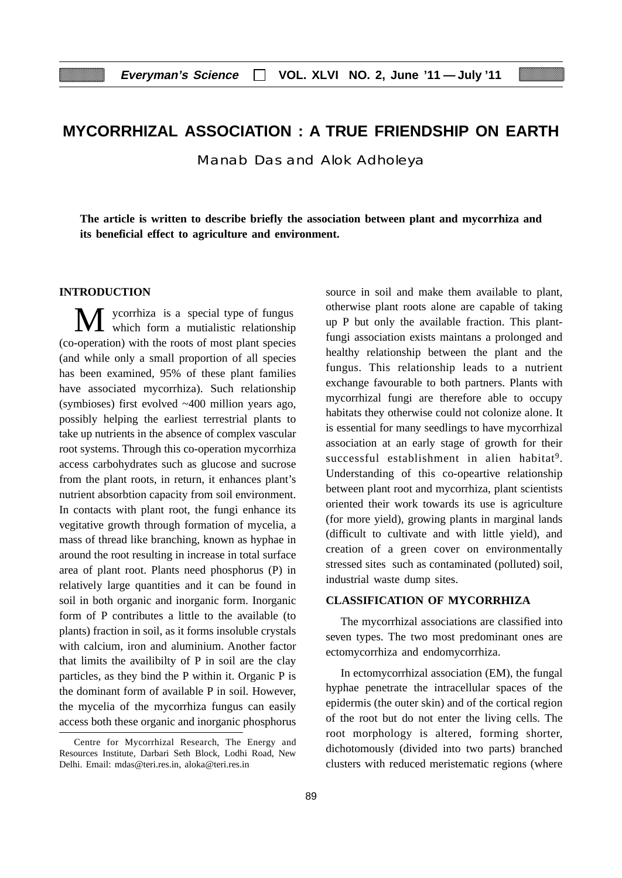# **MYCORRHIZAL ASSOCIATION : A TRUE FRIENDSHIP ON EARTH**

Manab Das and Alok Adholeya

**The article is written to describe briefly the association between plant and mycorrhiza and its beneficial effect to agriculture and environment.**

#### **INTRODUCTION**

M ycorrhiza is a special type of fungus which form a mutialistic relationship (co-operation) with the roots of most plant species (and while only a small proportion of all species has been examined, 95% of these plant families have associated mycorrhiza). Such relationship (symbioses) first evolved ~400 million years ago, possibly helping the earliest terrestrial plants to take up nutrients in the absence of complex vascular root systems. Through this co-operation mycorrhiza access carbohydrates such as glucose and sucrose from the plant roots, in return, it enhances plant's nutrient absorbtion capacity from soil environment. In contacts with plant root, the fungi enhance its vegitative growth through formation of mycelia, a mass of thread like branching, known as hyphae in around the root resulting in increase in total surface area of plant root. Plants need phosphorus (P) in relatively large quantities and it can be found in soil in both organic and inorganic form. Inorganic form of P contributes a little to the available (to plants) fraction in soil, as it forms insoluble crystals with calcium, iron and aluminium. Another factor that limits the availibilty of P in soil are the clay particles, as they bind the P within it. Organic P is the dominant form of available P in soil. However, the mycelia of the mycorrhiza fungus can easily access both these organic and inorganic phosphorus

source in soil and make them available to plant, otherwise plant roots alone are capable of taking up P but only the available fraction. This plantfungi association exists maintans a prolonged and healthy relationship between the plant and the fungus. This relationship leads to a nutrient exchange favourable to both partners. Plants with mycorrhizal fungi are therefore able to occupy habitats they otherwise could not colonize alone. It is essential for many seedlings to have mycorrhizal association at an early stage of growth for their successful establishment in alien habitat<sup>9</sup>. Understanding of this co-opeartive relationship between plant root and mycorrhiza, plant scientists oriented their work towards its use is agriculture (for more yield), growing plants in marginal lands (difficult to cultivate and with little yield), and creation of a green cover on environmentally stressed sites such as contaminated (polluted) soil, industrial waste dump sites.

#### **CLASSIFICATION OF MYCORRHIZA**

The mycorrhizal associations are classified into seven types. The two most predominant ones are ectomycorrhiza and endomycorrhiza.

In ectomycorrhizal association (EM), the fungal hyphae penetrate the intracellular spaces of the epidermis (the outer skin) and of the cortical region of the root but do not enter the living cells. The root morphology is altered, forming shorter, dichotomously (divided into two parts) branched clusters with reduced meristematic regions (where

Centre for Mycorrhizal Research, The Energy and Resources Institute, Darbari Seth Block, Lodhi Road, New Delhi. Email: mdas@teri.res.in, aloka@teri.res.in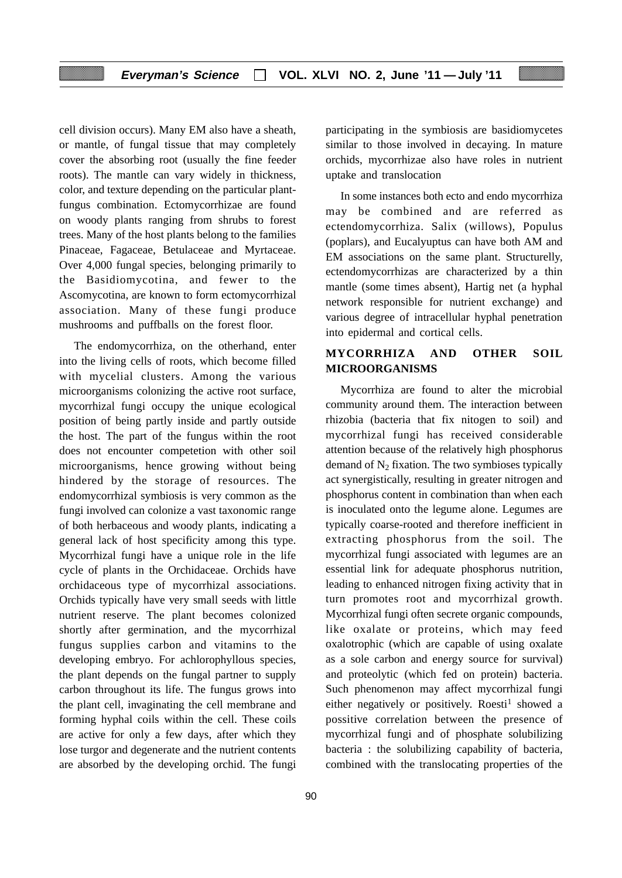cell division occurs). Many EM also have a sheath, or mantle, of fungal tissue that may completely cover the absorbing root (usually the fine feeder roots). The mantle can vary widely in thickness, color, and texture depending on the particular plantfungus combination. Ectomycorrhizae are found on woody plants ranging from shrubs to forest trees. Many of the host plants belong to the families Pinaceae, Fagaceae, Betulaceae and Myrtaceae. Over 4,000 fungal species, belonging primarily to the Basidiomycotina, and fewer to the Ascomycotina, are known to form ectomycorrhizal association. Many of these fungi produce mushrooms and puffballs on the forest floor.

The endomycorrhiza, on the otherhand, enter into the living cells of roots, which become filled with mycelial clusters. Among the various microorganisms colonizing the active root surface, mycorrhizal fungi occupy the unique ecological position of being partly inside and partly outside the host. The part of the fungus within the root does not encounter competetion with other soil microorganisms, hence growing without being hindered by the storage of resources. The endomycorrhizal symbiosis is very common as the fungi involved can colonize a vast taxonomic range of both herbaceous and woody plants, indicating a general lack of host specificity among this type. Mycorrhizal fungi have a unique role in the life cycle of plants in the Orchidaceae. Orchids have orchidaceous type of mycorrhizal associations. Orchids typically have very small seeds with little nutrient reserve. The plant becomes colonized shortly after germination, and the mycorrhizal fungus supplies carbon and vitamins to the developing embryo. For achlorophyllous species, the plant depends on the fungal partner to supply carbon throughout its life. The fungus grows into the plant cell, invaginating the cell membrane and forming hyphal coils within the cell. These coils are active for only a few days, after which they lose turgor and degenerate and the nutrient contents are absorbed by the developing orchid. The fungi

participating in the symbiosis are basidiomycetes similar to those involved in decaying. In mature orchids, mycorrhizae also have roles in nutrient uptake and translocation

In some instances both ecto and endo mycorrhiza may be combined and are referred as ectendomycorrhiza. Salix (willows), Populus (poplars), and Eucalyuptus can have both AM and EM associations on the same plant. Structurelly, ectendomycorrhizas are characterized by a thin mantle (some times absent), Hartig net (a hyphal network responsible for nutrient exchange) and various degree of intracellular hyphal penetration into epidermal and cortical cells.

# **MYCORRHIZA AND OTHER SOIL MICROORGANISMS**

Mycorrhiza are found to alter the microbial community around them. The interaction between rhizobia (bacteria that fix nitogen to soil) and mycorrhizal fungi has received considerable attention because of the relatively high phosphorus demand of  $N_2$  fixation. The two symbioses typically act synergistically, resulting in greater nitrogen and phosphorus content in combination than when each is inoculated onto the legume alone. Legumes are typically coarse-rooted and therefore inefficient in extracting phosphorus from the soil. The mycorrhizal fungi associated with legumes are an essential link for adequate phosphorus nutrition, leading to enhanced nitrogen fixing activity that in turn promotes root and mycorrhizal growth. Mycorrhizal fungi often secrete organic compounds, like oxalate or proteins, which may feed oxalotrophic (which are capable of using oxalate as a sole carbon and energy source for survival) and proteolytic (which fed on protein) bacteria. Such phenomenon may affect mycorrhizal fungi either negatively or positively. Roesti<sup>1</sup> showed a possitive correlation between the presence of mycorrhizal fungi and of phosphate solubilizing bacteria : the solubilizing capability of bacteria, combined with the translocating properties of the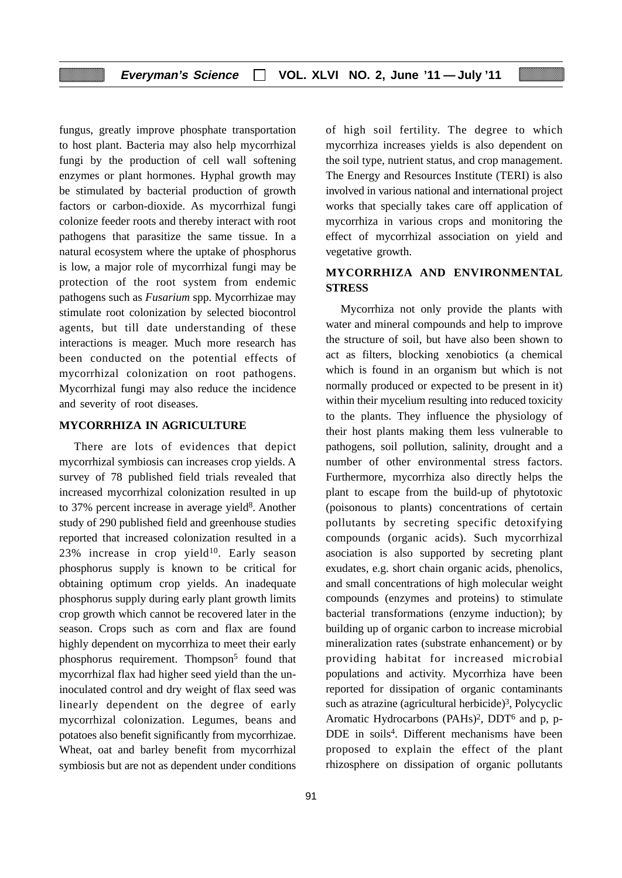fungus, greatly improve phosphate transportation to host plant. Bacteria may also help mycorrhizal fungi by the production of cell wall softening enzymes or plant hormones. Hyphal growth may be stimulated by bacterial production of growth factors or carbon-dioxide. As mycorrhizal fungi colonize feeder roots and thereby interact with root pathogens that parasitize the same tissue. In a natural ecosystem where the uptake of phosphorus is low, a major role of mycorrhizal fungi may be protection of the root system from endemic pathogens such as *Fusarium* spp. Mycorrhizae may stimulate root colonization by selected biocontrol agents, but till date understanding of these interactions is meager. Much more research has been conducted on the potential effects of mycorrhizal colonization on root pathogens. Mycorrhizal fungi may also reduce the incidence and severity of root diseases.

#### **MYCORRHIZA IN AGRICULTURE**

There are lots of evidences that depict mycorrhizal symbiosis can increases crop yields. A survey of 78 published field trials revealed that increased mycorrhizal colonization resulted in up to 37% percent increase in average yield<sup>8</sup>. Another study of 290 published field and greenhouse studies reported that increased colonization resulted in a  $23\%$  increase in crop yield<sup>10</sup>. Early season phosphorus supply is known to be critical for obtaining optimum crop yields. An inadequate phosphorus supply during early plant growth limits crop growth which cannot be recovered later in the season. Crops such as corn and flax are found highly dependent on mycorrhiza to meet their early phosphorus requirement. Thompson<sup>5</sup> found that mycorrhizal flax had higher seed yield than the uninoculated control and dry weight of flax seed was linearly dependent on the degree of early mycorrhizal colonization. Legumes, beans and potatoes also benefit significantly from mycorrhizae. Wheat, oat and barley benefit from mycorrhizal symbiosis but are not as dependent under conditions of high soil fertility. The degree to which mycorrhiza increases yields is also dependent on the soil type, nutrient status, and crop management. The Energy and Resources Institute (TERI) is also involved in various national and international project works that specially takes care off application of mycorrhiza in various crops and monitoring the effect of mycorrhizal association on yield and vegetative growth.

# **MYCORRHIZA AND ENVIRONMENTAL STRESS**

Mycorrhiza not only provide the plants with water and mineral compounds and help to improve the structure of soil, but have also been shown to act as filters, blocking xenobiotics (a chemical which is found in an organism but which is not normally produced or expected to be present in it) within their mycelium resulting into reduced toxicity to the plants. They influence the physiology of their host plants making them less vulnerable to pathogens, soil pollution, salinity, drought and a number of other environmental stress factors. Furthermore, mycorrhiza also directly helps the plant to escape from the build-up of phytotoxic (poisonous to plants) concentrations of certain pollutants by secreting specific detoxifying compounds (organic acids). Such mycorrhizal asociation is also supported by secreting plant exudates, e.g. short chain organic acids, phenolics, and small concentrations of high molecular weight compounds (enzymes and proteins) to stimulate bacterial transformations (enzyme induction); by building up of organic carbon to increase microbial mineralization rates (substrate enhancement) or by providing habitat for increased microbial populations and activity. Mycorrhiza have been reported for dissipation of organic contaminants such as atrazine (agricultural herbicide) $3$ , Polycyclic Aromatic Hydrocarbons (PAHs)<sup>2</sup>, DDT<sup>6</sup> and p, p-DDE in soils<sup>4</sup>. Different mechanisms have been proposed to explain the effect of the plant rhizosphere on dissipation of organic pollutants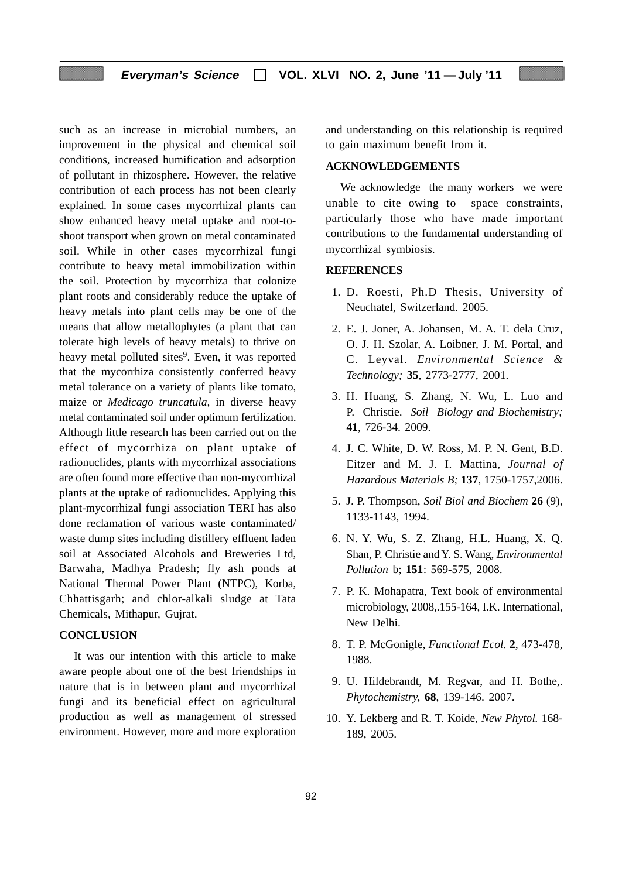such as an increase in microbial numbers, an improvement in the physical and chemical soil conditions, increased humification and adsorption of pollutant in rhizosphere. However, the relative contribution of each process has not been clearly explained. In some cases mycorrhizal plants can show enhanced heavy metal uptake and root-toshoot transport when grown on metal contaminated soil. While in other cases mycorrhizal fungi contribute to heavy metal immobilization within the soil. Protection by mycorrhiza that colonize plant roots and considerably reduce the uptake of heavy metals into plant cells may be one of the means that allow metallophytes (a plant that can tolerate high levels of heavy metals) to thrive on heavy metal polluted sites<sup>9</sup>. Even, it was reported that the mycorrhiza consistently conferred heavy metal tolerance on a variety of plants like tomato, maize or *Medicago truncatula,* in diverse heavy metal contaminated soil under optimum fertilization. Although little research has been carried out on the effect of mycorrhiza on plant uptake of radionuclides, plants with mycorrhizal associations are often found more effective than non-mycorrhizal plants at the uptake of radionuclides. Applying this plant-mycorrhizal fungi association TERI has also done reclamation of various waste contaminated/ waste dump sites including distillery effluent laden soil at Associated Alcohols and Breweries Ltd, Barwaha, Madhya Pradesh; fly ash ponds at National Thermal Power Plant (NTPC), Korba, Chhattisgarh; and chlor-alkali sludge at Tata Chemicals, Mithapur, Gujrat.

### **CONCLUSION**

It was our intention with this article to make aware people about one of the best friendships in nature that is in between plant and mycorrhizal fungi and its beneficial effect on agricultural production as well as management of stressed environment. However, more and more exploration and understanding on this relationship is required to gain maximum benefit from it.

#### **ACKNOWLEDGEMENTS**

We acknowledge the many workers we were unable to cite owing to space constraints, particularly those who have made important contributions to the fundamental understanding of mycorrhizal symbiosis.

#### **REFERENCES**

- 1. D. Roesti, Ph.D Thesis, University of Neuchatel, Switzerland. 2005.
- 2. E. J. Joner, A. Johansen, M. A. T. dela Cruz, O. J. H. Szolar, A. Loibner, J. M. Portal, and C. Leyval. *Environmental Science & Technology;* **35**, 2773-2777, 2001.
- 3. H. Huang, S. Zhang, N. Wu, L. Luo and P. Christie. *Soil Biology and Biochemistry;* **41**, 726-34. 2009.
- 4. J. C. White, D. W. Ross, M. P. N. Gent, B.D. Eitzer and M. J. I. Mattina, *Journal of Hazardous Materials B;* **137**, 1750-1757,2006.
- 5. J. P. Thompson, *Soil Biol and Biochem* **26** (9), 1133-1143, 1994.
- 6. N. Y. Wu, S. Z. Zhang, H.L. Huang, X. Q. Shan, P. Christie and Y. S. Wang, *Environmental Pollution* b; **151**: 569-575, 2008.
- 7. P. K. Mohapatra, Text book of environmental microbiology, 2008,.155-164, I.K. International, New Delhi.
- 8. T. P. McGonigle, *Functional Ecol.* **2**, 473-478, 1988.
- 9. U. Hildebrandt, M. Regvar, and H. Bothe,. *Phytochemistry,* **68**, 139-146. 2007.
- 10. Y. Lekberg and R. T. Koide, *New Phytol.* 168- 189, 2005.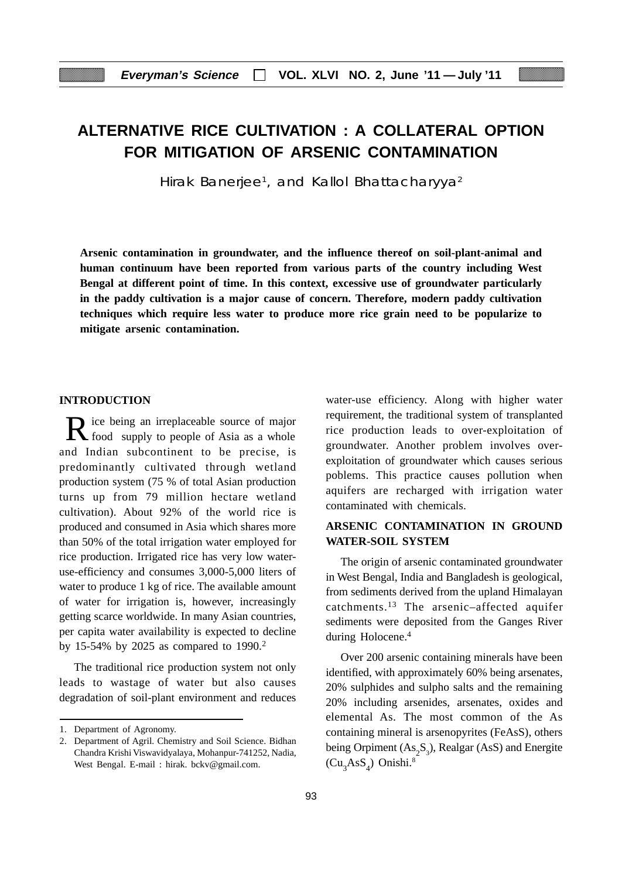# **ALTERNATIVE RICE CULTIVATION : A COLLATERAL OPTION FOR MITIGATION OF ARSENIC CONTAMINATION**

Hirak Banerjee<sup>1</sup>, and Kallol Bhattacharyya<sup>2</sup>

**Arsenic contamination in groundwater, and the influence thereof on soil-plant-animal and human continuum have been reported from various parts of the country including West Bengal at different point of time. In this context, excessive use of groundwater particularly in the paddy cultivation is a major cause of concern. Therefore, modern paddy cultivation techniques which require less water to produce more rice grain need to be popularize to mitigate arsenic contamination.**

#### **INTRODUCTION**

Rice being an irreplaceable source of major<br>
food supply to people of Asia as a whole and Indian subcontinent to be precise, is predominantly cultivated through wetland production system (75 % of total Asian production turns up from 79 million hectare wetland cultivation). About 92% of the world rice is produced and consumed in Asia which shares more than 50% of the total irrigation water employed for rice production. Irrigated rice has very low wateruse-efficiency and consumes 3,000-5,000 liters of water to produce 1 kg of rice. The available amount of water for irrigation is, however, increasingly getting scarce worldwide. In many Asian countries, per capita water availability is expected to decline by 15-54% by 2025 as compared to 1990.2

The traditional rice production system not only leads to wastage of water but also causes degradation of soil-plant environment and reduces water-use efficiency. Along with higher water requirement, the traditional system of transplanted rice production leads to over-exploitation of groundwater. Another problem involves overexploitation of groundwater which causes serious poblems. This practice causes pollution when aquifers are recharged with irrigation water contaminated with chemicals.

# **ARSENIC CONTAMINATION IN GROUND WATER-SOIL SYSTEM**

The origin of arsenic contaminated groundwater in West Bengal, India and Bangladesh is geological, from sediments derived from the upland Himalayan catchments.13 The arsenic–affected aquifer sediments were deposited from the Ganges River during Holocene.<sup>4</sup>

Over 200 arsenic containing minerals have been identified, with approximately 60% being arsenates, 20% sulphides and sulpho salts and the remaining 20% including arsenides, arsenates, oxides and elemental As. The most common of the As containing mineral is arsenopyrites (FeAsS), others being Orpiment  $(As_2S_3)$ , Realgar  $(Ass)$  and Energite  $(Cu_3 Ass_4)$  Onishi.<sup>8</sup>

<sup>1.</sup> Department of Agronomy.

<sup>2.</sup> Department of Agril. Chemistry and Soil Science. Bidhan Chandra Krishi Viswavidyalaya, Mohanpur-741252, Nadia, West Bengal. E-mail: hirak. bckv@gmail.com.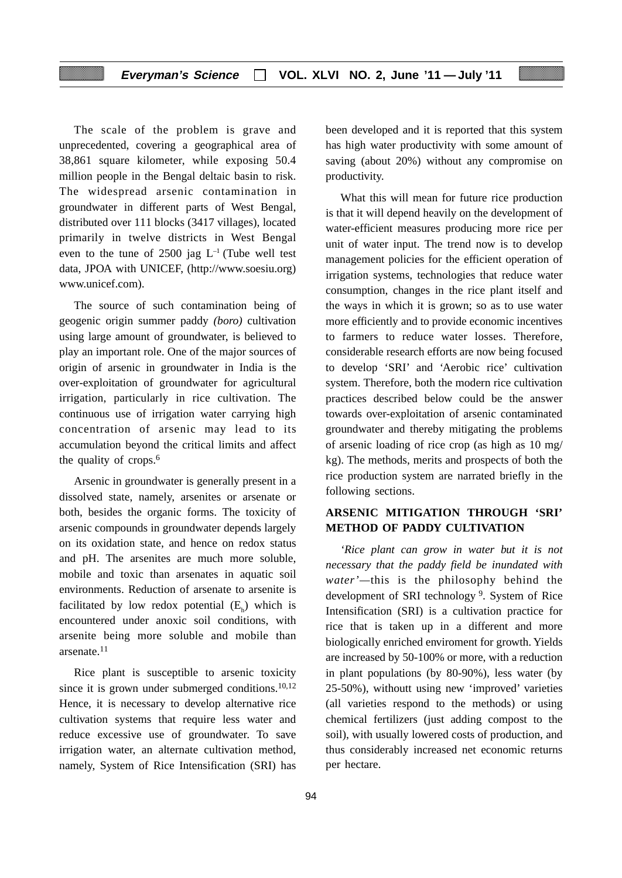### **Everyman's Science VOL. XLVI NO. 2, June '11 — July '11**

The scale of the problem is grave and unprecedented, covering a geographical area of 38,861 square kilometer, while exposing 50.4 million people in the Bengal deltaic basin to risk. The widespread arsenic contamination in groundwater in different parts of West Bengal, distributed over 111 blocks (3417 villages), located primarily in twelve districts in West Bengal even to the tune of  $2500$  jag  $L^{-1}$  (Tube well test data, JPOA with UNICEF, (http://www.soesiu.org) www.unicef.com).

The source of such contamination being of geogenic origin summer paddy *(boro)* cultivation using large amount of groundwater, is believed to play an important role. One of the major sources of origin of arsenic in groundwater in India is the over-exploitation of groundwater for agricultural irrigation, particularly in rice cultivation. The continuous use of irrigation water carrying high concentration of arsenic may lead to its accumulation beyond the critical limits and affect the quality of crops.6

Arsenic in groundwater is generally present in a dissolved state, namely, arsenites or arsenate or both, besides the organic forms. The toxicity of arsenic compounds in groundwater depends largely on its oxidation state, and hence on redox status and pH. The arsenites are much more soluble, mobile and toxic than arsenates in aquatic soil environments. Reduction of arsenate to arsenite is facilitated by low redox potential  $(E_h)$  which is encountered under anoxic soil conditions, with arsenite being more soluble and mobile than arsenate.11

Rice plant is susceptible to arsenic toxicity since it is grown under submerged conditions. $10,12$ Hence, it is necessary to develop alternative rice cultivation systems that require less water and reduce excessive use of groundwater. To save irrigation water, an alternate cultivation method, namely, System of Rice Intensification (SRI) has

been developed and it is reported that this system has high water productivity with some amount of saving (about 20%) without any compromise on productivity.

What this will mean for future rice production is that it will depend heavily on the development of water-efficient measures producing more rice per unit of water input. The trend now is to develop management policies for the efficient operation of irrigation systems, technologies that reduce water consumption, changes in the rice plant itself and the ways in which it is grown; so as to use water more efficiently and to provide economic incentives to farmers to reduce water losses. Therefore, considerable research efforts are now being focused to develop 'SRI' and 'Aerobic rice' cultivation system. Therefore, both the modern rice cultivation practices described below could be the answer towards over-exploitation of arsenic contaminated groundwater and thereby mitigating the problems of arsenic loading of rice crop (as high as 10 mg/ kg). The methods, merits and prospects of both the rice production system are narrated briefly in the following sections.

# **ARSENIC MITIGATION THROUGH 'SRI' METHOD OF PADDY CULTIVATION**

*'Rice plant can grow in water but it is not necessary that the paddy field be inundated with water'—*this is the philosophy behind the development of SRI technology 9. System of Rice Intensification (SRI) is a cultivation practice for rice that is taken up in a different and more biologically enriched enviroment for growth. Yields are increased by 50-100% or more, with a reduction in plant populations (by 80-90%), less water (by 25-50%), withoutt using new 'improved' varieties (all varieties respond to the methods) or using chemical fertilizers (just adding compost to the soil), with usually lowered costs of production, and thus considerably increased net economic returns per hectare.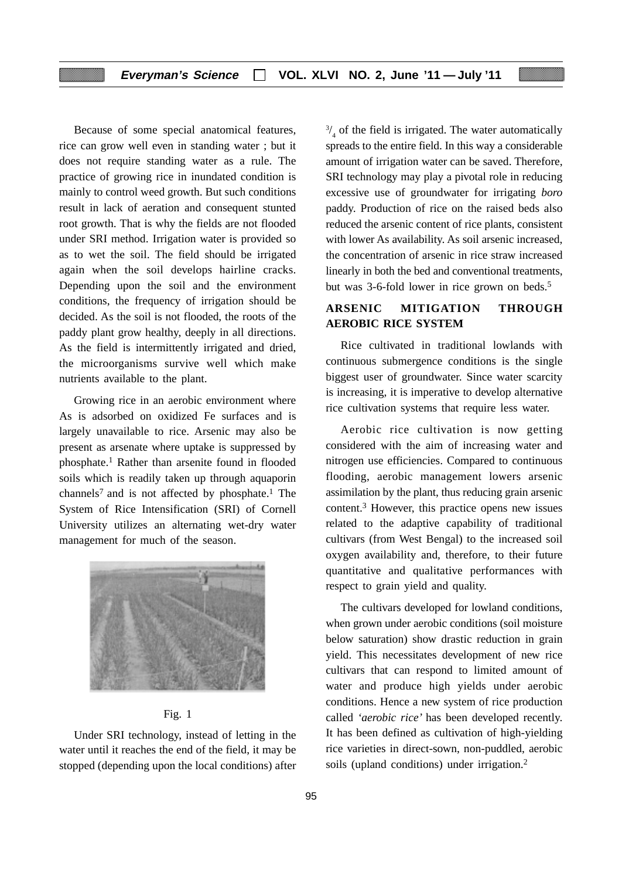Because of some special anatomical features, rice can grow well even in standing water ; but it does not require standing water as a rule. The practice of growing rice in inundated condition is mainly to control weed growth. But such conditions result in lack of aeration and consequent stunted root growth. That is why the fields are not flooded under SRI method. Irrigation water is provided so as to wet the soil. The field should be irrigated again when the soil develops hairline cracks. Depending upon the soil and the environment conditions, the frequency of irrigation should be decided. As the soil is not flooded, the roots of the paddy plant grow healthy, deeply in all directions. As the field is intermittently irrigated and dried, the microorganisms survive well which make nutrients available to the plant.

Growing rice in an aerobic environment where As is adsorbed on oxidized Fe surfaces and is largely unavailable to rice. Arsenic may also be present as arsenate where uptake is suppressed by phosphate.1 Rather than arsenite found in flooded soils which is readily taken up through aquaporin channels<sup>7</sup> and is not affected by phosphate.<sup>1</sup> The System of Rice Intensification (SRI) of Cornell University utilizes an alternating wet-dry water management for much of the season.



#### Fig. 1

Under SRI technology, instead of letting in the water until it reaches the end of the field, it may be stopped (depending upon the local conditions) after

 $\frac{3}{4}$  of the field is irrigated. The water automatically spreads to the entire field. In this way a considerable amount of irrigation water can be saved. Therefore, SRI technology may play a pivotal role in reducing excessive use of groundwater for irrigating *boro* paddy. Production of rice on the raised beds also reduced the arsenic content of rice plants, consistent with lower As availability. As soil arsenic increased, the concentration of arsenic in rice straw increased linearly in both the bed and conventional treatments, but was 3-6-fold lower in rice grown on beds.5

# **ARSENIC MITIGATION THROUGH AEROBIC RICE SYSTEM**

Rice cultivated in traditional lowlands with continuous submergence conditions is the single biggest user of groundwater. Since water scarcity is increasing, it is imperative to develop alternative rice cultivation systems that require less water.

Aerobic rice cultivation is now getting considered with the aim of increasing water and nitrogen use efficiencies. Compared to continuous flooding, aerobic management lowers arsenic assimilation by the plant, thus reducing grain arsenic content.3 However, this practice opens new issues related to the adaptive capability of traditional cultivars (from West Bengal) to the increased soil oxygen availability and, therefore, to their future quantitative and qualitative performances with respect to grain yield and quality.

The cultivars developed for lowland conditions, when grown under aerobic conditions (soil moisture below saturation) show drastic reduction in grain yield. This necessitates development of new rice cultivars that can respond to limited amount of water and produce high yields under aerobic conditions. Hence a new system of rice production called *'aerobic rice'* has been developed recently. It has been defined as cultivation of high-yielding rice varieties in direct-sown, non-puddled, aerobic soils (upland conditions) under irrigation.<sup>2</sup>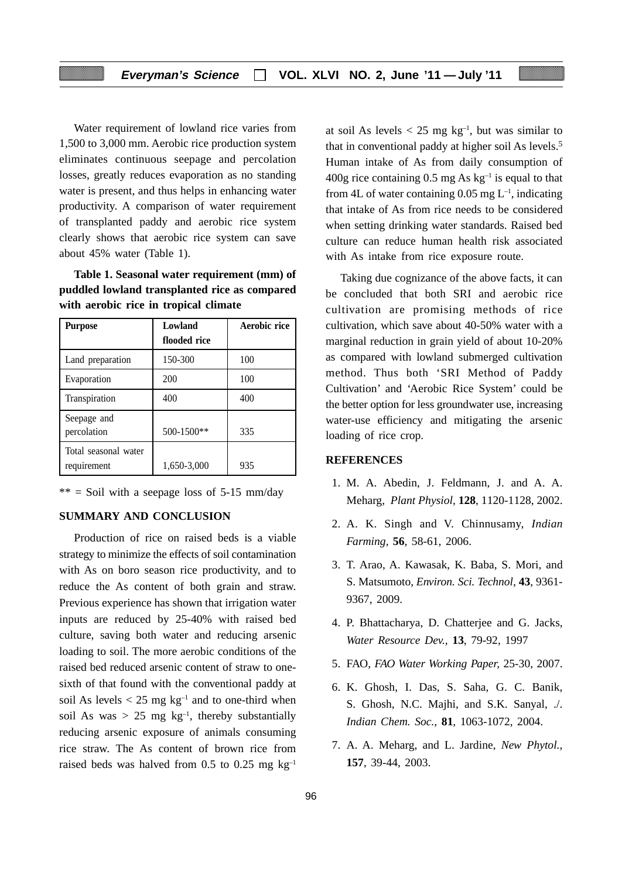Water requirement of lowland rice varies from 1,500 to 3,000 mm. Aerobic rice production system eliminates continuous seepage and percolation losses, greatly reduces evaporation as no standing water is present, and thus helps in enhancing water productivity. A comparison of water requirement of transplanted paddy and aerobic rice system clearly shows that aerobic rice system can save about 45% water (Table 1).

**Table 1. Seasonal water requirement (mm) of puddled lowland transplanted rice as compared with aerobic rice in tropical climate**

| <b>Purpose</b>                      | Lowland<br>flooded rice | Aerobic rice |
|-------------------------------------|-------------------------|--------------|
| Land preparation                    | 150-300                 | 100          |
| Evaporation                         | 200                     | 100          |
| Transpiration                       | 400                     | 400          |
| Seepage and<br>percolation          | 500-1500**              | 335          |
| Total seasonal water<br>requirement | 1,650-3,000             | 935          |

 $**$  = Soil with a seepage loss of 5-15 mm/day

#### **SUMMARY AND CONCLUSION**

Production of rice on raised beds is a viable strategy to minimize the effects of soil contamination with As on boro season rice productivity, and to reduce the As content of both grain and straw. Previous experience has shown that irrigation water inputs are reduced by 25-40% with raised bed culture, saving both water and reducing arsenic loading to soil. The more aerobic conditions of the raised bed reduced arsenic content of straw to onesixth of that found with the conventional paddy at soil As levels  $< 25$  mg kg<sup>-1</sup> and to one-third when soil As was  $> 25$  mg kg<sup>-1</sup>, thereby substantially reducing arsenic exposure of animals consuming rice straw. The As content of brown rice from raised beds was halved from 0.5 to 0.25 mg  $kg^{-1}$ 

at soil As levels  $< 25$  mg kg<sup>-1</sup>, but was similar to that in conventional paddy at higher soil As levels.5 Human intake of As from daily consumption of 400g rice containing 0.5 mg As  $kg^{-1}$  is equal to that from 4L of water containing  $0.05$  mg  $L^{-1}$ , indicating that intake of As from rice needs to be considered when setting drinking water standards. Raised bed culture can reduce human health risk associated with As intake from rice exposure route.

Taking due cognizance of the above facts, it can be concluded that both SRI and aerobic rice cultivation are promising methods of rice cultivation, which save about 40-50% water with a marginal reduction in grain yield of about 10-20% as compared with lowland submerged cultivation method. Thus both 'SRI Method of Paddy Cultivation' and 'Aerobic Rice System' could be the better option for less groundwater use, increasing water-use efficiency and mitigating the arsenic loading of rice crop.

#### **REFERENCES**

- 1. M. A. Abedin, J. Feldmann, J. and A. A. Meharg, *Plant Physiol,* **128**, 1120-1128, 2002.
- 2. A. K. Singh and V. Chinnusamy, *Indian Farming,* **56**, 58-61, 2006.
- 3. T. Arao, A. Kawasak, K. Baba, S. Mori, and S. Matsumoto, *Environ. Sci. Technol,* **43**, 9361- 9367, 2009.
- 4. P. Bhattacharya, D. Chatterjee and G. Jacks, *Water Resource Dev.,* **13**, 79-92, 1997
- 5. FAO, *FAO Water Working Paper,* 25-30, 2007.
- 6. K. Ghosh, I. Das, S. Saha, G. C. Banik, S. Ghosh, N.C. Majhi, and S.K. Sanyal, ./. *Indian Chem. Soc.,* **81**, 1063-1072, 2004.
- 7. A. A. Meharg, and L. Jardine, *New Phytol.,* **157**, 39-44, 2003.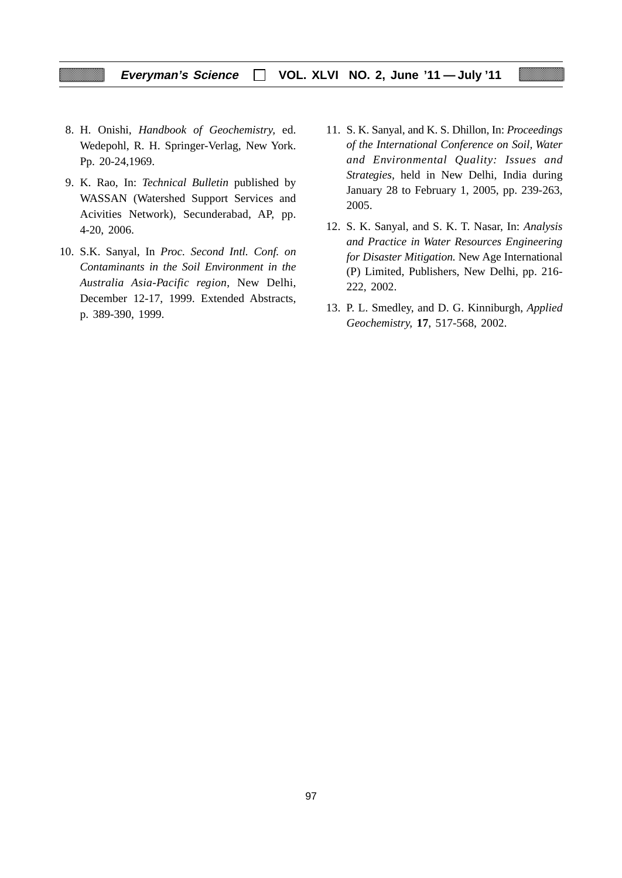# **Everyman's Science VOL. XLVI NO. 2, June '11 — July '11**

- 8. H. Onishi, *Handbook of Geochemistry,* ed. Wedepohl, R. H. Springer-Verlag, New York. Pp. 20-24,1969.
- 9. K. Rao, In: *Technical Bulletin* published by WASSAN (Watershed Support Services and Acivities Network), Secunderabad, AP, pp. 4-20, 2006.
- 10. S.K. Sanyal, In *Proc. Second Intl. Conf. on Contaminants in the Soil Environment in the Australia Asia-Pacific region*, New Delhi, December 12-17, 1999. Extended Abstracts, p. 389-390, 1999.
- 11. S. K. Sanyal, and K. S. Dhillon, In: *Proceedings of the International Conference on Soil, Water and Environmental Quality: Issues and Strategies,* held in New Delhi, India during January 28 to February 1, 2005, pp. 239-263, 2005.
- 12. S. K. Sanyal, and S. K. T. Nasar, In: *Analysis and Practice in Water Resources Engineering for Disaster Mitigation.* New Age International (P) Limited, Publishers, New Delhi, pp. 216- 222, 2002.
- 13. P. L. Smedley, and D. G. Kinniburgh, *Applied Geochemistry,* **17**, 517-568, 2002.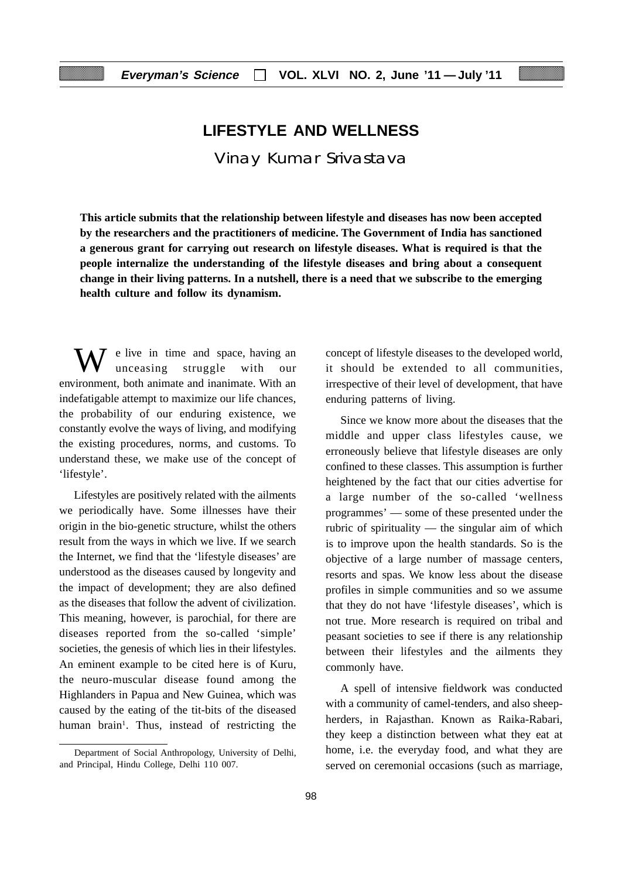# **LIFESTYLE AND WELLNESS**

Vinay Kumar Srivastava

**This article submits that the relationship between lifestyle and diseases has now been accepted by the researchers and the practitioners of medicine. The Government of India has sanctioned a generous grant for carrying out research on lifestyle diseases. What is required is that the people internalize the understanding of the lifestyle diseases and bring about a consequent change in their living patterns. In a nutshell, there is a need that we subscribe to the emerging health culture and follow its dynamism.**

e live in time and space, having an unceasing struggle with our unceasing environment, both animate and inanimate. With an indefatigable attempt to maximize our life chances, the probability of our enduring existence, we constantly evolve the ways of living, and modifying the existing procedures, norms, and customs. To understand these, we make use of the concept of 'lifestyle'.

Lifestyles are positively related with the ailments we periodically have. Some illnesses have their origin in the bio-genetic structure, whilst the others result from the ways in which we live. If we search the Internet, we find that the 'lifestyle diseases' are understood as the diseases caused by longevity and the impact of development; they are also defined as the diseases that follow the advent of civilization. This meaning, however, is parochial, for there are diseases reported from the so-called 'simple' societies, the genesis of which lies in their lifestyles. An eminent example to be cited here is of Kuru, the neuro-muscular disease found among the Highlanders in Papua and New Guinea, which was caused by the eating of the tit-bits of the diseased human brain<sup>1</sup>. Thus, instead of restricting the

concept of lifestyle diseases to the developed world, it should be extended to all communities, irrespective of their level of development, that have enduring patterns of living.

Since we know more about the diseases that the middle and upper class lifestyles cause, we erroneously believe that lifestyle diseases are only confined to these classes. This assumption is further heightened by the fact that our cities advertise for a large number of the so-called 'wellness programmes' — some of these presented under the rubric of spirituality — the singular aim of which is to improve upon the health standards. So is the objective of a large number of massage centers, resorts and spas. We know less about the disease profiles in simple communities and so we assume that they do not have 'lifestyle diseases', which is not true. More research is required on tribal and peasant societies to see if there is any relationship between their lifestyles and the ailments they commonly have.

A spell of intensive fieldwork was conducted with a community of camel-tenders, and also sheepherders, in Rajasthan. Known as Raika-Rabari, they keep a distinction between what they eat at home, i.e. the everyday food, and what they are served on ceremonial occasions (such as marriage,

Department of Social Anthropology, University of Delhi, and Principal, Hindu College, Delhi 110 007.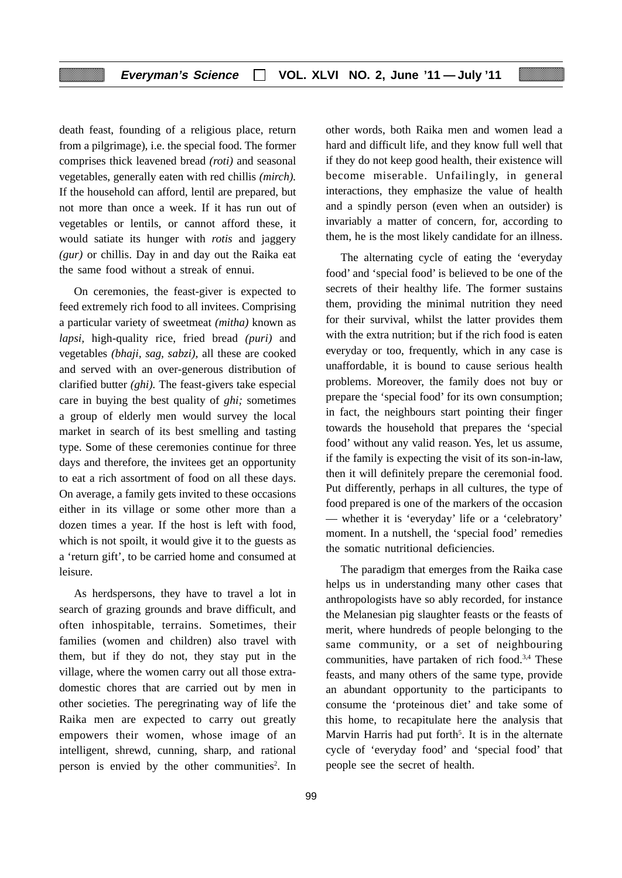death feast, founding of a religious place, return from a pilgrimage), i.e. the special food. The former comprises thick leavened bread *(roti)* and seasonal vegetables, generally eaten with red chillis *(mirch).* If the household can afford, lentil are prepared, but not more than once a week. If it has run out of vegetables or lentils, or cannot afford these, it would satiate its hunger with *rotis* and jaggery *(gur)* or chillis. Day in and day out the Raika eat the same food without a streak of ennui.

On ceremonies, the feast-giver is expected to feed extremely rich food to all invitees. Comprising a particular variety of sweetmeat *(mitha)* known as *lapsi,* high-quality rice, fried bread *(puri)* and vegetables *(bhaji, sag, sabzi),* all these are cooked and served with an over-generous distribution of clarified butter *(ghi).* The feast-givers take especial care in buying the best quality of *ghi;* sometimes a group of elderly men would survey the local market in search of its best smelling and tasting type. Some of these ceremonies continue for three days and therefore, the invitees get an opportunity to eat a rich assortment of food on all these days. On average, a family gets invited to these occasions either in its village or some other more than a dozen times a year. If the host is left with food, which is not spoilt, it would give it to the guests as a 'return gift', to be carried home and consumed at leisure.

As herdspersons, they have to travel a lot in search of grazing grounds and brave difficult, and often inhospitable, terrains. Sometimes, their families (women and children) also travel with them, but if they do not, they stay put in the village, where the women carry out all those extradomestic chores that are carried out by men in other societies. The peregrinating way of life the Raika men are expected to carry out greatly empowers their women, whose image of an intelligent, shrewd, cunning, sharp, and rational person is envied by the other communities<sup>2</sup>. In

other words, both Raika men and women lead a hard and difficult life, and they know full well that if they do not keep good health, their existence will become miserable. Unfailingly, in general interactions, they emphasize the value of health and a spindly person (even when an outsider) is invariably a matter of concern, for, according to them, he is the most likely candidate for an illness.

The alternating cycle of eating the 'everyday food' and 'special food' is believed to be one of the secrets of their healthy life. The former sustains them, providing the minimal nutrition they need for their survival, whilst the latter provides them with the extra nutrition; but if the rich food is eaten everyday or too, frequently, which in any case is unaffordable, it is bound to cause serious health problems. Moreover, the family does not buy or prepare the 'special food' for its own consumption; in fact, the neighbours start pointing their finger towards the household that prepares the 'special food' without any valid reason. Yes, let us assume, if the family is expecting the visit of its son-in-law, then it will definitely prepare the ceremonial food. Put differently, perhaps in all cultures, the type of food prepared is one of the markers of the occasion — whether it is 'everyday' life or a 'celebratory' moment. In a nutshell, the 'special food' remedies the somatic nutritional deficiencies.

The paradigm that emerges from the Raika case helps us in understanding many other cases that anthropologists have so ably recorded, for instance the Melanesian pig slaughter feasts or the feasts of merit, where hundreds of people belonging to the same community, or a set of neighbouring communities, have partaken of rich food.3,4 These feasts, and many others of the same type, provide an abundant opportunity to the participants to consume the 'proteinous diet' and take some of this home, to recapitulate here the analysis that Marvin Harris had put forth<sup>5</sup>. It is in the alternate cycle of 'everyday food' and 'special food' that people see the secret of health.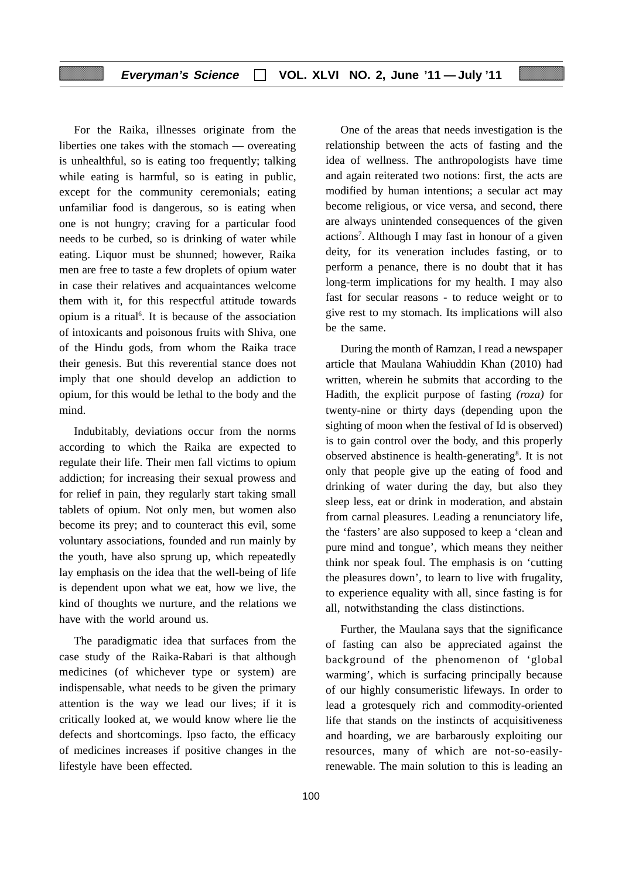### **Everyman's Science VOL. XLVI NO. 2, June '11 — July '11**

For the Raika, illnesses originate from the liberties one takes with the stomach — overeating is unhealthful, so is eating too frequently; talking while eating is harmful, so is eating in public, except for the community ceremonials; eating unfamiliar food is dangerous, so is eating when one is not hungry; craving for a particular food needs to be curbed, so is drinking of water while eating. Liquor must be shunned; however, Raika men are free to taste a few droplets of opium water in case their relatives and acquaintances welcome them with it, for this respectful attitude towards opium is a ritual<sup>6</sup>. It is because of the association of intoxicants and poisonous fruits with Shiva, one of the Hindu gods, from whom the Raika trace their genesis. But this reverential stance does not imply that one should develop an addiction to opium, for this would be lethal to the body and the mind.

Indubitably, deviations occur from the norms according to which the Raika are expected to regulate their life. Their men fall victims to opium addiction; for increasing their sexual prowess and for relief in pain, they regularly start taking small tablets of opium. Not only men, but women also become its prey; and to counteract this evil, some voluntary associations, founded and run mainly by the youth, have also sprung up, which repeatedly lay emphasis on the idea that the well-being of life is dependent upon what we eat, how we live, the kind of thoughts we nurture, and the relations we have with the world around us.

The paradigmatic idea that surfaces from the case study of the Raika-Rabari is that although medicines (of whichever type or system) are indispensable, what needs to be given the primary attention is the way we lead our lives; if it is critically looked at, we would know where lie the defects and shortcomings. Ipso facto, the efficacy of medicines increases if positive changes in the lifestyle have been effected.

One of the areas that needs investigation is the relationship between the acts of fasting and the idea of wellness. The anthropologists have time and again reiterated two notions: first, the acts are modified by human intentions; a secular act may become religious, or vice versa, and second, there are always unintended consequences of the given actions7 . Although I may fast in honour of a given deity, for its veneration includes fasting, or to perform a penance, there is no doubt that it has long-term implications for my health. I may also fast for secular reasons - to reduce weight or to give rest to my stomach. Its implications will also be the same.

During the month of Ramzan, I read a newspaper article that Maulana Wahiuddin Khan (2010) had written, wherein he submits that according to the Hadith, the explicit purpose of fasting *(roza)* for twenty-nine or thirty days (depending upon the sighting of moon when the festival of Id is observed) is to gain control over the body, and this properly observed abstinence is health-generating<sup>8</sup>. It is not only that people give up the eating of food and drinking of water during the day, but also they sleep less, eat or drink in moderation, and abstain from carnal pleasures. Leading a renunciatory life, the 'fasters' are also supposed to keep a 'clean and pure mind and tongue', which means they neither think nor speak foul. The emphasis is on 'cutting the pleasures down', to learn to live with frugality, to experience equality with all, since fasting is for all, notwithstanding the class distinctions.

Further, the Maulana says that the significance of fasting can also be appreciated against the background of the phenomenon of 'global warming', which is surfacing principally because of our highly consumeristic lifeways. In order to lead a grotesquely rich and commodity-oriented life that stands on the instincts of acquisitiveness and hoarding, we are barbarously exploiting our resources, many of which are not-so-easilyrenewable. The main solution to this is leading an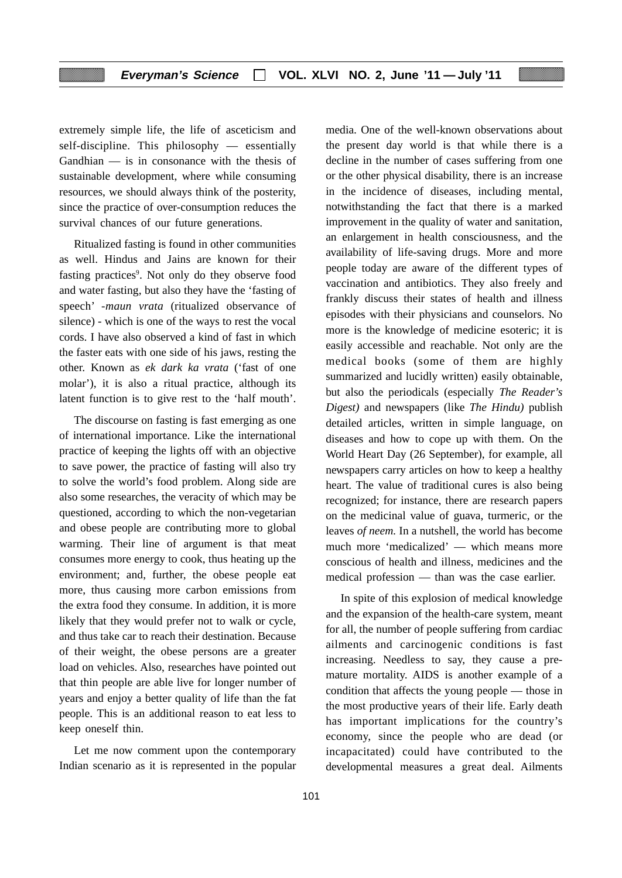extremely simple life, the life of asceticism and self-discipline. This philosophy — essentially Gandhian — is in consonance with the thesis of sustainable development, where while consuming resources, we should always think of the posterity, since the practice of over-consumption reduces the survival chances of our future generations.

Ritualized fasting is found in other communities as well. Hindus and Jains are known for their fasting practices<sup>9</sup>. Not only do they observe food and water fasting, but also they have the 'fasting of speech' -*maun vrata* (ritualized observance of silence) - which is one of the ways to rest the vocal cords. I have also observed a kind of fast in which the faster eats with one side of his jaws, resting the other. Known as *ek dark ka vrata* ('fast of one molar'), it is also a ritual practice, although its latent function is to give rest to the 'half mouth'.

The discourse on fasting is fast emerging as one of international importance. Like the international practice of keeping the lights off with an objective to save power, the practice of fasting will also try to solve the world's food problem. Along side are also some researches, the veracity of which may be questioned, according to which the non-vegetarian and obese people are contributing more to global warming. Their line of argument is that meat consumes more energy to cook, thus heating up the environment; and, further, the obese people eat more, thus causing more carbon emissions from the extra food they consume. In addition, it is more likely that they would prefer not to walk or cycle, and thus take car to reach their destination. Because of their weight, the obese persons are a greater load on vehicles. Also, researches have pointed out that thin people are able live for longer number of years and enjoy a better quality of life than the fat people. This is an additional reason to eat less to keep oneself thin.

Let me now comment upon the contemporary Indian scenario as it is represented in the popular media. One of the well-known observations about the present day world is that while there is a decline in the number of cases suffering from one or the other physical disability, there is an increase in the incidence of diseases, including mental, notwithstanding the fact that there is a marked improvement in the quality of water and sanitation, an enlargement in health consciousness, and the availability of life-saving drugs. More and more people today are aware of the different types of vaccination and antibiotics. They also freely and frankly discuss their states of health and illness episodes with their physicians and counselors. No more is the knowledge of medicine esoteric; it is easily accessible and reachable. Not only are the medical books (some of them are highly summarized and lucidly written) easily obtainable, but also the periodicals (especially *The Reader's Digest)* and newspapers (like *The Hindu)* publish detailed articles, written in simple language, on diseases and how to cope up with them. On the World Heart Day (26 September), for example, all newspapers carry articles on how to keep a healthy heart. The value of traditional cures is also being recognized; for instance, there are research papers on the medicinal value of guava, turmeric, or the leaves *of neem.* In a nutshell, the world has become much more 'medicalized' — which means more conscious of health and illness, medicines and the medical profession — than was the case earlier.

In spite of this explosion of medical knowledge and the expansion of the health-care system, meant for all, the number of people suffering from cardiac ailments and carcinogenic conditions is fast increasing. Needless to say, they cause a premature mortality. AIDS is another example of a condition that affects the young people — those in the most productive years of their life. Early death has important implications for the country's economy, since the people who are dead (or incapacitated) could have contributed to the developmental measures a great deal. Ailments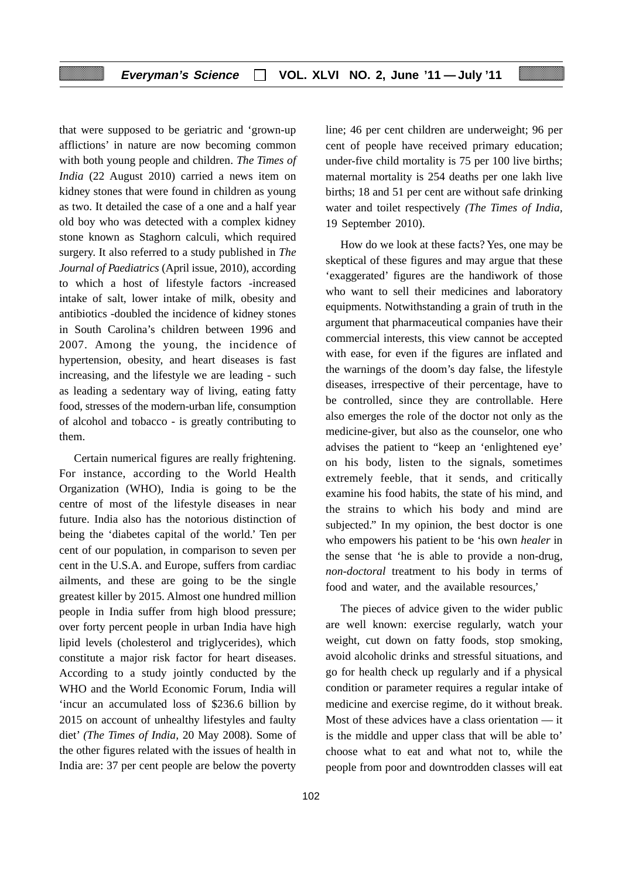that were supposed to be geriatric and 'grown-up afflictions' in nature are now becoming common with both young people and children. *The Times of India* (22 August 2010) carried a news item on kidney stones that were found in children as young as two. It detailed the case of a one and a half year old boy who was detected with a complex kidney stone known as Staghorn calculi, which required surgery. It also referred to a study published in *The Journal of Paediatrics* (April issue, 2010), according to which a host of lifestyle factors -increased intake of salt, lower intake of milk, obesity and antibiotics -doubled the incidence of kidney stones in South Carolina's children between 1996 and 2007. Among the young, the incidence of hypertension, obesity, and heart diseases is fast increasing, and the lifestyle we are leading - such as leading a sedentary way of living, eating fatty food, stresses of the modern-urban life, consumption of alcohol and tobacco - is greatly contributing to them.

Certain numerical figures are really frightening. For instance, according to the World Health Organization (WHO), India is going to be the centre of most of the lifestyle diseases in near future. India also has the notorious distinction of being the 'diabetes capital of the world.' Ten per cent of our population, in comparison to seven per cent in the U.S.A. and Europe, suffers from cardiac ailments, and these are going to be the single greatest killer by 2015. Almost one hundred million people in India suffer from high blood pressure; over forty percent people in urban India have high lipid levels (cholesterol and triglycerides), which constitute a major risk factor for heart diseases. According to a study jointly conducted by the WHO and the World Economic Forum, India will 'incur an accumulated loss of \$236.6 billion by 2015 on account of unhealthy lifestyles and faulty diet' *(The Times of India,* 20 May 2008). Some of the other figures related with the issues of health in India are: 37 per cent people are below the poverty

line; 46 per cent children are underweight; 96 per cent of people have received primary education; under-five child mortality is 75 per 100 live births; maternal mortality is 254 deaths per one lakh live births; 18 and 51 per cent are without safe drinking water and toilet respectively *(The Times of India,* 19 September 2010).

How do we look at these facts? Yes, one may be skeptical of these figures and may argue that these 'exaggerated' figures are the handiwork of those who want to sell their medicines and laboratory equipments. Notwithstanding a grain of truth in the argument that pharmaceutical companies have their commercial interests, this view cannot be accepted with ease, for even if the figures are inflated and the warnings of the doom's day false, the lifestyle diseases, irrespective of their percentage, have to be controlled, since they are controllable. Here also emerges the role of the doctor not only as the medicine-giver, but also as the counselor, one who advises the patient to "keep an 'enlightened eye' on his body, listen to the signals, sometimes extremely feeble, that it sends, and critically examine his food habits, the state of his mind, and the strains to which his body and mind are subjected." In my opinion, the best doctor is one who empowers his patient to be 'his own *healer* in the sense that 'he is able to provide a non-drug, *non-doctoral* treatment to his body in terms of food and water, and the available resources,'

The pieces of advice given to the wider public are well known: exercise regularly, watch your weight, cut down on fatty foods, stop smoking, avoid alcoholic drinks and stressful situations, and go for health check up regularly and if a physical condition or parameter requires a regular intake of medicine and exercise regime, do it without break. Most of these advices have a class orientation — it is the middle and upper class that will be able to' choose what to eat and what not to, while the people from poor and downtrodden classes will eat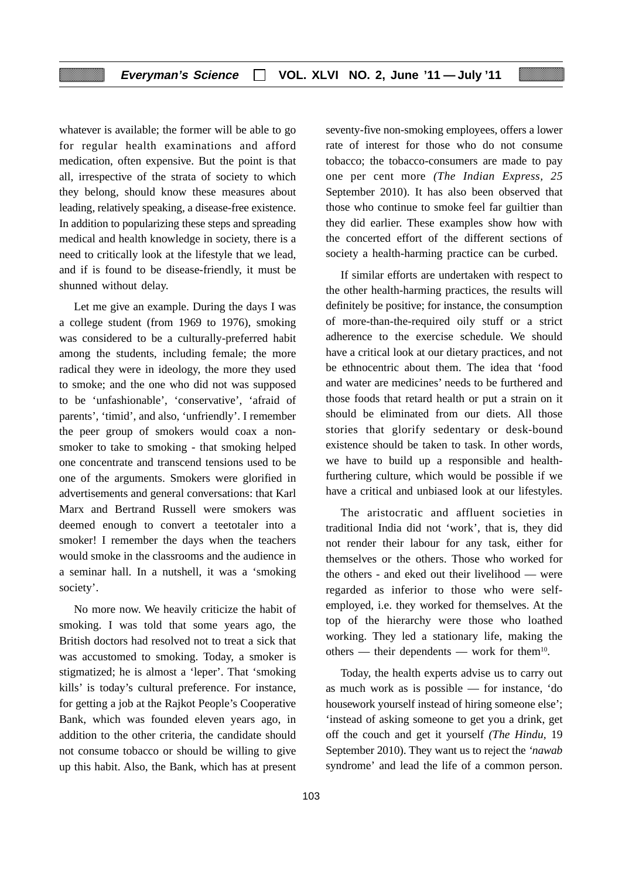whatever is available; the former will be able to go for regular health examinations and afford medication, often expensive. But the point is that all, irrespective of the strata of society to which they belong, should know these measures about leading, relatively speaking, a disease-free existence. In addition to popularizing these steps and spreading medical and health knowledge in society, there is a need to critically look at the lifestyle that we lead, and if is found to be disease-friendly, it must be shunned without delay.

Let me give an example. During the days I was a college student (from 1969 to 1976), smoking was considered to be a culturally-preferred habit among the students, including female; the more radical they were in ideology, the more they used to smoke; and the one who did not was supposed to be 'unfashionable', 'conservative', 'afraid of parents', 'timid', and also, 'unfriendly'. I remember the peer group of smokers would coax a nonsmoker to take to smoking - that smoking helped one concentrate and transcend tensions used to be one of the arguments. Smokers were glorified in advertisements and general conversations: that Karl Marx and Bertrand Russell were smokers was deemed enough to convert a teetotaler into a smoker! I remember the days when the teachers would smoke in the classrooms and the audience in a seminar hall. In a nutshell, it was a 'smoking society'.

No more now. We heavily criticize the habit of smoking. I was told that some years ago, the British doctors had resolved not to treat a sick that was accustomed to smoking. Today, a smoker is stigmatized; he is almost a 'leper'. That 'smoking kills' is today's cultural preference. For instance, for getting a job at the Rajkot People's Cooperative Bank, which was founded eleven years ago, in addition to the other criteria, the candidate should not consume tobacco or should be willing to give up this habit. Also, the Bank, which has at present

seventy-five non-smoking employees, offers a lower rate of interest for those who do not consume tobacco; the tobacco-consumers are made to pay one per cent more *(The Indian Express, 25* September 2010). It has also been observed that those who continue to smoke feel far guiltier than they did earlier. These examples show how with the concerted effort of the different sections of society a health-harming practice can be curbed.

If similar efforts are undertaken with respect to the other health-harming practices, the results will definitely be positive; for instance, the consumption of more-than-the-required oily stuff or a strict adherence to the exercise schedule. We should have a critical look at our dietary practices, and not be ethnocentric about them. The idea that 'food and water are medicines' needs to be furthered and those foods that retard health or put a strain on it should be eliminated from our diets. All those stories that glorify sedentary or desk-bound existence should be taken to task. In other words, we have to build up a responsible and healthfurthering culture, which would be possible if we have a critical and unbiased look at our lifestyles.

The aristocratic and affluent societies in traditional India did not 'work', that is, they did not render their labour for any task, either for themselves or the others. Those who worked for the others - and eked out their livelihood — were regarded as inferior to those who were selfemployed, i.e. they worked for themselves. At the top of the hierarchy were those who loathed working. They led a stationary life, making the others — their dependents — work for them<sup>10</sup>.

Today, the health experts advise us to carry out as much work as is possible — for instance, 'do housework yourself instead of hiring someone else'; 'instead of asking someone to get you a drink, get off the couch and get it yourself *(The Hindu,* 19 September 2010). They want us to reject the *'nawab* syndrome' and lead the life of a common person.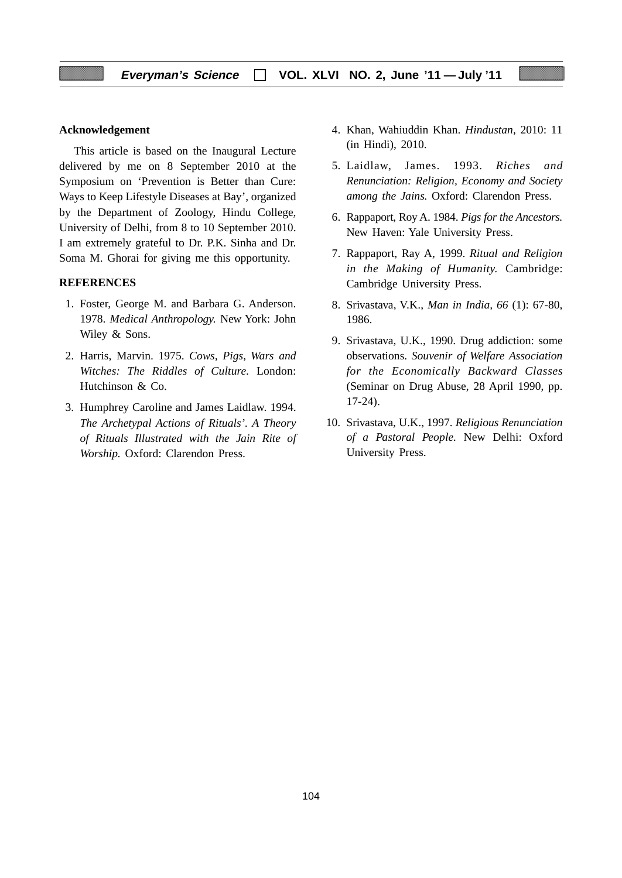#### **Acknowledgement**

This article is based on the Inaugural Lecture delivered by me on 8 September 2010 at the Symposium on 'Prevention is Better than Cure: Ways to Keep Lifestyle Diseases at Bay', organized by the Department of Zoology, Hindu College, University of Delhi, from 8 to 10 September 2010. I am extremely grateful to Dr. P.K. Sinha and Dr. Soma M. Ghorai for giving me this opportunity.

#### **REFERENCES**

- 1. Foster, George M. and Barbara G. Anderson. 1978. *Medical Anthropology.* New York: John Wiley & Sons.
- 2. Harris, Marvin. 1975. *Cows, Pigs, Wars and Witches: The Riddles of Culture.* London: Hutchinson & Co.
- 3. Humphrey Caroline and James Laidlaw. 1994. *The Archetypal Actions of Rituals'. A Theory of Rituals Illustrated with the Jain Rite of Worship.* Oxford: Clarendon Press.
- 4. Khan, Wahiuddin Khan. *Hindustan,* 2010: 11 (in Hindi), 2010.
- 5. Laidlaw, James. 1993. *Riches and Renunciation: Religion, Economy and Society among the Jains.* Oxford: Clarendon Press.
- 6. Rappaport, Roy A. 1984. *Pigs for the Ancestors.* New Haven: Yale University Press.
- 7. Rappaport, Ray A, 1999. *Ritual and Religion in the Making of Humanity.* Cambridge: Cambridge University Press.
- 8. Srivastava, V.K., *Man in India, 66* (1): 67-80, 1986.
- 9. Srivastava, U.K., 1990. Drug addiction: some observations. *Souvenir of Welfare Association for the Economically Backward Classes* (Seminar on Drug Abuse, 28 April 1990, pp. 17-24).
- 10. Srivastava, U.K., 1997. *Religious Renunciation of a Pastoral People.* New Delhi: Oxford University Press.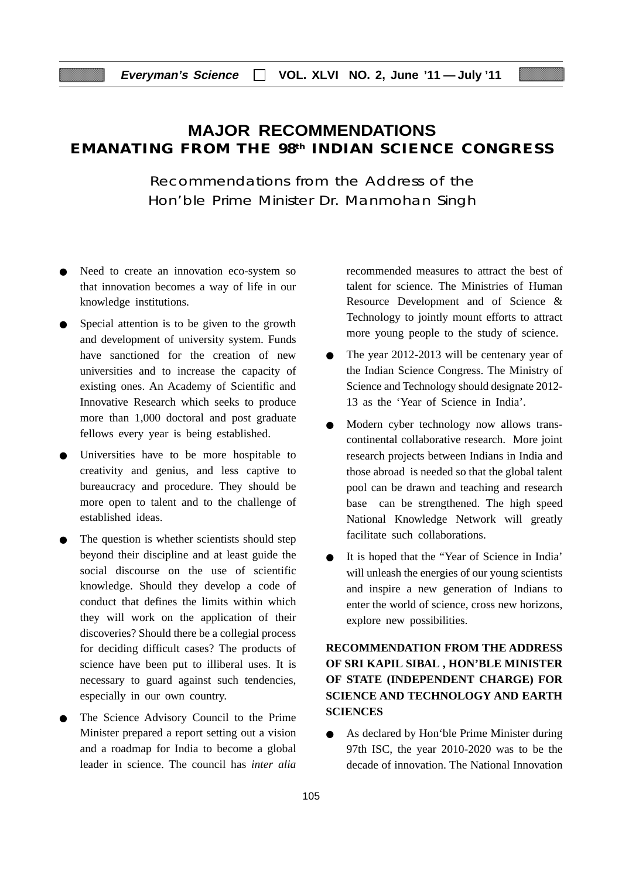# **MAJOR RECOMMENDATIONS EMANATING FROM THE 98th INDIAN SCIENCE CONGRESS**

Recommendations from the Address of the Hon'ble Prime Minister Dr. Manmohan Singh

- Need to create an innovation eco-system so that innovation becomes a way of life in our knowledge institutions.
- Special attention is to be given to the growth and development of university system. Funds have sanctioned for the creation of new universities and to increase the capacity of existing ones. An Academy of Scientific and Innovative Research which seeks to produce more than 1,000 doctoral and post graduate fellows every year is being established.
- Universities have to be more hospitable to creativity and genius, and less captive to bureaucracy and procedure. They should be more open to talent and to the challenge of established ideas.
- The question is whether scientists should step beyond their discipline and at least guide the social discourse on the use of scientific knowledge. Should they develop a code of conduct that defines the limits within which they will work on the application of their discoveries? Should there be a collegial process for deciding difficult cases? The products of science have been put to illiberal uses. It is necessary to guard against such tendencies, especially in our own country.
- The Science Advisory Council to the Prime Minister prepared a report setting out a vision and a roadmap for India to become a global leader in science. The council has *inter alia*

recommended measures to attract the best of talent for science. The Ministries of Human Resource Development and of Science & Technology to jointly mount efforts to attract more young people to the study of science.

- The year 2012-2013 will be centenary year of the Indian Science Congress. The Ministry of Science and Technology should designate 2012- 13 as the 'Year of Science in India'.
- Modern cyber technology now allows transcontinental collaborative research. More joint research projects between Indians in India and those abroad is needed so that the global talent pool can be drawn and teaching and research base can be strengthened. The high speed National Knowledge Network will greatly facilitate such collaborations.
- It is hoped that the "Year of Science in India' will unleash the energies of our young scientists and inspire a new generation of Indians to enter the world of science, cross new horizons, explore new possibilities.

# **RECOMMENDATION FROM THE ADDRESS OF SRI KAPIL SIBAL , HON'BLE MINISTER OF STATE (INDEPENDENT CHARGE) FOR SCIENCE AND TECHNOLOGY AND EARTH SCIENCES**

● As declared by Hon'ble Prime Minister during 97th ISC, the year 2010-2020 was to be the decade of innovation. The National Innovation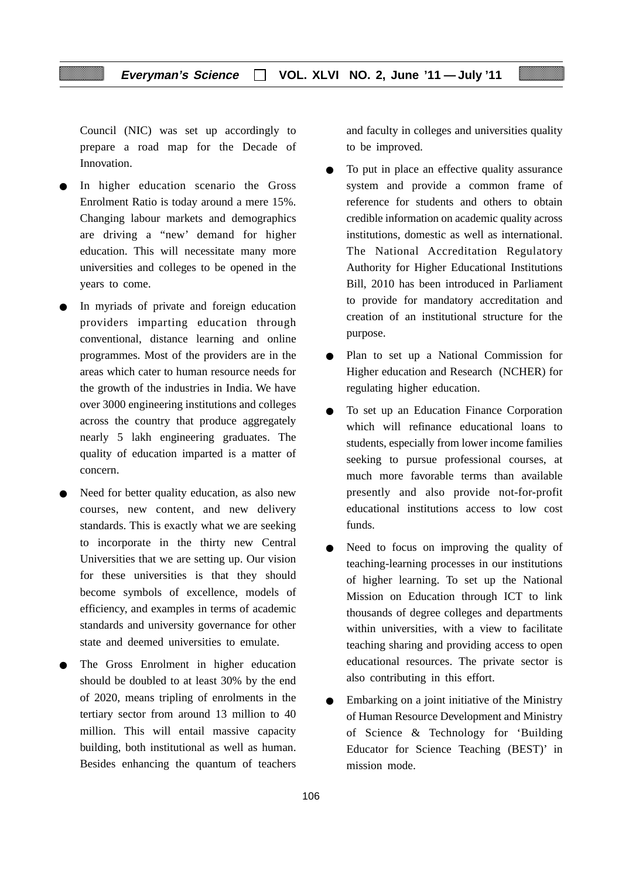Council (NIC) was set up accordingly to prepare a road map for the Decade of Innovation.

- In higher education scenario the Gross Enrolment Ratio is today around a mere 15%. Changing labour markets and demographics are driving a "new' demand for higher education. This will necessitate many more universities and colleges to be opened in the years to come.
- In myriads of private and foreign education providers imparting education through conventional, distance learning and online programmes. Most of the providers are in the areas which cater to human resource needs for the growth of the industries in India. We have over 3000 engineering institutions and colleges across the country that produce aggregately nearly 5 lakh engineering graduates. The quality of education imparted is a matter of concern.
- Need for better quality education, as also new courses, new content, and new delivery standards. This is exactly what we are seeking to incorporate in the thirty new Central Universities that we are setting up. Our vision for these universities is that they should become symbols of excellence, models of efficiency, and examples in terms of academic standards and university governance for other state and deemed universities to emulate.
- The Gross Enrolment in higher education should be doubled to at least 30% by the end of 2020, means tripling of enrolments in the tertiary sector from around 13 million to 40 million. This will entail massive capacity building, both institutional as well as human. Besides enhancing the quantum of teachers

and faculty in colleges and universities quality to be improved.

- To put in place an effective quality assurance system and provide a common frame of reference for students and others to obtain credible information on academic quality across institutions, domestic as well as international. The National Accreditation Regulatory Authority for Higher Educational Institutions Bill, 2010 has been introduced in Parliament to provide for mandatory accreditation and creation of an institutional structure for the purpose.
- Plan to set up a National Commission for Higher education and Research (NCHER) for regulating higher education.
- To set up an Education Finance Corporation which will refinance educational loans to students, especially from lower income families seeking to pursue professional courses, at much more favorable terms than available presently and also provide not-for-profit educational institutions access to low cost funds.
- Need to focus on improving the quality of teaching-learning processes in our institutions of higher learning. To set up the National Mission on Education through ICT to link thousands of degree colleges and departments within universities, with a view to facilitate teaching sharing and providing access to open educational resources. The private sector is also contributing in this effort.
- Embarking on a joint initiative of the Ministry of Human Resource Development and Ministry of Science & Technology for 'Building Educator for Science Teaching (BEST)' in mission mode.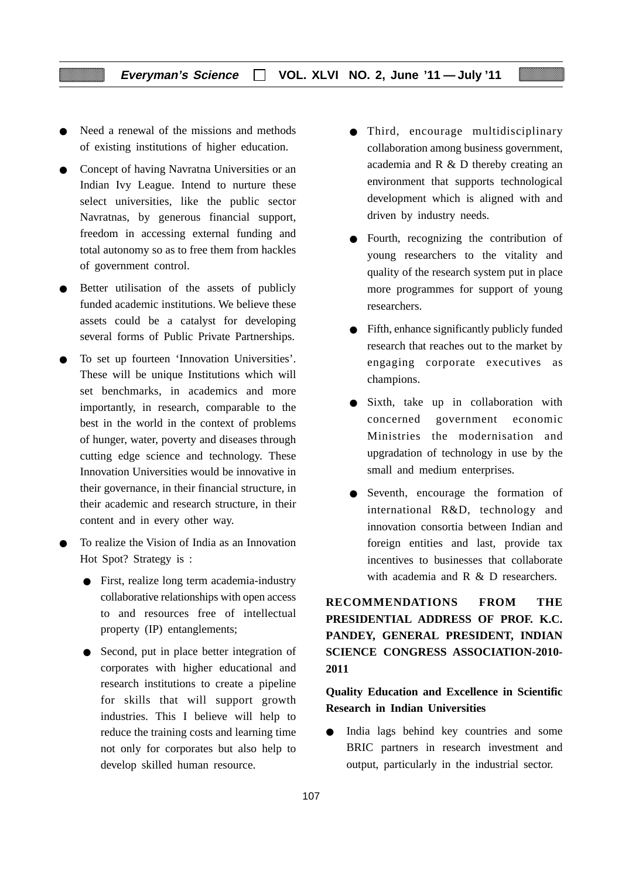- Need a renewal of the missions and methods of existing institutions of higher education.
- Concept of having Navratna Universities or an Indian Ivy League. Intend to nurture these select universities, like the public sector Navratnas, by generous financial support, freedom in accessing external funding and total autonomy so as to free them from hackles of government control.
- Better utilisation of the assets of publicly funded academic institutions. We believe these assets could be a catalyst for developing several forms of Public Private Partnerships.
- To set up fourteen 'Innovation Universities'. These will be unique Institutions which will set benchmarks, in academics and more importantly, in research, comparable to the best in the world in the context of problems of hunger, water, poverty and diseases through cutting edge science and technology. These Innovation Universities would be innovative in their governance, in their financial structure, in their academic and research structure, in their content and in every other way.
- To realize the Vision of India as an Innovation Hot Spot? Strategy is :
	- First, realize long term academia-industry collaborative relationships with open access to and resources free of intellectual property (IP) entanglements;
	- Second, put in place better integration of corporates with higher educational and research institutions to create a pipeline for skills that will support growth industries. This I believe will help to reduce the training costs and learning time not only for corporates but also help to develop skilled human resource.
- Third, encourage multidisciplinary collaboration among business government, academia and R & D thereby creating an environment that supports technological development which is aligned with and driven by industry needs.
- Fourth, recognizing the contribution of young researchers to the vitality and quality of the research system put in place more programmes for support of young researchers.
- Fifth, enhance significantly publicly funded research that reaches out to the market by engaging corporate executives as champions.
- Sixth, take up in collaboration with concerned government economic Ministries the modernisation and upgradation of technology in use by the small and medium enterprises.
- Seventh, encourage the formation of international R&D, technology and innovation consortia between Indian and foreign entities and last, provide tax incentives to businesses that collaborate with academia and R & D researchers.

**RECOMMENDATIONS FROM THE PRESIDENTIAL ADDRESS OF PROF. K.C. PANDEY, GENERAL PRESIDENT, INDIAN SCIENCE CONGRESS ASSOCIATION-2010- 2011**

# **Quality Education and Excellence in Scientific Research in Indian Universities**

● India lags behind key countries and some BRIC partners in research investment and output, particularly in the industrial sector.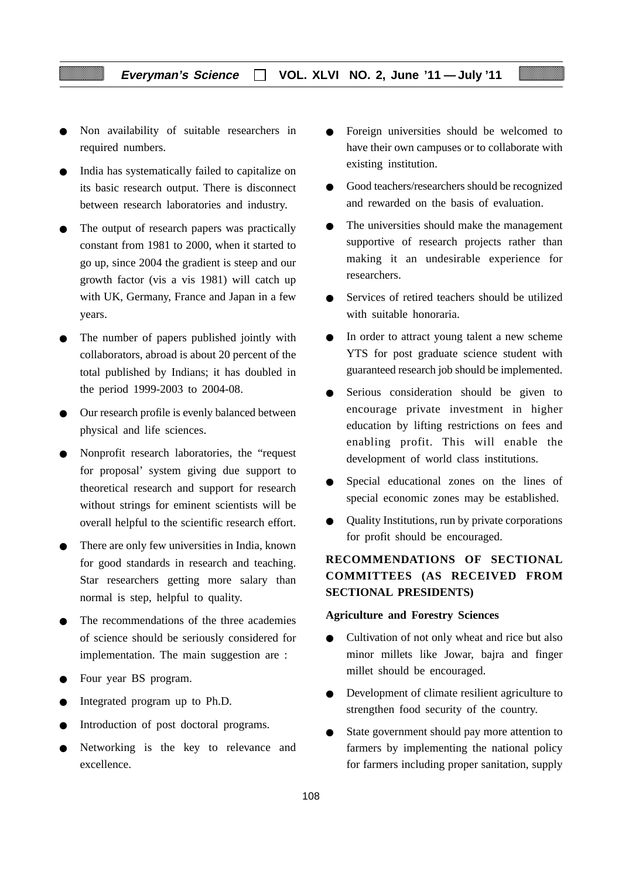# **Everyman's Science VOL. XLVI NO. 2, June '11 — July '11**

- Non availability of suitable researchers in required numbers.
- India has systematically failed to capitalize on its basic research output. There is disconnect between research laboratories and industry.
- The output of research papers was practically constant from 1981 to 2000, when it started to go up, since 2004 the gradient is steep and our growth factor (vis a vis 1981) will catch up with UK, Germany, France and Japan in a few years.
- The number of papers published jointly with collaborators, abroad is about 20 percent of the total published by Indians; it has doubled in the period 1999-2003 to 2004-08.
- Our research profile is evenly balanced between physical and life sciences.
- Nonprofit research laboratories, the "request for proposal' system giving due support to theoretical research and support for research without strings for eminent scientists will be overall helpful to the scientific research effort.
- There are only few universities in India, known for good standards in research and teaching. Star researchers getting more salary than normal is step, helpful to quality.
- The recommendations of the three academies of science should be seriously considered for implementation. The main suggestion are :
- Four year BS program.
- Integrated program up to Ph.D.
- Introduction of post doctoral programs.
- Networking is the key to relevance and excellence.
- Foreign universities should be welcomed to have their own campuses or to collaborate with existing institution.
- Good teachers/researchers should be recognized and rewarded on the basis of evaluation.
- The universities should make the management supportive of research projects rather than making it an undesirable experience for researchers.
- Services of retired teachers should be utilized with suitable honoraria.
- In order to attract young talent a new scheme YTS for post graduate science student with guaranteed research job should be implemented.
- Serious consideration should be given to encourage private investment in higher education by lifting restrictions on fees and enabling profit. This will enable the development of world class institutions.
- Special educational zones on the lines of special economic zones may be established.
- Quality Institutions, run by private corporations for profit should be encouraged.

# **RECOMMENDATIONS OF SECTIONAL COMMITTEES (AS RECEIVED FROM SECTIONAL PRESIDENTS)**

#### **Agriculture and Forestry Sciences**

- Cultivation of not only wheat and rice but also minor millets like Jowar, bajra and finger millet should be encouraged.
- Development of climate resilient agriculture to strengthen food security of the country.
- State government should pay more attention to farmers by implementing the national policy for farmers including proper sanitation, supply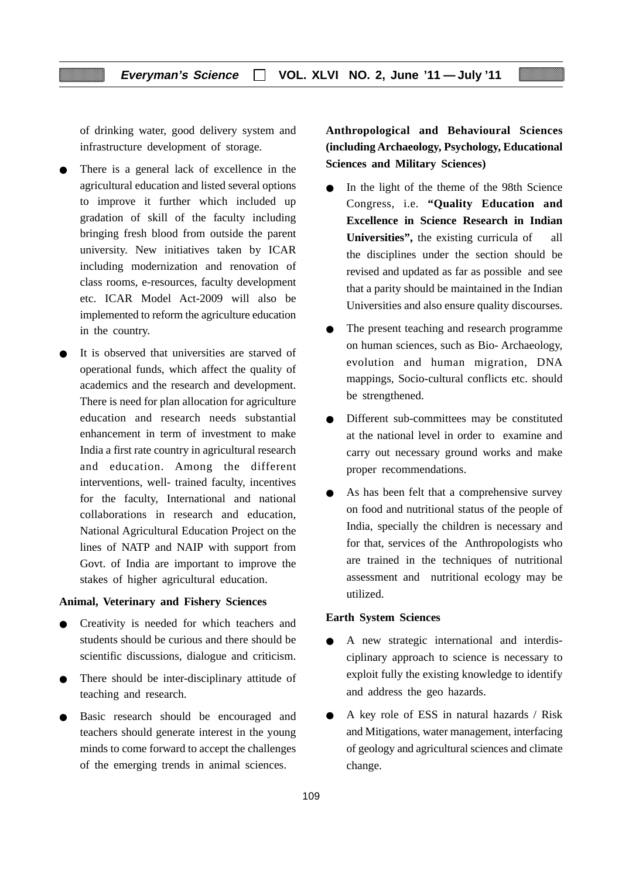of drinking water, good delivery system and infrastructure development of storage.

- There is a general lack of excellence in the agricultural education and listed several options to improve it further which included up gradation of skill of the faculty including bringing fresh blood from outside the parent university. New initiatives taken by ICAR including modernization and renovation of class rooms, e-resources, faculty development etc. ICAR Model Act-2009 will also be implemented to reform the agriculture education in the country.
- It is observed that universities are starved of operational funds, which affect the quality of academics and the research and development. There is need for plan allocation for agriculture education and research needs substantial enhancement in term of investment to make India a first rate country in agricultural research and education. Among the different interventions, well- trained faculty, incentives for the faculty, International and national collaborations in research and education, National Agricultural Education Project on the lines of NATP and NAIP with support from Govt. of India are important to improve the stakes of higher agricultural education.

#### **Animal, Veterinary and Fishery Sciences**

- Creativity is needed for which teachers and students should be curious and there should be scientific discussions, dialogue and criticism.
- There should be inter-disciplinary attitude of teaching and research.
- Basic research should be encouraged and teachers should generate interest in the young minds to come forward to accept the challenges of the emerging trends in animal sciences.

**Anthropological and Behavioural Sciences (including Archaeology, Psychology, Educational Sciences and Military Sciences)**

- In the light of the theme of the 98th Science Congress, i.e. **"Quality Education and Excellence in Science Research in Indian Universities",** the existing curricula of all the disciplines under the section should be revised and updated as far as possible and see that a parity should be maintained in the Indian Universities and also ensure quality discourses.
- The present teaching and research programme on human sciences, such as Bio- Archaeology, evolution and human migration, DNA mappings, Socio-cultural conflicts etc. should be strengthened.
- Different sub-committees may be constituted at the national level in order to examine and carry out necessary ground works and make proper recommendations.
- As has been felt that a comprehensive survey on food and nutritional status of the people of India, specially the children is necessary and for that, services of the Anthropologists who are trained in the techniques of nutritional assessment and nutritional ecology may be utilized.

#### **Earth System Sciences**

- A new strategic international and interdisciplinary approach to science is necessary to exploit fully the existing knowledge to identify and address the geo hazards.
- A key role of ESS in natural hazards / Risk and Mitigations, water management, interfacing of geology and agricultural sciences and climate change.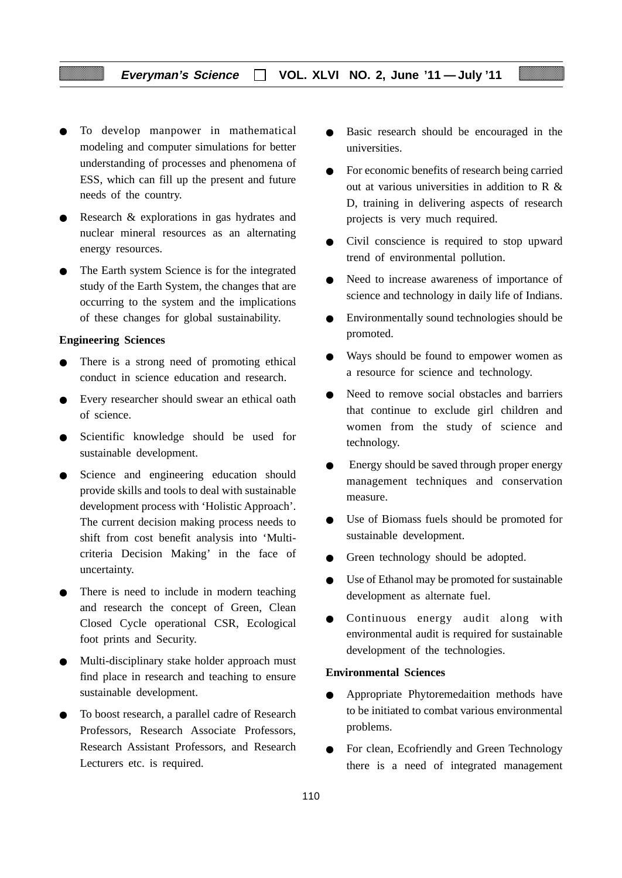# **Everyman's Science VOL. XLVI NO. 2, June '11 — July '11**

- To develop manpower in mathematical modeling and computer simulations for better understanding of processes and phenomena of ESS, which can fill up the present and future needs of the country.
- Research & explorations in gas hydrates and nuclear mineral resources as an alternating energy resources.
- The Earth system Science is for the integrated study of the Earth System, the changes that are occurring to the system and the implications of these changes for global sustainability.

#### **Engineering Sciences**

- There is a strong need of promoting ethical conduct in science education and research.
- Every researcher should swear an ethical oath of science.
- Scientific knowledge should be used for sustainable development.
- Science and engineering education should provide skills and tools to deal with sustainable development process with 'Holistic Approach'. The current decision making process needs to shift from cost benefit analysis into 'Multicriteria Decision Making' in the face of uncertainty.
- There is need to include in modern teaching and research the concept of Green, Clean Closed Cycle operational CSR, Ecological foot prints and Security.
- Multi-disciplinary stake holder approach must find place in research and teaching to ensure sustainable development.
- To boost research, a parallel cadre of Research Professors, Research Associate Professors, Research Assistant Professors, and Research Lecturers etc. is required.
- Basic research should be encouraged in the universities.
- For economic benefits of research being carried out at various universities in addition to R & D, training in delivering aspects of research projects is very much required.
- Civil conscience is required to stop upward trend of environmental pollution.
- Need to increase awareness of importance of science and technology in daily life of Indians.
- Environmentally sound technologies should be promoted.
- Ways should be found to empower women as a resource for science and technology.
- Need to remove social obstacles and barriers that continue to exclude girl children and women from the study of science and technology.
- Energy should be saved through proper energy management techniques and conservation measure.
- Use of Biomass fuels should be promoted for sustainable development.
- Green technology should be adopted.
- Use of Ethanol may be promoted for sustainable development as alternate fuel.
- Continuous energy audit along with environmental audit is required for sustainable development of the technologies.

#### **Environmental Sciences**

- Appropriate Phytoremedaition methods have to be initiated to combat various environmental problems.
- For clean, Ecofriendly and Green Technology there is a need of integrated management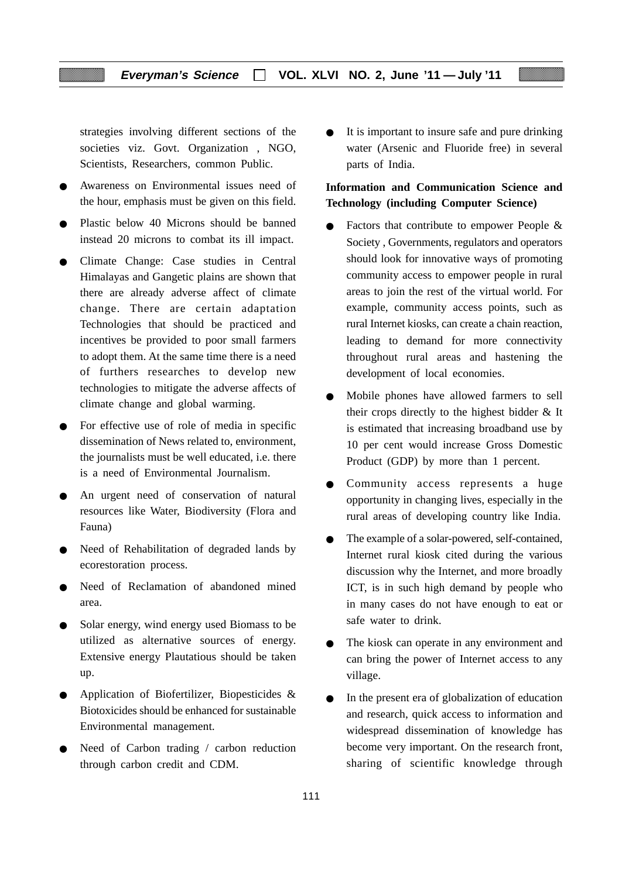# **Everyman's Science VOL. XLVI NO. 2, June '11 — July '11**

strategies involving different sections of the societies viz. Govt. Organization , NGO, Scientists, Researchers, common Public.

- Awareness on Environmental issues need of the hour, emphasis must be given on this field.
- Plastic below 40 Microns should be banned instead 20 microns to combat its ill impact.
- Climate Change: Case studies in Central Himalayas and Gangetic plains are shown that there are already adverse affect of climate change. There are certain adaptation Technologies that should be practiced and incentives be provided to poor small farmers to adopt them. At the same time there is a need of furthers researches to develop new technologies to mitigate the adverse affects of climate change and global warming.
- For effective use of role of media in specific dissemination of News related to, environment, the journalists must be well educated, i.e. there is a need of Environmental Journalism.
- An urgent need of conservation of natural resources like Water, Biodiversity (Flora and Fauna)
- Need of Rehabilitation of degraded lands by ecorestoration process.
- Need of Reclamation of abandoned mined area.
- Solar energy, wind energy used Biomass to be utilized as alternative sources of energy. Extensive energy Plautatious should be taken up.
- Application of Biofertilizer, Biopesticides & Biotoxicides should be enhanced for sustainable Environmental management.
- Need of Carbon trading / carbon reduction through carbon credit and CDM.

● It is important to insure safe and pure drinking water (Arsenic and Fluoride free) in several parts of India.

# **Information and Communication Science and Technology (including Computer Science)**

- Factors that contribute to empower People  $\&$ Society , Governments, regulators and operators should look for innovative ways of promoting community access to empower people in rural areas to join the rest of the virtual world. For example, community access points, such as rural Internet kiosks, can create a chain reaction, leading to demand for more connectivity throughout rural areas and hastening the development of local economies.
- Mobile phones have allowed farmers to sell their crops directly to the highest bidder & It is estimated that increasing broadband use by 10 per cent would increase Gross Domestic Product (GDP) by more than 1 percent.
- Community access represents a huge opportunity in changing lives, especially in the rural areas of developing country like India.
- The example of a solar-powered, self-contained, Internet rural kiosk cited during the various discussion why the Internet, and more broadly ICT, is in such high demand by people who in many cases do not have enough to eat or safe water to drink.
- The kiosk can operate in any environment and can bring the power of Internet access to any village.
- In the present era of globalization of education and research, quick access to information and widespread dissemination of knowledge has become very important. On the research front, sharing of scientific knowledge through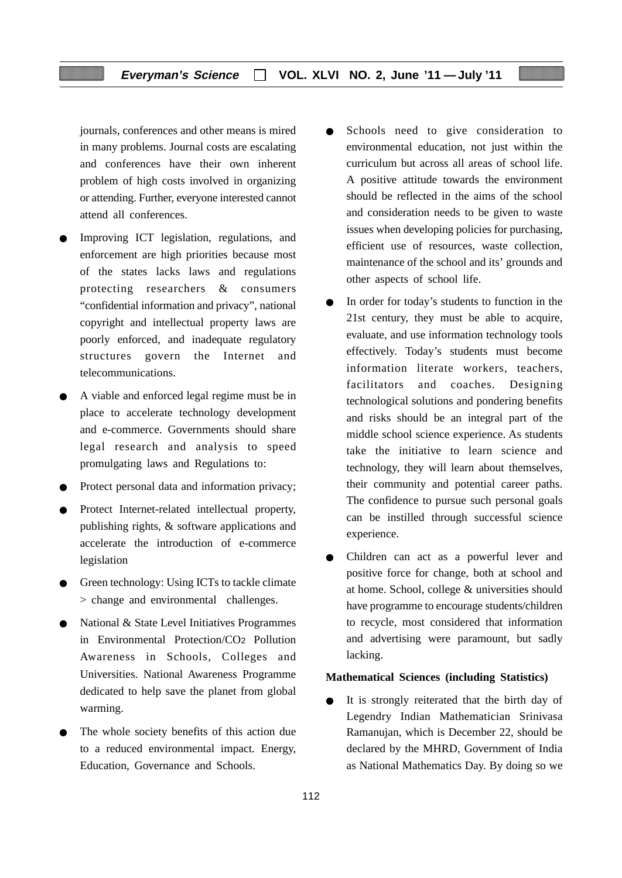journals, conferences and other means is mired in many problems. Journal costs are escalating and conferences have their own inherent problem of high costs involved in organizing or attending. Further, everyone interested cannot attend all conferences.

- Improving ICT legislation, regulations, and enforcement are high priorities because most of the states lacks laws and regulations protecting researchers & consumers "confidential information and privacy", national copyright and intellectual property laws are poorly enforced, and inadequate regulatory structures govern the Internet and telecommunications.
- A viable and enforced legal regime must be in place to accelerate technology development and e-commerce. Governments should share legal research and analysis to speed promulgating laws and Regulations to:
- Protect personal data and information privacy;
- Protect Internet-related intellectual property, publishing rights, & software applications and accelerate the introduction of e-commerce legislation
- Green technology: Using ICTs to tackle climate > change and environmental challenges.
- National & State Level Initiatives Programmes in Environmental Protection/CO2 Pollution Awareness in Schools, Colleges and Universities. National Awareness Programme dedicated to help save the planet from global warming.
- The whole society benefits of this action due to a reduced environmental impact. Energy, Education, Governance and Schools.
- Schools need to give consideration to environmental education, not just within the curriculum but across all areas of school life. A positive attitude towards the environment should be reflected in the aims of the school and consideration needs to be given to waste issues when developing policies for purchasing, efficient use of resources, waste collection, maintenance of the school and its' grounds and other aspects of school life.
- In order for today's students to function in the 21st century, they must be able to acquire, evaluate, and use information technology tools effectively. Today's students must become information literate workers, teachers, facilitators and coaches. Designing technological solutions and pondering benefits and risks should be an integral part of the middle school science experience. As students take the initiative to learn science and technology, they will learn about themselves, their community and potential career paths. The confidence to pursue such personal goals can be instilled through successful science experience.
- Children can act as a powerful lever and positive force for change, both at school and at home. School, college & universities should have programme to encourage students/children to recycle, most considered that information and advertising were paramount, but sadly lacking.

#### **Mathematical Sciences (including Statistics)**

● It is strongly reiterated that the birth day of Legendry Indian Mathematician Srinivasa Ramanujan, which is December 22, should be declared by the MHRD, Government of India as National Mathematics Day. By doing so we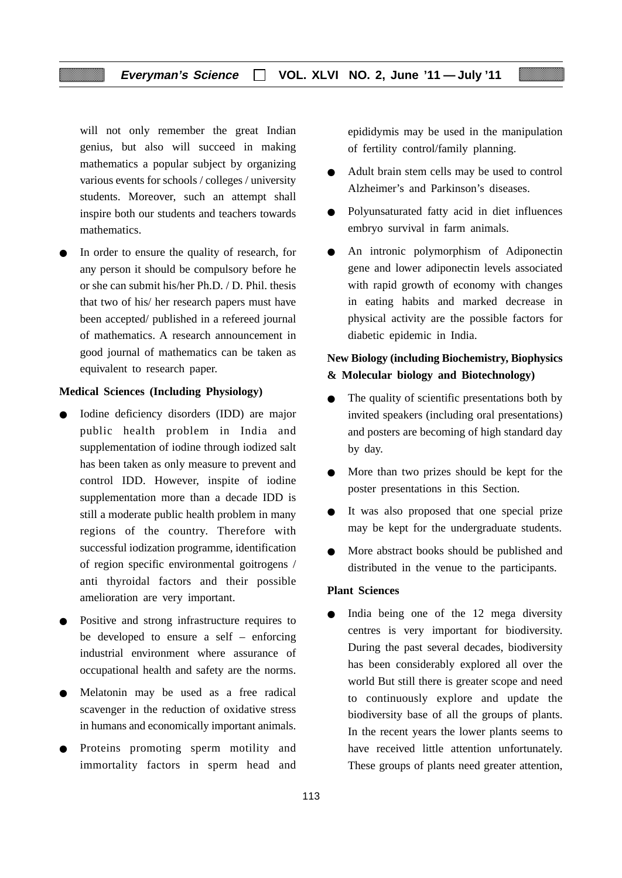will not only remember the great Indian genius, but also will succeed in making mathematics a popular subject by organizing various events for schools / colleges / university students. Moreover, such an attempt shall inspire both our students and teachers towards mathematics.

In order to ensure the quality of research, for any person it should be compulsory before he or she can submit his/her Ph.D. / D. Phil. thesis that two of his/ her research papers must have been accepted/ published in a refereed journal of mathematics. A research announcement in good journal of mathematics can be taken as equivalent to research paper.

#### **Medical Sciences (Including Physiology)**

- Iodine deficiency disorders (IDD) are major public health problem in India and supplementation of iodine through iodized salt has been taken as only measure to prevent and control IDD. However, inspite of iodine supplementation more than a decade IDD is still a moderate public health problem in many regions of the country. Therefore with successful iodization programme, identification of region specific environmental goitrogens / anti thyroidal factors and their possible amelioration are very important.
- Positive and strong infrastructure requires to be developed to ensure a self – enforcing industrial environment where assurance of occupational health and safety are the norms.
- Melatonin may be used as a free radical scavenger in the reduction of oxidative stress in humans and economically important animals.
- Proteins promoting sperm motility and immortality factors in sperm head and

epididymis may be used in the manipulation of fertility control/family planning.

- Adult brain stem cells may be used to control Alzheimer's and Parkinson's diseases.
- Polyunsaturated fatty acid in diet influences embryo survival in farm animals.
- An intronic polymorphism of Adiponectin gene and lower adiponectin levels associated with rapid growth of economy with changes in eating habits and marked decrease in physical activity are the possible factors for diabetic epidemic in India.

# **New Biology (including Biochemistry, Biophysics & Molecular biology and Biotechnology)**

- The quality of scientific presentations both by invited speakers (including oral presentations) and posters are becoming of high standard day by day.
- More than two prizes should be kept for the poster presentations in this Section.
- It was also proposed that one special prize may be kept for the undergraduate students.
- More abstract books should be published and distributed in the venue to the participants.

### **Plant Sciences**

● India being one of the 12 mega diversity centres is very important for biodiversity. During the past several decades, biodiversity has been considerably explored all over the world But still there is greater scope and need to continuously explore and update the biodiversity base of all the groups of plants. In the recent years the lower plants seems to have received little attention unfortunately. These groups of plants need greater attention,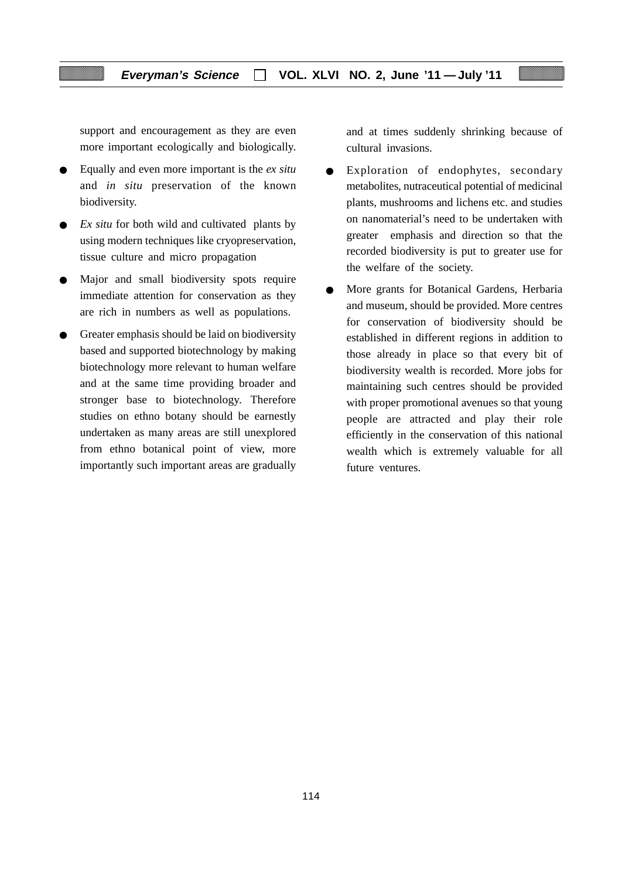support and encouragement as they are even more important ecologically and biologically.

- Equally and even more important is the *ex situ* and *in situ* preservation of the known biodiversity.
- *Ex situ* for both wild and cultivated plants by using modern techniques like cryopreservation, tissue culture and micro propagation
- Major and small biodiversity spots require immediate attention for conservation as they are rich in numbers as well as populations.
- Greater emphasis should be laid on biodiversity based and supported biotechnology by making biotechnology more relevant to human welfare and at the same time providing broader and stronger base to biotechnology. Therefore studies on ethno botany should be earnestly undertaken as many areas are still unexplored from ethno botanical point of view, more importantly such important areas are gradually

and at times suddenly shrinking because of cultural invasions.

- Exploration of endophytes, secondary metabolites, nutraceutical potential of medicinal plants, mushrooms and lichens etc. and studies on nanomaterial's need to be undertaken with greater emphasis and direction so that the recorded biodiversity is put to greater use for the welfare of the society.
- More grants for Botanical Gardens, Herbaria and museum, should be provided. More centres for conservation of biodiversity should be established in different regions in addition to those already in place so that every bit of biodiversity wealth is recorded. More jobs for maintaining such centres should be provided with proper promotional avenues so that young people are attracted and play their role efficiently in the conservation of this national wealth which is extremely valuable for all future ventures.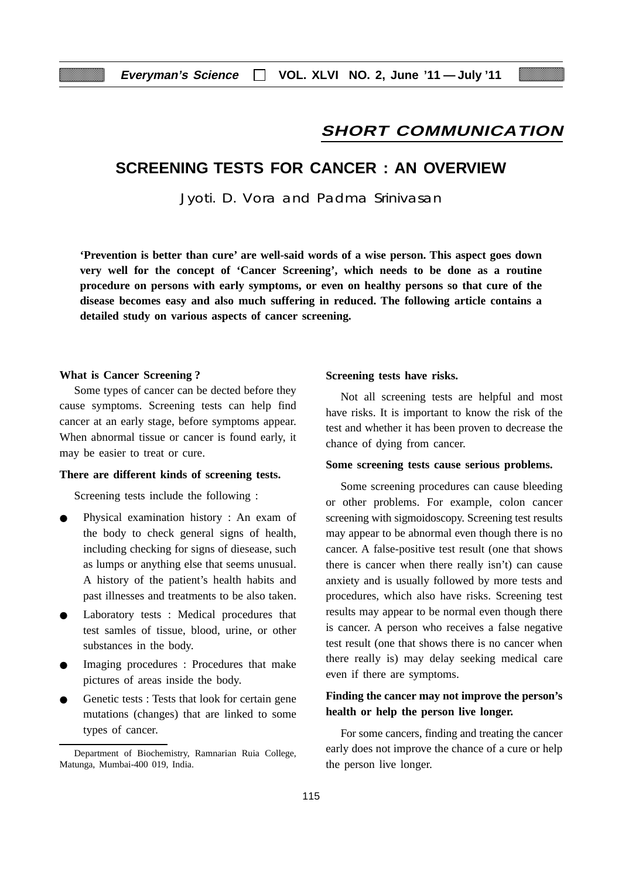# **SHORT COMMUNICATION**

# **SCREENING TESTS FOR CANCER : AN OVERVIEW**

Jyoti. D. Vora and Padma Srinivasan

**'Prevention is better than cure' are well-said words of a wise person. This aspect goes down very well for the concept of 'Cancer Screening', which needs to be done as a routine procedure on persons with early symptoms, or even on healthy persons so that cure of the disease becomes easy and also much suffering in reduced. The following article contains a detailed study on various aspects of cancer screening.**

#### **What is Cancer Screening ?**

Some types of cancer can be dected before they cause symptoms. Screening tests can help find cancer at an early stage, before symptoms appear. When abnormal tissue or cancer is found early, it may be easier to treat or cure.

#### **There are different kinds of screening tests.**

Screening tests include the following :

- Physical examination history : An exam of the body to check general signs of health, including checking for signs of diesease, such as lumps or anything else that seems unusual. A history of the patient's health habits and past illnesses and treatments to be also taken.
- Laboratory tests : Medical procedures that test samles of tissue, blood, urine, or other substances in the body.
- Imaging procedures : Procedures that make pictures of areas inside the body.
- Genetic tests : Tests that look for certain gene mutations (changes) that are linked to some types of cancer.

#### **Screening tests have risks.**

Not all screening tests are helpful and most have risks. It is important to know the risk of the test and whether it has been proven to decrease the chance of dying from cancer.

#### **Some screening tests cause serious problems.**

Some screening procedures can cause bleeding or other problems. For example, colon cancer screening with sigmoidoscopy. Screening test results may appear to be abnormal even though there is no cancer. A false-positive test result (one that shows there is cancer when there really isn't) can cause anxiety and is usually followed by more tests and procedures, which also have risks. Screening test results may appear to be normal even though there is cancer. A person who receives a false negative test result (one that shows there is no cancer when there really is) may delay seeking medical care even if there are symptoms.

# **Finding the cancer may not improve the person's health or help the person live longer.**

For some cancers, finding and treating the cancer early does not improve the chance of a cure or help the person live longer.

Department of Biochemistry, Ramnarian Ruia College, Matunga, Mumbai-400 019, India.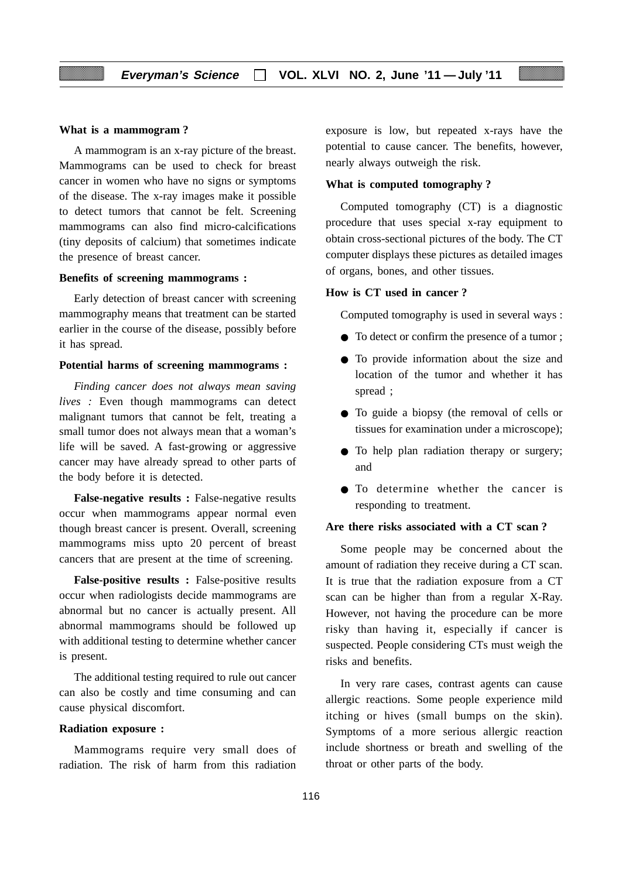#### **What is a mammogram ?**

A mammogram is an x-ray picture of the breast. Mammograms can be used to check for breast cancer in women who have no signs or symptoms of the disease. The x-ray images make it possible to detect tumors that cannot be felt. Screening mammograms can also find micro-calcifications (tiny deposits of calcium) that sometimes indicate the presence of breast cancer.

#### **Benefits of screening mammograms :**

Early detection of breast cancer with screening mammography means that treatment can be started earlier in the course of the disease, possibly before it has spread.

#### **Potential harms of screening mammograms :**

*Finding cancer does not always mean saving lives :* Even though mammograms can detect malignant tumors that cannot be felt, treating a small tumor does not always mean that a woman's life will be saved. A fast-growing or aggressive cancer may have already spread to other parts of the body before it is detected.

**False-negative results :** False-negative results occur when mammograms appear normal even though breast cancer is present. Overall, screening mammograms miss upto 20 percent of breast cancers that are present at the time of screening.

**False-positive results :** False-positive results occur when radiologists decide mammograms are abnormal but no cancer is actually present. All abnormal mammograms should be followed up with additional testing to determine whether cancer is present.

The additional testing required to rule out cancer can also be costly and time consuming and can cause physical discomfort.

#### **Radiation exposure :**

Mammograms require very small does of radiation. The risk of harm from this radiation

exposure is low, but repeated x-rays have the potential to cause cancer. The benefits, however, nearly always outweigh the risk.

#### **What is computed tomography ?**

Computed tomography (CT) is a diagnostic procedure that uses special x-ray equipment to obtain cross-sectional pictures of the body. The CT computer displays these pictures as detailed images of organs, bones, and other tissues.

#### **How is CT used in cancer ?**

Computed tomography is used in several ways :

- To detect or confirm the presence of a tumor ;
- To provide information about the size and location of the tumor and whether it has spread ;
- To guide a biopsy (the removal of cells or tissues for examination under a microscope);
- To help plan radiation therapy or surgery; and
- To determine whether the cancer is responding to treatment.

#### **Are there risks associated with a CT scan ?**

Some people may be concerned about the amount of radiation they receive during a CT scan. It is true that the radiation exposure from a CT scan can be higher than from a regular X-Ray. However, not having the procedure can be more risky than having it, especially if cancer is suspected. People considering CTs must weigh the risks and benefits.

In very rare cases, contrast agents can cause allergic reactions. Some people experience mild itching or hives (small bumps on the skin). Symptoms of a more serious allergic reaction include shortness or breath and swelling of the throat or other parts of the body.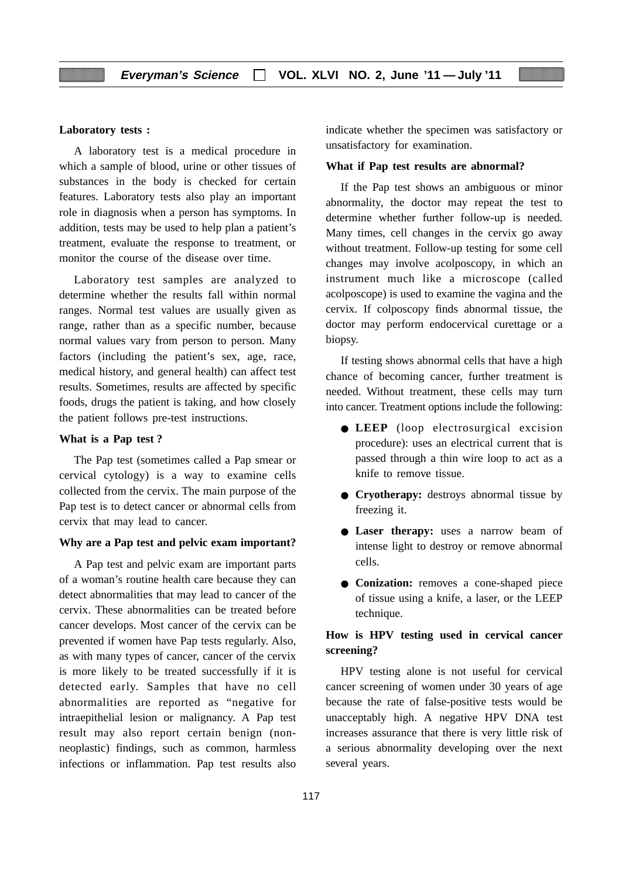#### **Laboratory tests :**

A laboratory test is a medical procedure in which a sample of blood, urine or other tissues of substances in the body is checked for certain features. Laboratory tests also play an important role in diagnosis when a person has symptoms. In addition, tests may be used to help plan a patient's treatment, evaluate the response to treatment, or monitor the course of the disease over time.

Laboratory test samples are analyzed to determine whether the results fall within normal ranges. Normal test values are usually given as range, rather than as a specific number, because normal values vary from person to person. Many factors (including the patient's sex, age, race, medical history, and general health) can affect test results. Sometimes, results are affected by specific foods, drugs the patient is taking, and how closely the patient follows pre-test instructions.

#### **What is a Pap test ?**

The Pap test (sometimes called a Pap smear or cervical cytology) is a way to examine cells collected from the cervix. The main purpose of the Pap test is to detect cancer or abnormal cells from cervix that may lead to cancer.

#### **Why are a Pap test and pelvic exam important?**

A Pap test and pelvic exam are important parts of a woman's routine health care because they can detect abnormalities that may lead to cancer of the cervix. These abnormalities can be treated before cancer develops. Most cancer of the cervix can be prevented if women have Pap tests regularly. Also, as with many types of cancer, cancer of the cervix is more likely to be treated successfully if it is detected early. Samples that have no cell abnormalities are reported as "negative for intraepithelial lesion or malignancy. A Pap test result may also report certain benign (nonneoplastic) findings, such as common, harmless infections or inflammation. Pap test results also indicate whether the specimen was satisfactory or unsatisfactory for examination.

#### **What if Pap test results are abnormal?**

If the Pap test shows an ambiguous or minor abnormality, the doctor may repeat the test to determine whether further follow-up is needed. Many times, cell changes in the cervix go away without treatment. Follow-up testing for some cell changes may involve acolposcopy, in which an instrument much like a microscope (called acolposcope) is used to examine the vagina and the cervix. If colposcopy finds abnormal tissue, the doctor may perform endocervical curettage or a biopsy.

If testing shows abnormal cells that have a high chance of becoming cancer, further treatment is needed. Without treatment, these cells may turn into cancer. Treatment options include the following:

- **LEEP** (loop electrosurgical excision procedure): uses an electrical current that is passed through a thin wire loop to act as a knife to remove tissue.
- **Cryotherapy:** destroys abnormal tissue by freezing it.
- **Laser therapy:** uses a narrow beam of intense light to destroy or remove abnormal cells.
- **Conization:** removes a cone-shaped piece of tissue using a knife, a laser, or the LEEP technique.

# **How is HPV testing used in cervical cancer screening?**

HPV testing alone is not useful for cervical cancer screening of women under 30 years of age because the rate of false-positive tests would be unacceptably high. A negative HPV DNA test increases assurance that there is very little risk of a serious abnormality developing over the next several years.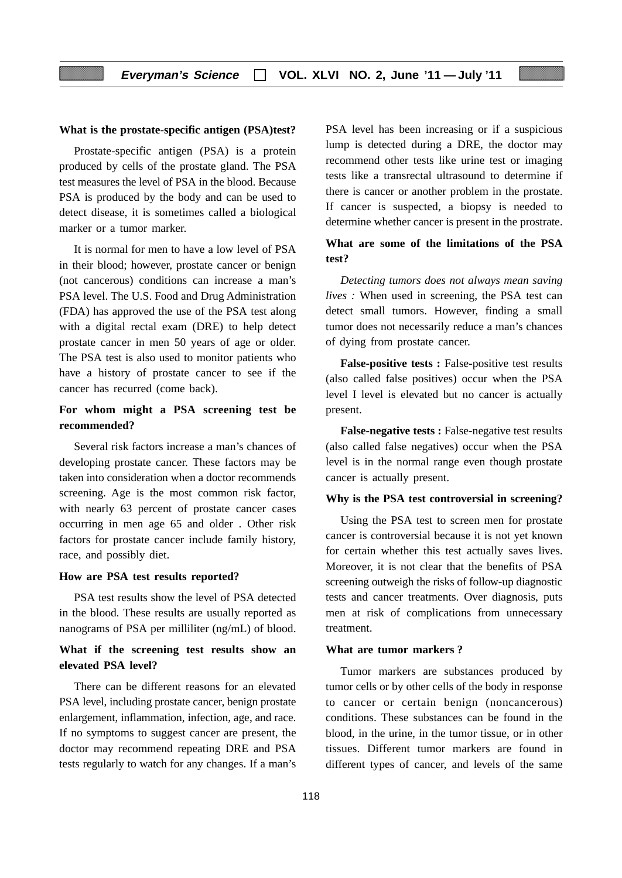#### **What is the prostate-specific antigen (PSA)test?**

Prostate-specific antigen (PSA) is a protein produced by cells of the prostate gland. The PSA test measures the level of PSA in the blood. Because PSA is produced by the body and can be used to detect disease, it is sometimes called a biological marker or a tumor marker.

It is normal for men to have a low level of PSA in their blood; however, prostate cancer or benign (not cancerous) conditions can increase a man's PSA level. The U.S. Food and Drug Administration (FDA) has approved the use of the PSA test along with a digital rectal exam (DRE) to help detect prostate cancer in men 50 years of age or older. The PSA test is also used to monitor patients who have a history of prostate cancer to see if the cancer has recurred (come back).

# **For whom might a PSA screening test be recommended?**

Several risk factors increase a man's chances of developing prostate cancer. These factors may be taken into consideration when a doctor recommends screening. Age is the most common risk factor, with nearly 63 percent of prostate cancer cases occurring in men age 65 and older . Other risk factors for prostate cancer include family history, race, and possibly diet.

#### **How are PSA test results reported?**

PSA test results show the level of PSA detected in the blood. These results are usually reported as nanograms of PSA per milliliter (ng/mL) of blood.

# **What if the screening test results show an elevated PSA level?**

There can be different reasons for an elevated PSA level, including prostate cancer, benign prostate enlargement, inflammation, infection, age, and race. If no symptoms to suggest cancer are present, the doctor may recommend repeating DRE and PSA tests regularly to watch for any changes. If a man's

PSA level has been increasing or if a suspicious lump is detected during a DRE, the doctor may recommend other tests like urine test or imaging tests like a transrectal ultrasound to determine if there is cancer or another problem in the prostate. If cancer is suspected, a biopsy is needed to determine whether cancer is present in the prostrate.

# **What are some of the limitations of the PSA test?**

*Detecting tumors does not always mean saving lives :* When used in screening, the PSA test can detect small tumors. However, finding a small tumor does not necessarily reduce a man's chances of dying from prostate cancer.

**False-positive tests :** False-positive test results (also called false positives) occur when the PSA level I level is elevated but no cancer is actually present.

False-negative tests : False-negative test results (also called false negatives) occur when the PSA level is in the normal range even though prostate cancer is actually present.

#### **Why is the PSA test controversial in screening?**

Using the PSA test to screen men for prostate cancer is controversial because it is not yet known for certain whether this test actually saves lives. Moreover, it is not clear that the benefits of PSA screening outweigh the risks of follow-up diagnostic tests and cancer treatments. Over diagnosis, puts men at risk of complications from unnecessary treatment.

#### **What are tumor markers ?**

Tumor markers are substances produced by tumor cells or by other cells of the body in response to cancer or certain benign (noncancerous) conditions. These substances can be found in the blood, in the urine, in the tumor tissue, or in other tissues. Different tumor markers are found in different types of cancer, and levels of the same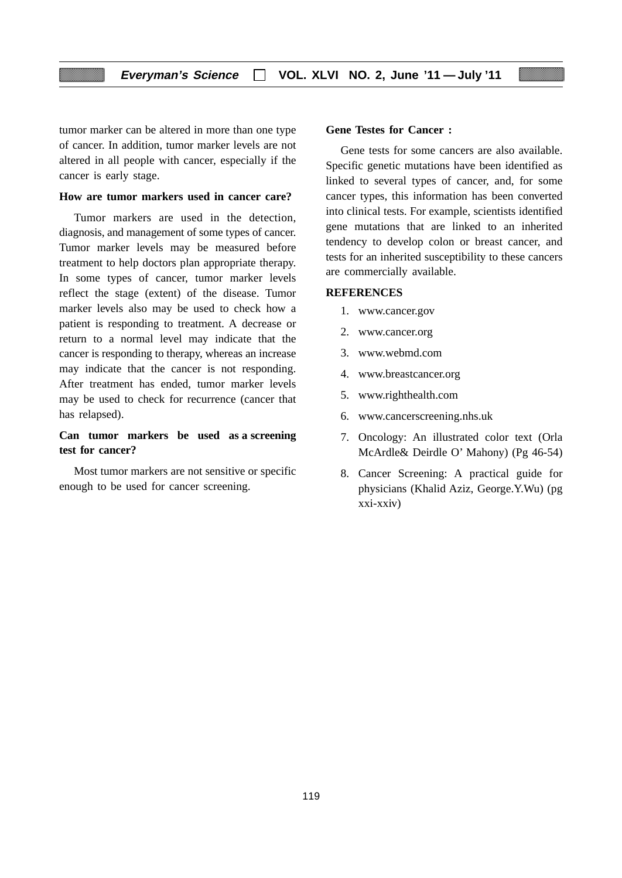tumor marker can be altered in more than one type of cancer. In addition, tumor marker levels are not altered in all people with cancer, especially if the cancer is early stage.

#### **How are tumor markers used in cancer care?**

Tumor markers are used in the detection, diagnosis, and management of some types of cancer. Tumor marker levels may be measured before treatment to help doctors plan appropriate therapy. In some types of cancer, tumor marker levels reflect the stage (extent) of the disease. Tumor marker levels also may be used to check how a patient is responding to treatment. A decrease or return to a normal level may indicate that the cancer is responding to therapy, whereas an increase may indicate that the cancer is not responding. After treatment has ended, tumor marker levels may be used to check for recurrence (cancer that has relapsed).

### **Can tumor markers be used as a screening test for cancer?**

Most tumor markers are not sensitive or specific enough to be used for cancer screening.

#### **Gene Testes for Cancer :**

Gene tests for some cancers are also available. Specific genetic mutations have been identified as linked to several types of cancer, and, for some cancer types, this information has been converted into clinical tests. For example, scientists identified gene mutations that are linked to an inherited tendency to develop colon or breast cancer, and tests for an inherited susceptibility to these cancers are commercially available.

#### **REFERENCES**

- 1. www.cancer.gov
- 2. www.cancer.org
- 3. www.webmd.com
- 4. www.breastcancer.org
- 5. www.righthealth.com
- 6. www.cancerscreening.nhs.uk
- 7. Oncology: An illustrated color text (Orla McArdle& Deirdle O' Mahony) (Pg 46-54)
- 8. Cancer Screening: A practical guide for physicians (Khalid Aziz, George.Y.Wu) (pg xxi-xxiv)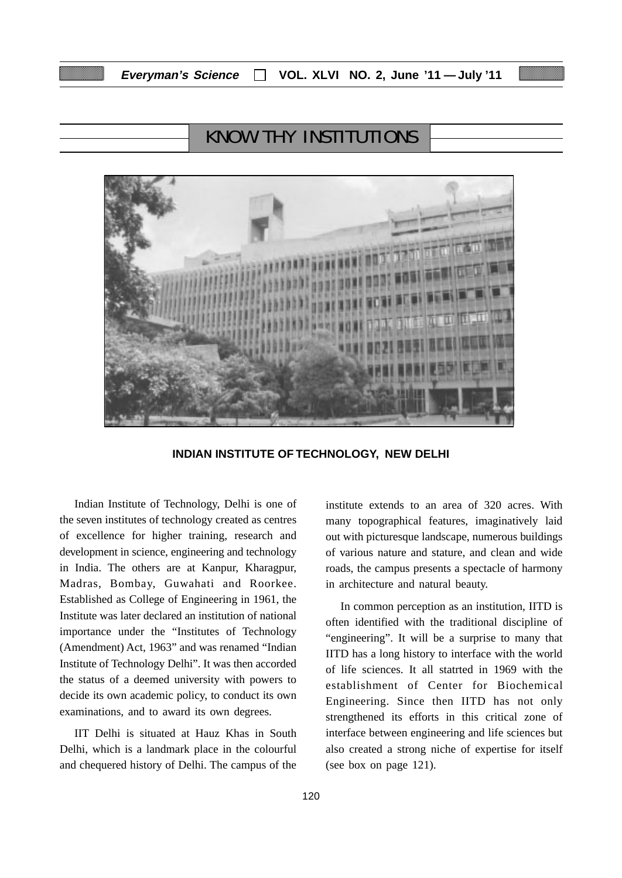# KNOW THY INSTITUTIONS



**INDIAN INSTITUTE OF TECHNOLOGY, NEW DELHI**

Indian Institute of Technology, Delhi is one of the seven institutes of technology created as centres of excellence for higher training, research and development in science, engineering and technology in India. The others are at Kanpur, Kharagpur, Madras, Bombay, Guwahati and Roorkee. Established as College of Engineering in 1961, the Institute was later declared an institution of national importance under the "Institutes of Technology (Amendment) Act, 1963" and was renamed "Indian Institute of Technology Delhi". It was then accorded the status of a deemed university with powers to decide its own academic policy, to conduct its own examinations, and to award its own degrees.

IIT Delhi is situated at Hauz Khas in South Delhi, which is a landmark place in the colourful and chequered history of Delhi. The campus of the institute extends to an area of 320 acres. With many topographical features, imaginatively laid out with picturesque landscape, numerous buildings of various nature and stature, and clean and wide roads, the campus presents a spectacle of harmony in architecture and natural beauty.

In common perception as an institution, IITD is often identified with the traditional discipline of "engineering". It will be a surprise to many that IITD has a long history to interface with the world of life sciences. It all statrted in 1969 with the establishment of Center for Biochemical Engineering. Since then IITD has not only strengthened its efforts in this critical zone of interface between engineering and life sciences but also created a strong niche of expertise for itself (see box on page 121).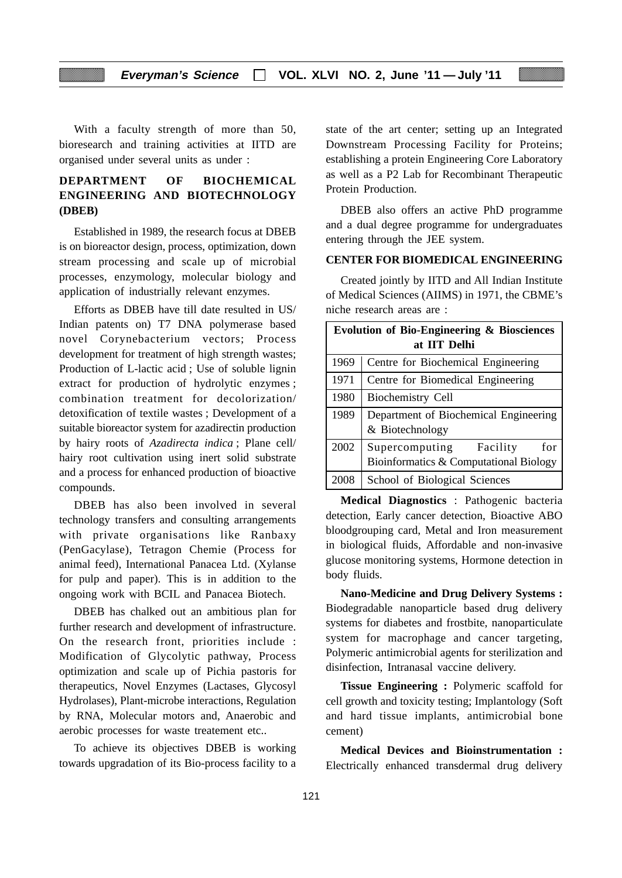### **Everyman's Science VOL. XLVI NO. 2, June '11 — July '11**

With a faculty strength of more than 50, bioresearch and training activities at IITD are organised under several units as under :

# **DEPARTMENT OF BIOCHEMICAL ENGINEERING AND BIOTECHNOLOGY (DBEB)**

Established in 1989, the research focus at DBEB is on bioreactor design, process, optimization, down stream processing and scale up of microbial processes, enzymology, molecular biology and application of industrially relevant enzymes.

Efforts as DBEB have till date resulted in US/ Indian patents on) T7 DNA polymerase based novel Corynebacterium vectors; Process development for treatment of high strength wastes; Production of L-lactic acid ; Use of soluble lignin extract for production of hydrolytic enzymes ; combination treatment for decolorization/ detoxification of textile wastes ; Development of a suitable bioreactor system for azadirectin production by hairy roots of *Azadirecta indica* ; Plane cell/ hairy root cultivation using inert solid substrate and a process for enhanced production of bioactive compounds.

DBEB has also been involved in several technology transfers and consulting arrangements with private organisations like Ranbaxy (PenGacylase), Tetragon Chemie (Process for animal feed), International Panacea Ltd. (Xylanse for pulp and paper). This is in addition to the ongoing work with BCIL and Panacea Biotech.

DBEB has chalked out an ambitious plan for further research and development of infrastructure. On the research front, priorities include : Modification of Glycolytic pathway, Process optimization and scale up of Pichia pastoris for therapeutics, Novel Enzymes (Lactases, Glycosyl Hydrolases), Plant-microbe interactions, Regulation by RNA, Molecular motors and, Anaerobic and aerobic processes for waste treatement etc..

To achieve its objectives DBEB is working towards upgradation of its Bio-process facility to a state of the art center; setting up an Integrated Downstream Processing Facility for Proteins; establishing a protein Engineering Core Laboratory as well as a P2 Lab for Recombinant Therapeutic Protein Production.

DBEB also offers an active PhD programme and a dual degree programme for undergraduates entering through the JEE system.

#### **CENTER FOR BIOMEDICAL ENGINEERING**

Created jointly by IITD and All Indian Institute of Medical Sciences (AIIMS) in 1971, the CBME's niche research areas are :

| <b>Evolution of Bio-Engineering &amp; Biosciences</b><br>at IIT Delhi |                                                                          |  |  |
|-----------------------------------------------------------------------|--------------------------------------------------------------------------|--|--|
| 1969                                                                  | Centre for Biochemical Engineering                                       |  |  |
| 1971                                                                  | Centre for Biomedical Engineering                                        |  |  |
| 1980                                                                  | <b>Biochemistry Cell</b>                                                 |  |  |
| 1989                                                                  | Department of Biochemical Engineering<br>& Biotechnology                 |  |  |
| 2002                                                                  | Supercomputing Facility<br>for<br>Bioinformatics & Computational Biology |  |  |
| 2008                                                                  | School of Biological Sciences                                            |  |  |

**Medical Diagnostics** : Pathogenic bacteria detection, Early cancer detection, Bioactive ABO bloodgrouping card, Metal and Iron measurement in biological fluids, Affordable and non-invasive glucose monitoring systems, Hormone detection in body fluids.

**Nano-Medicine and Drug Delivery Systems :** Biodegradable nanoparticle based drug delivery systems for diabetes and frostbite, nanoparticulate system for macrophage and cancer targeting, Polymeric antimicrobial agents for sterilization and disinfection, Intranasal vaccine delivery.

**Tissue Engineering :** Polymeric scaffold for cell growth and toxicity testing; Implantology (Soft and hard tissue implants, antimicrobial bone cement)

**Medical Devices and Bioinstrumentation :** Electrically enhanced transdermal drug delivery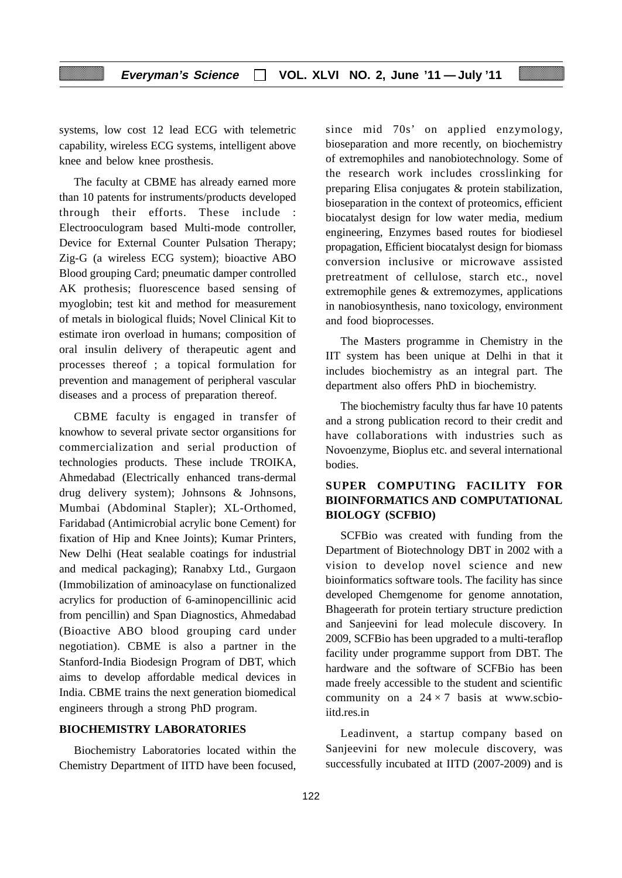systems, low cost 12 lead ECG with telemetric capability, wireless ECG systems, intelligent above knee and below knee prosthesis.

The faculty at CBME has already earned more than 10 patents for instruments/products developed through their efforts. These include : Electrooculogram based Multi-mode controller, Device for External Counter Pulsation Therapy; Zig-G (a wireless ECG system); bioactive ABO Blood grouping Card; pneumatic damper controlled AK prothesis; fluorescence based sensing of myoglobin; test kit and method for measurement of metals in biological fluids; Novel Clinical Kit to estimate iron overload in humans; composition of oral insulin delivery of therapeutic agent and processes thereof ; a topical formulation for prevention and management of peripheral vascular diseases and a process of preparation thereof.

CBME faculty is engaged in transfer of knowhow to several private sector organsitions for commercialization and serial production of technologies products. These include TROIKA, Ahmedabad (Electrically enhanced trans-dermal drug delivery system); Johnsons & Johnsons, Mumbai (Abdominal Stapler); XL-Orthomed, Faridabad (Antimicrobial acrylic bone Cement) for fixation of Hip and Knee Joints); Kumar Printers, New Delhi (Heat sealable coatings for industrial and medical packaging); Ranabxy Ltd., Gurgaon (Immobilization of aminoacylase on functionalized acrylics for production of 6-aminopencillinic acid from pencillin) and Span Diagnostics, Ahmedabad (Bioactive ABO blood grouping card under negotiation). CBME is also a partner in the Stanford-India Biodesign Program of DBT, which aims to develop affordable medical devices in India. CBME trains the next generation biomedical engineers through a strong PhD program.

### **BIOCHEMISTRY LABORATORIES**

Biochemistry Laboratories located within the Chemistry Department of IITD have been focused, since mid 70s' on applied enzymology, bioseparation and more recently, on biochemistry of extremophiles and nanobiotechnology. Some of the research work includes crosslinking for preparing Elisa conjugates & protein stabilization, bioseparation in the context of proteomics, efficient biocatalyst design for low water media, medium engineering, Enzymes based routes for biodiesel propagation, Efficient biocatalyst design for biomass conversion inclusive or microwave assisted pretreatment of cellulose, starch etc., novel extremophile genes & extremozymes, applications in nanobiosynthesis, nano toxicology, environment and food bioprocesses.

The Masters programme in Chemistry in the IIT system has been unique at Delhi in that it includes biochemistry as an integral part. The department also offers PhD in biochemistry.

The biochemistry faculty thus far have 10 patents and a strong publication record to their credit and have collaborations with industries such as Novoenzyme, Bioplus etc. and several international bodies.

# **SUPER COMPUTING FACILITY FOR BIOINFORMATICS AND COMPUTATIONAL BIOLOGY (SCFBIO)**

SCFBio was created with funding from the Department of Biotechnology DBT in 2002 with a vision to develop novel science and new bioinformatics software tools. The facility has since developed Chemgenome for genome annotation, Bhageerath for protein tertiary structure prediction and Sanjeevini for lead molecule discovery. In 2009, SCFBio has been upgraded to a multi-teraflop facility under programme support from DBT. The hardware and the software of SCFBio has been made freely accessible to the student and scientific community on a  $24 \times 7$  basis at www.scbioiitd.res.in

Leadinvent, a startup company based on Sanjeevini for new molecule discovery, was successfully incubated at IITD (2007-2009) and is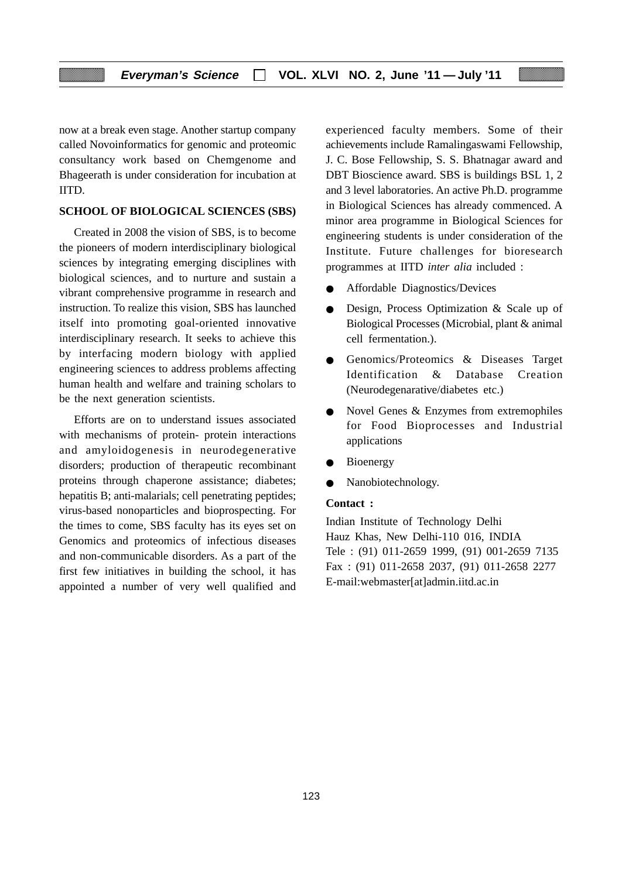now at a break even stage. Another startup company called Novoinformatics for genomic and proteomic consultancy work based on Chemgenome and Bhageerath is under consideration for incubation at IITD.

#### **SCHOOL OF BIOLOGICAL SCIENCES (SBS)**

Created in 2008 the vision of SBS, is to become the pioneers of modern interdisciplinary biological sciences by integrating emerging disciplines with biological sciences, and to nurture and sustain a vibrant comprehensive programme in research and instruction. To realize this vision, SBS has launched itself into promoting goal-oriented innovative interdisciplinary research. It seeks to achieve this by interfacing modern biology with applied engineering sciences to address problems affecting human health and welfare and training scholars to be the next generation scientists.

Efforts are on to understand issues associated with mechanisms of protein- protein interactions and amyloidogenesis in neurodegenerative disorders; production of therapeutic recombinant proteins through chaperone assistance; diabetes; hepatitis B; anti-malarials; cell penetrating peptides; virus-based nonoparticles and bioprospecting. For the times to come, SBS faculty has its eyes set on Genomics and proteomics of infectious diseases and non-communicable disorders. As a part of the first few initiatives in building the school, it has appointed a number of very well qualified and

experienced faculty members. Some of their achievements include Ramalingaswami Fellowship, J. C. Bose Fellowship, S. S. Bhatnagar award and DBT Bioscience award. SBS is buildings BSL 1, 2 and 3 level laboratories. An active Ph.D. programme in Biological Sciences has already commenced. A minor area programme in Biological Sciences for engineering students is under consideration of the Institute. Future challenges for bioresearch programmes at IITD *inter alia* included :

- Affordable Diagnostics/Devices
- Design, Process Optimization & Scale up of Biological Processes (Microbial, plant & animal cell fermentation.).
- Genomics/Proteomics & Diseases Target Identification & Database Creation (Neurodegenarative/diabetes etc.)
- Novel Genes & Enzymes from extremophiles for Food Bioprocesses and Industrial applications
- **Bioenergy**
- Nanobiotechnology.

#### **Contact :**

Indian Institute of Technology Delhi Hauz Khas, New Delhi-110 016, INDIA Tele : (91) 011-2659 1999, (91) 001-2659 7135 Fax : (91) 011-2658 2037, (91) 011-2658 2277 E-mail:webmaster[at]admin.iitd.ac.in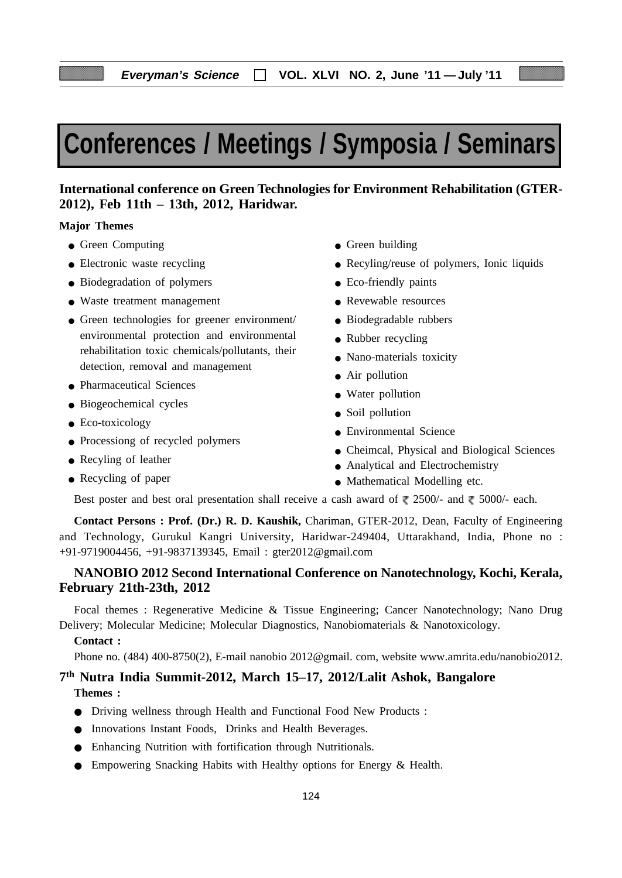# **Conferences / Meetings / Symposia / Seminars**

# **International conference on Green Technologies for Environment Rehabilitation (GTER-2012), Feb 11th – 13th, 2012, Haridwar.**

#### **Major Themes**

- Green Computing
- Electronic waste recycling
- Biodegradation of polymers
- Waste treatment management
- Green technologies for greener environment/ environmental protection and environmental rehabilitation toxic chemicals/pollutants, their detection, removal and management
- Pharmaceutical Sciences
- Biogeochemical cycles
- Eco-toxicology
- Processiong of recycled polymers
- Recyling of leather
- Recycling of paper
- Green building
- Recyling/reuse of polymers, Ionic liquids
- Eco-friendly paints
- Revewable resources
- Biodegradable rubbers
- Rubber recycling
- Nano-materials toxicity
- Air pollution
- Water pollution
- Soil pollution
- Environmental Science
- Cheimcal, Physical and Biological Sciences
- Analytical and Electrochemistry
- Mathematical Modelling etc.

Best poster and best oral presentation shall receive a cash award of  $\ell$  2500/- and  $\ell$  5000/- each.

**Contact Persons : Prof. (Dr.) R. D. Kaushik,** Chariman, GTER-2012, Dean, Faculty of Engineering and Technology, Gurukul Kangri University, Haridwar-249404, Uttarakhand, India, Phone no : +91-9719004456, +91-9837139345, Email : gter2012@gmail.com

# **NANOBIO 2012 Second International Conference on Nanotechnology, Kochi, Kerala, February 21th-23th, 2012**

Focal themes : Regenerative Medicine & Tissue Engineering; Cancer Nanotechnology; Nano Drug Delivery; Molecular Medicine; Molecular Diagnostics, Nanobiomaterials & Nanotoxicology.

#### **Contact :**

Phone no. (484) 400-8750(2), E-mail nanobio 2012@gmail. com, website www.amrita.edu/nanobio2012.

# **7th Nutra India Summit-2012, March 15–17, 2012/Lalit Ashok, Bangalore Themes :**

- Driving wellness through Health and Functional Food New Products :
- Innovations Instant Foods, Drinks and Health Beverages.
- Enhancing Nutrition with fortification through Nutritionals.
- Empowering Snacking Habits with Healthy options for Energy & Health.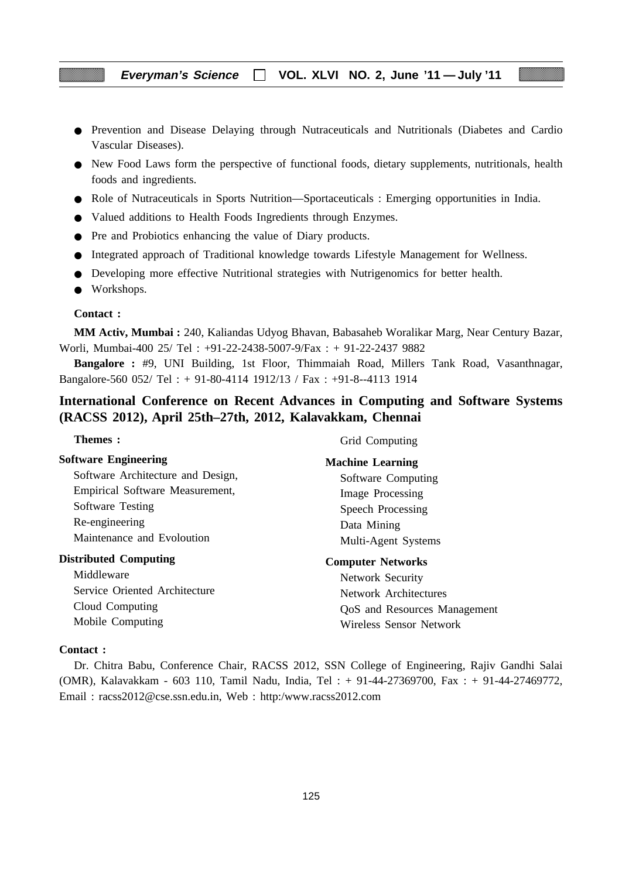#### **Everyman's Science VOL. XLVI NO. 2, June '11 — July '11**

- Prevention and Disease Delaying through Nutraceuticals and Nutritionals (Diabetes and Cardio Vascular Diseases).
- New Food Laws form the perspective of functional foods, dietary supplements, nutritionals, health foods and ingredients.
- Role of Nutraceuticals in Sports Nutrition—Sportaceuticals : Emerging opportunities in India.
- Valued additions to Health Foods Ingredients through Enzymes.
- Pre and Probiotics enhancing the value of Diary products.
- Integrated approach of Traditional knowledge towards Lifestyle Management for Wellness.
- Developing more effective Nutritional strategies with Nutrigenomics for better health.
- Workshops.

#### **Contact :**

**Themes :**

**MM Activ, Mumbai :** 240, Kaliandas Udyog Bhavan, Babasaheb Woralikar Marg, Near Century Bazar, Worli, Mumbai-400 25/ Tel : +91-22-2438-5007-9/Fax : + 91-22-2437 9882

**Bangalore :** #9, UNI Building, 1st Floor, Thimmaiah Road, Millers Tank Road, Vasanthnagar, Bangalore-560 052/ Tel : + 91-80-4114 1912/13 / Fax : +91-8--4113 1914

# **International Conference on Recent Advances in Computing and Software Systems (RACSS 2012), April 25th–27th, 2012, Kalavakkam, Chennai**

 $G \cup G$   $\vdots$ 

Wireless Sensor Network

| тисние .                          | <b>Grid Computing</b>        |  |
|-----------------------------------|------------------------------|--|
| <b>Software Engineering</b>       | <b>Machine Learning</b>      |  |
| Software Architecture and Design, | Software Computing           |  |
| Empirical Software Measurement,   | Image Processing             |  |
| Software Testing                  | Speech Processing            |  |
| Re-engineering                    | Data Mining                  |  |
| Maintenance and Evoloution        | Multi-Agent Systems          |  |
| <b>Distributed Computing</b>      | <b>Computer Networks</b>     |  |
| Middleware                        | Network Security             |  |
| Service Oriented Architecture     | Network Architectures        |  |
| Cloud Computing                   | QoS and Resources Management |  |
|                                   |                              |  |

#### **Contact :**

Mobile Computing

Dr. Chitra Babu, Conference Chair, RACSS 2012, SSN College of Engineering, Rajiv Gandhi Salai (OMR), Kalavakkam - 603 110, Tamil Nadu, India, Tel : + 91-44-27369700, Fax : + 91-44-27469772, Email : racss2012@cse.ssn.edu.in, Web : http:/www.racss2012.com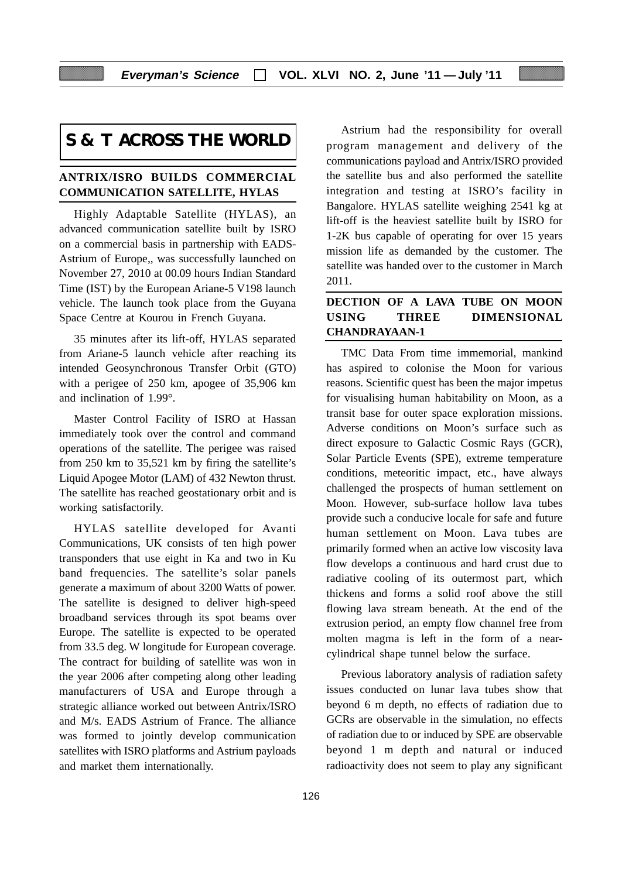**Everyman's Science VOL. XLVI NO. 2, June '11 — July '11**

# **S & T ACROSS THE WORLD**

#### **ANTRIX/ISRO BUILDS COMMERCIAL COMMUNICATION SATELLITE, HYLAS**

Highly Adaptable Satellite (HYLAS), an advanced communication satellite built by ISRO on a commercial basis in partnership with EADS-Astrium of Europe,, was successfully launched on November 27, 2010 at 00.09 hours Indian Standard Time (IST) by the European Ariane-5 V198 launch vehicle. The launch took place from the Guyana Space Centre at Kourou in French Guyana.

35 minutes after its lift-off, HYLAS separated from Ariane-5 launch vehicle after reaching its intended Geosynchronous Transfer Orbit (GTO) with a perigee of 250 km, apogee of 35,906 km and inclination of 1.99°.

Master Control Facility of ISRO at Hassan immediately took over the control and command operations of the satellite. The perigee was raised from 250 km to 35,521 km by firing the satellite's Liquid Apogee Motor (LAM) of 432 Newton thrust. The satellite has reached geostationary orbit and is working satisfactorily.

HYLAS satellite developed for Avanti Communications, UK consists of ten high power transponders that use eight in Ka and two in Ku band frequencies. The satellite's solar panels generate a maximum of about 3200 Watts of power. The satellite is designed to deliver high-speed broadband services through its spot beams over Europe. The satellite is expected to be operated from 33.5 deg. W longitude for European coverage. The contract for building of satellite was won in the year 2006 after competing along other leading manufacturers of USA and Europe through a strategic alliance worked out between Antrix/ISRO and M/s. EADS Astrium of France. The alliance was formed to jointly develop communication satellites with ISRO platforms and Astrium payloads and market them internationally.

Astrium had the responsibility for overall program management and delivery of the communications payload and Antrix/ISRO provided the satellite bus and also performed the satellite integration and testing at ISRO's facility in Bangalore. HYLAS satellite weighing 2541 kg at lift-off is the heaviest satellite built by ISRO for 1-2K bus capable of operating for over 15 years mission life as demanded by the customer. The satellite was handed over to the customer in March 2011.

# **DECTION OF A LAVA TUBE ON MOON USING THREE DIMENSIONAL CHANDRAYAAN-1**

TMC Data From time immemorial, mankind has aspired to colonise the Moon for various reasons. Scientific quest has been the major impetus for visualising human habitability on Moon, as a transit base for outer space exploration missions. Adverse conditions on Moon's surface such as direct exposure to Galactic Cosmic Rays (GCR), Solar Particle Events (SPE), extreme temperature conditions, meteoritic impact, etc., have always challenged the prospects of human settlement on Moon. However, sub-surface hollow lava tubes provide such a conducive locale for safe and future human settlement on Moon. Lava tubes are primarily formed when an active low viscosity lava flow develops a continuous and hard crust due to radiative cooling of its outermost part, which thickens and forms a solid roof above the still flowing lava stream beneath. At the end of the extrusion period, an empty flow channel free from molten magma is left in the form of a nearcylindrical shape tunnel below the surface.

Previous laboratory analysis of radiation safety issues conducted on lunar lava tubes show that beyond 6 m depth, no effects of radiation due to GCRs are observable in the simulation, no effects of radiation due to or induced by SPE are observable beyond 1 m depth and natural or induced radioactivity does not seem to play any significant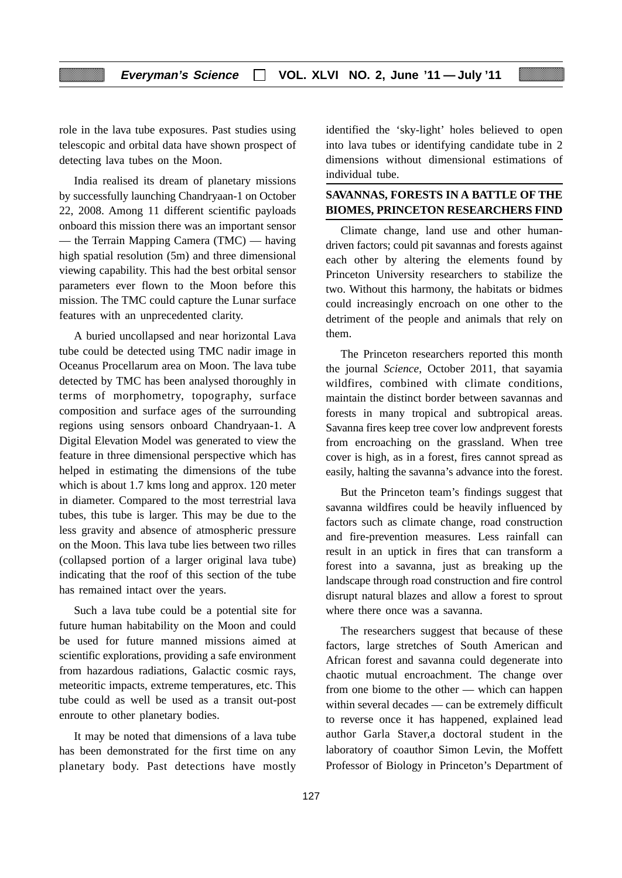role in the lava tube exposures. Past studies using telescopic and orbital data have shown prospect of detecting lava tubes on the Moon.

India realised its dream of planetary missions by successfully launching Chandryaan-1 on October 22, 2008. Among 11 different scientific payloads onboard this mission there was an important sensor — the Terrain Mapping Camera (TMC) — having high spatial resolution (5m) and three dimensional viewing capability. This had the best orbital sensor parameters ever flown to the Moon before this mission. The TMC could capture the Lunar surface features with an unprecedented clarity.

A buried uncollapsed and near horizontal Lava tube could be detected using TMC nadir image in Oceanus Procellarum area on Moon. The lava tube detected by TMC has been analysed thoroughly in terms of morphometry, topography, surface composition and surface ages of the surrounding regions using sensors onboard Chandryaan-1. A Digital Elevation Model was generated to view the feature in three dimensional perspective which has helped in estimating the dimensions of the tube which is about 1.7 kms long and approx. 120 meter in diameter. Compared to the most terrestrial lava tubes, this tube is larger. This may be due to the less gravity and absence of atmospheric pressure on the Moon. This lava tube lies between two rilles (collapsed portion of a larger original lava tube) indicating that the roof of this section of the tube has remained intact over the years.

Such a lava tube could be a potential site for future human habitability on the Moon and could be used for future manned missions aimed at scientific explorations, providing a safe environment from hazardous radiations, Galactic cosmic rays, meteoritic impacts, extreme temperatures, etc. This tube could as well be used as a transit out-post enroute to other planetary bodies.

It may be noted that dimensions of a lava tube has been demonstrated for the first time on any planetary body. Past detections have mostly identified the 'sky-light' holes believed to open into lava tubes or identifying candidate tube in 2 dimensions without dimensional estimations of individual tube.

### **SAVANNAS, FORESTS IN A BATTLE OF THE BIOMES, PRINCETON RESEARCHERS FIND**

Climate change, land use and other humandriven factors; could pit savannas and forests against each other by altering the elements found by Princeton University researchers to stabilize the two. Without this harmony, the habitats or bidmes could increasingly encroach on one other to the detriment of the people and animals that rely on them.

The Princeton researchers reported this month the journal *Science*, October 2011, that sayamia wildfires, combined with climate conditions, maintain the distinct border between savannas and forests in many tropical and subtropical areas. Savanna fires keep tree cover low andprevent forests from encroaching on the grassland. When tree cover is high, as in a forest, fires cannot spread as easily, halting the savanna's advance into the forest.

But the Princeton team's findings suggest that savanna wildfires could be heavily influenced by factors such as climate change, road construction and fire-prevention measures. Less rainfall can result in an uptick in fires that can transform a forest into a savanna, just as breaking up the landscape through road construction and fire control disrupt natural blazes and allow a forest to sprout where there once was a savanna.

The researchers suggest that because of these factors, large stretches of South American and African forest and savanna could degenerate into chaotic mutual encroachment. The change over from one biome to the other — which can happen within several decades — can be extremely difficult to reverse once it has happened, explained lead author Garla Staver,a doctoral student in the laboratory of coauthor Simon Levin, the Moffett Professor of Biology in Princeton's Department of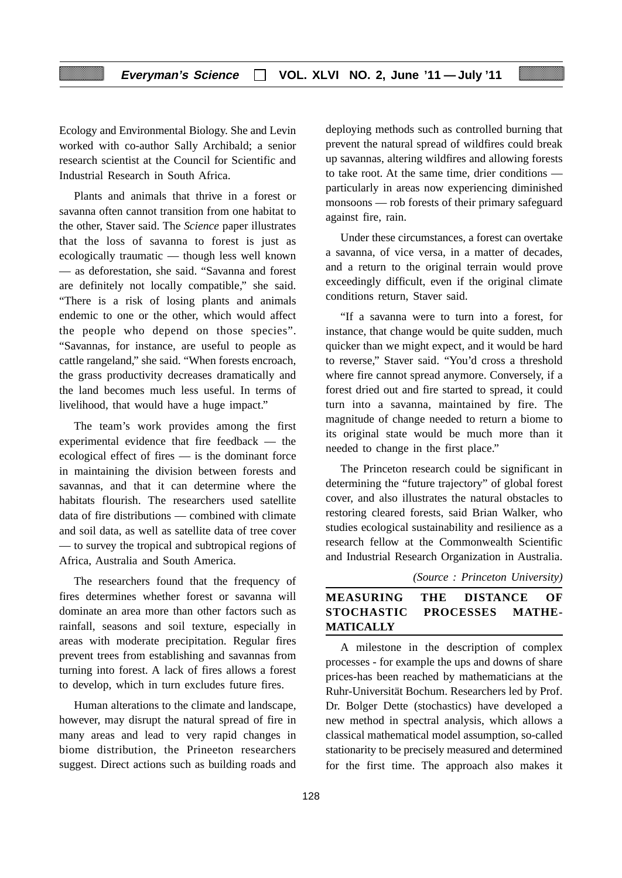# **Everyman's Science VOL. XLVI NO. 2, June '11 — July '11**

Ecology and Environmental Biology. She and Levin worked with co-author Sally Archibald; a senior research scientist at the Council for Scientific and Industrial Research in South Africa.

Plants and animals that thrive in a forest or savanna often cannot transition from one habitat to the other, Staver said. The *Science* paper illustrates that the loss of savanna to forest is just as ecologically traumatic — though less well known — as deforestation, she said. "Savanna and forest are definitely not locally compatible," she said. "There is a risk of losing plants and animals endemic to one or the other, which would affect the people who depend on those species". "Savannas, for instance, are useful to people as cattle rangeland," she said. "When forests encroach, the grass productivity decreases dramatically and the land becomes much less useful. In terms of livelihood, that would have a huge impact."

The team's work provides among the first experimental evidence that fire feedback — the ecological effect of fires — is the dominant force in maintaining the division between forests and savannas, and that it can determine where the habitats flourish. The researchers used satellite data of fire distributions — combined with climate and soil data, as well as satellite data of tree cover — to survey the tropical and subtropical regions of Africa, Australia and South America.

The researchers found that the frequency of fires determines whether forest or savanna will dominate an area more than other factors such as rainfall, seasons and soil texture, especially in areas with moderate precipitation. Regular fires prevent trees from establishing and savannas from turning into forest. A lack of fires allows a forest to develop, which in turn excludes future fires.

Human alterations to the climate and landscape, however, may disrupt the natural spread of fire in many areas and lead to very rapid changes in biome distribution, the Prineeton researchers suggest. Direct actions such as building roads and deploying methods such as controlled burning that prevent the natural spread of wildfires could break up savannas, altering wildfires and allowing forests to take root. At the same time, drier conditions particularly in areas now experiencing diminished monsoons — rob forests of their primary safeguard against fire, rain.

Under these circumstances, a forest can overtake a savanna, of vice versa, in a matter of decades, and a return to the original terrain would prove exceedingly difficult, even if the original climate conditions return, Staver said.

"If a savanna were to turn into a forest, for instance, that change would be quite sudden, much quicker than we might expect, and it would be hard to reverse," Staver said. "You'd cross a threshold where fire cannot spread anymore. Conversely, if a forest dried out and fire started to spread, it could turn into a savanna, maintained by fire. The magnitude of change needed to return a biome to its original state would be much more than it needed to change in the first place."

The Princeton research could be significant in determining the "future trajectory" of global forest cover, and also illustrates the natural obstacles to restoring cleared forests, said Brian Walker, who studies ecological sustainability and resilience as a research fellow at the Commonwealth Scientific and Industrial Research Organization in Australia.

*(Source : Princeton University)*

# **MEASURING THE DISTANCE OF STOCHASTIC PROCESSES MATHE-MATICALLY**

A milestone in the description of complex processes - for example the ups and downs of share prices-has been reached by mathematicians at the Ruhr-Universität Bochum. Researchers led by Prof. Dr. Bolger Dette (stochastics) have developed a new method in spectral analysis, which allows a classical mathematical model assumption, so-called stationarity to be precisely measured and determined for the first time. The approach also makes it